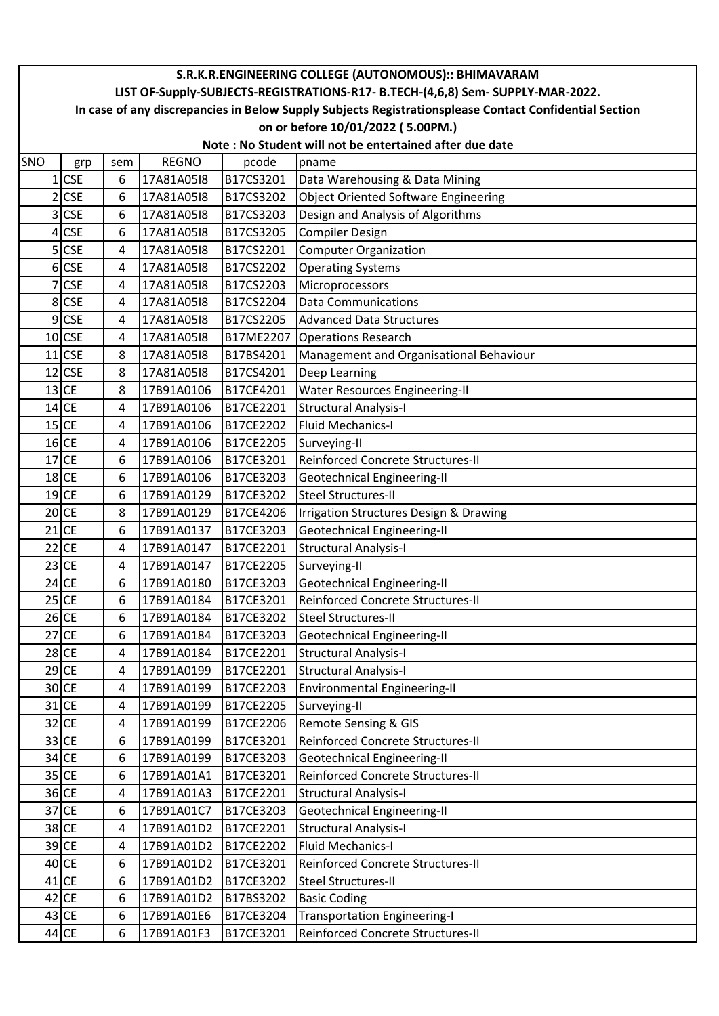|                | S.R.K.R.ENGINEERING COLLEGE (AUTONOMOUS):: BHIMAVARAM                                                  |     |              |           |                                             |  |  |  |  |  |  |
|----------------|--------------------------------------------------------------------------------------------------------|-----|--------------|-----------|---------------------------------------------|--|--|--|--|--|--|
|                | LIST OF-Supply-SUBJECTS-REGISTRATIONS-R17- B.TECH-(4,6,8) Sem- SUPPLY-MAR-2022.                        |     |              |           |                                             |  |  |  |  |  |  |
|                | In case of any discrepancies in Below Supply Subjects Registrationsplease Contact Confidential Section |     |              |           |                                             |  |  |  |  |  |  |
|                | on or before 10/01/2022 (5.00PM.)                                                                      |     |              |           |                                             |  |  |  |  |  |  |
|                | Note: No Student will not be entertained after due date                                                |     |              |           |                                             |  |  |  |  |  |  |
| <b>SNO</b>     | grp                                                                                                    | sem | <b>REGNO</b> | pcode     | pname                                       |  |  |  |  |  |  |
|                | $1$ CSE                                                                                                | 6   | 17A81A05I8   | B17CS3201 | Data Warehousing & Data Mining              |  |  |  |  |  |  |
| 2 <sup>1</sup> | <b>CSE</b>                                                                                             | 6   | 17A81A05I8   | B17CS3202 | <b>Object Oriented Software Engineering</b> |  |  |  |  |  |  |
| 31             | <b>CSE</b>                                                                                             | 6   | 17A81A05I8   | B17CS3203 | Design and Analysis of Algorithms           |  |  |  |  |  |  |
|                | 4 CSE                                                                                                  | 6   | 17A81A05I8   | B17CS3205 | <b>Compiler Design</b>                      |  |  |  |  |  |  |
|                | $5$ CSE                                                                                                | 4   | 17A81A05I8   | B17CS2201 | <b>Computer Organization</b>                |  |  |  |  |  |  |
|                | 6 CSE                                                                                                  | 4   | 17A81A05I8   | B17CS2202 | <b>Operating Systems</b>                    |  |  |  |  |  |  |
|                | 7 CSE                                                                                                  | 4   | 17A81A05I8   | B17CS2203 | Microprocessors                             |  |  |  |  |  |  |
|                | 8 CSE                                                                                                  | 4   | 17A81A05I8   | B17CS2204 | <b>Data Communications</b>                  |  |  |  |  |  |  |
|                | 9 CSE                                                                                                  | 4   | 17A81A05I8   | B17CS2205 | <b>Advanced Data Structures</b>             |  |  |  |  |  |  |
|                | $10$ <sub>CSE</sub>                                                                                    | 4   | 17A81A05I8   | B17ME2207 | <b>Operations Research</b>                  |  |  |  |  |  |  |
|                | $11$ CSE                                                                                               | 8   | 17A81A05I8   | B17BS4201 | Management and Organisational Behaviour     |  |  |  |  |  |  |
|                | $12$ CSE                                                                                               | 8   | 17A81A05I8   | B17CS4201 | Deep Learning                               |  |  |  |  |  |  |
|                | $13$ CE                                                                                                | 8   | 17B91A0106   | B17CE4201 | <b>Water Resources Engineering-II</b>       |  |  |  |  |  |  |
|                | $14$ CE                                                                                                | 4   | 17B91A0106   | B17CE2201 | <b>Structural Analysis-I</b>                |  |  |  |  |  |  |
|                | $15$ CE                                                                                                | 4   | 17B91A0106   | B17CE2202 | <b>Fluid Mechanics-I</b>                    |  |  |  |  |  |  |
|                | $16$ CE                                                                                                | 4   | 17B91A0106   | B17CE2205 | Surveying-II                                |  |  |  |  |  |  |
|                | $17$ CE                                                                                                | 6   | 17B91A0106   | B17CE3201 | Reinforced Concrete Structures-II           |  |  |  |  |  |  |
|                | $18$ CE                                                                                                | 6   | 17B91A0106   | B17CE3203 | Geotechnical Engineering-II                 |  |  |  |  |  |  |
|                | $19$ CE                                                                                                | 6   | 17B91A0129   | B17CE3202 | <b>Steel Structures-II</b>                  |  |  |  |  |  |  |
|                | $20$ CE                                                                                                | 8   | 17B91A0129   | B17CE4206 | Irrigation Structures Design & Drawing      |  |  |  |  |  |  |
|                | $21$ CE                                                                                                | 6   | 17B91A0137   | B17CE3203 | <b>Geotechnical Engineering-II</b>          |  |  |  |  |  |  |
|                | $22$ CE                                                                                                | 4   | 17B91A0147   | B17CE2201 | <b>Structural Analysis-I</b>                |  |  |  |  |  |  |
|                | $23$ CE                                                                                                | 4   | 17B91A0147   | B17CE2205 | Surveying-II                                |  |  |  |  |  |  |
|                | $24$ CE                                                                                                | 6   | 17B91A0180   | B17CE3203 | <b>Geotechnical Engineering-II</b>          |  |  |  |  |  |  |
|                | $25$ CE                                                                                                | 6   | 17B91A0184   | B17CE3201 | Reinforced Concrete Structures-II           |  |  |  |  |  |  |
|                | $26$ CE                                                                                                | 6   | 17B91A0184   | B17CE3202 | <b>Steel Structures-II</b>                  |  |  |  |  |  |  |
|                | $27$ CE                                                                                                | 6   | 17B91A0184   | B17CE3203 | Geotechnical Engineering-II                 |  |  |  |  |  |  |
|                | $28$ CE                                                                                                | 4   | 17B91A0184   | B17CE2201 | <b>Structural Analysis-I</b>                |  |  |  |  |  |  |
|                | $29$ CE                                                                                                | 4   | 17B91A0199   | B17CE2201 | <b>Structural Analysis-I</b>                |  |  |  |  |  |  |
|                | $30$ CE                                                                                                | 4   | 17B91A0199   | B17CE2203 | <b>Environmental Engineering-II</b>         |  |  |  |  |  |  |
|                | $31$ CE                                                                                                | 4   | 17B91A0199   | B17CE2205 | Surveying-II                                |  |  |  |  |  |  |
|                | $32$ CE                                                                                                | 4   | 17B91A0199   | B17CE2206 | Remote Sensing & GIS                        |  |  |  |  |  |  |
|                | $33$ CE                                                                                                | 6   | 17B91A0199   | B17CE3201 | Reinforced Concrete Structures-II           |  |  |  |  |  |  |
|                | $34$ CE                                                                                                | 6   | 17B91A0199   | B17CE3203 | <b>Geotechnical Engineering-II</b>          |  |  |  |  |  |  |
|                | $35$ CE                                                                                                | 6   | 17B91A01A1   | B17CE3201 | Reinforced Concrete Structures-II           |  |  |  |  |  |  |
|                | 36 CE                                                                                                  | 4   | 17B91A01A3   | B17CE2201 | <b>Structural Analysis-I</b>                |  |  |  |  |  |  |
|                | $37$ CE                                                                                                | 6   | 17B91A01C7   | B17CE3203 | Geotechnical Engineering-II                 |  |  |  |  |  |  |
|                | $38$ CE                                                                                                | 4   | 17B91A01D2   | B17CE2201 | <b>Structural Analysis-I</b>                |  |  |  |  |  |  |
|                | 39 CE                                                                                                  | 4   | 17B91A01D2   | B17CE2202 | <b>Fluid Mechanics-I</b>                    |  |  |  |  |  |  |
|                | $40$ CE                                                                                                | 6   | 17B91A01D2   | B17CE3201 | Reinforced Concrete Structures-II           |  |  |  |  |  |  |
|                | $41$ CE                                                                                                | 6   | 17B91A01D2   | B17CE3202 | <b>Steel Structures-II</b>                  |  |  |  |  |  |  |
|                | $42$ CE                                                                                                | 6   | 17B91A01D2   | B17BS3202 | <b>Basic Coding</b>                         |  |  |  |  |  |  |
|                | 43 CE                                                                                                  | 6   | 17B91A01E6   | B17CE3204 | <b>Transportation Engineering-I</b>         |  |  |  |  |  |  |
|                | 44 CE                                                                                                  | 6   | 17B91A01F3   | B17CE3201 | Reinforced Concrete Structures-II           |  |  |  |  |  |  |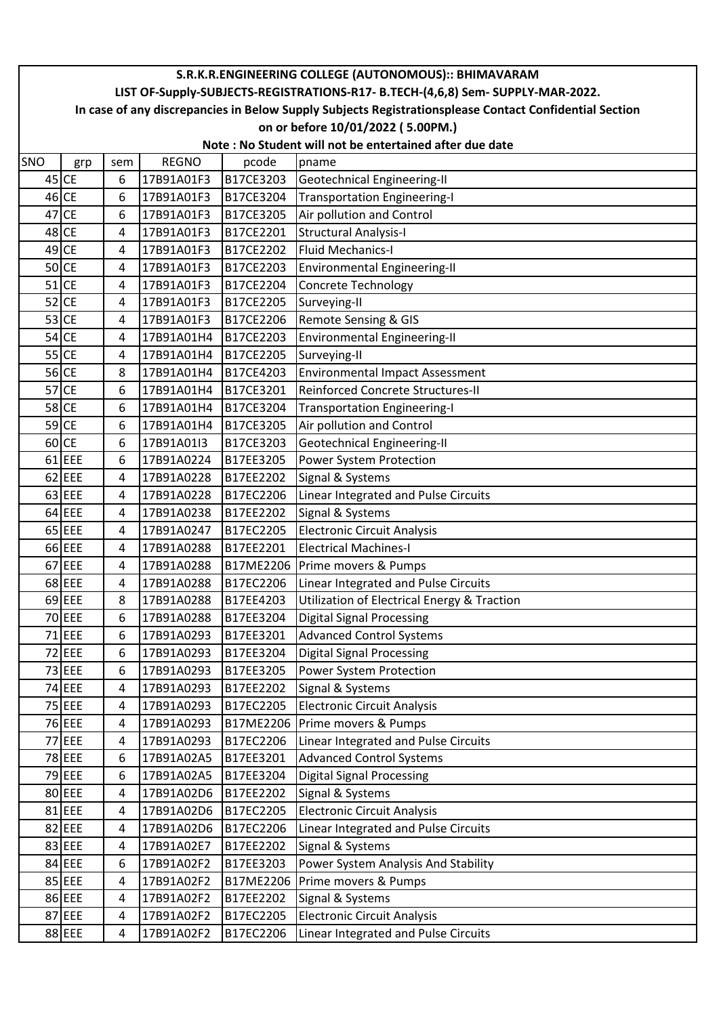|     | S.R.K.R.ENGINEERING COLLEGE (AUTONOMOUS):: BHIMAVARAM                                                  |     |              |           |                                             |  |  |  |  |  |  |
|-----|--------------------------------------------------------------------------------------------------------|-----|--------------|-----------|---------------------------------------------|--|--|--|--|--|--|
|     | LIST OF-Supply-SUBJECTS-REGISTRATIONS-R17- B.TECH-(4,6,8) Sem- SUPPLY-MAR-2022.                        |     |              |           |                                             |  |  |  |  |  |  |
|     | In case of any discrepancies in Below Supply Subjects Registrationsplease Contact Confidential Section |     |              |           |                                             |  |  |  |  |  |  |
|     |                                                                                                        |     |              |           | on or before 10/01/2022 (5.00PM.)           |  |  |  |  |  |  |
|     | Note: No Student will not be entertained after due date                                                |     |              |           |                                             |  |  |  |  |  |  |
| SNO | grp                                                                                                    | sem | <b>REGNO</b> | pcode     | pname                                       |  |  |  |  |  |  |
|     | $45$ CE                                                                                                | 6   | 17B91A01F3   | B17CE3203 | Geotechnical Engineering-II                 |  |  |  |  |  |  |
|     | $46$ CE                                                                                                | 6   | 17B91A01F3   | B17CE3204 | <b>Transportation Engineering-I</b>         |  |  |  |  |  |  |
|     | 47 CE                                                                                                  | 6   | 17B91A01F3   | B17CE3205 | Air pollution and Control                   |  |  |  |  |  |  |
|     | 48 CE                                                                                                  | 4   | 17B91A01F3   | B17CE2201 | <b>Structural Analysis-I</b>                |  |  |  |  |  |  |
|     | 49 CE                                                                                                  | 4   | 17B91A01F3   | B17CE2202 | <b>Fluid Mechanics-I</b>                    |  |  |  |  |  |  |
|     | $50$ CE                                                                                                | 4   | 17B91A01F3   | B17CE2203 | Environmental Engineering-II                |  |  |  |  |  |  |
|     | $51$ CE                                                                                                | 4   | 17B91A01F3   | B17CE2204 | <b>Concrete Technology</b>                  |  |  |  |  |  |  |
|     | $52$ CE                                                                                                | 4   | 17B91A01F3   | B17CE2205 | Surveying-II                                |  |  |  |  |  |  |
|     | $53$ CE                                                                                                | 4   | 17B91A01F3   | B17CE2206 | Remote Sensing & GIS                        |  |  |  |  |  |  |
|     | $54$ CE                                                                                                | 4   | 17B91A01H4   | B17CE2203 | Environmental Engineering-II                |  |  |  |  |  |  |
|     | $55$ CE                                                                                                | 4   | 17B91A01H4   | B17CE2205 | Surveying-II                                |  |  |  |  |  |  |
|     | 56 CE                                                                                                  | 8   | 17B91A01H4   | B17CE4203 | <b>Environmental Impact Assessment</b>      |  |  |  |  |  |  |
|     | $57$ CE                                                                                                | 6   | 17B91A01H4   | B17CE3201 | Reinforced Concrete Structures-II           |  |  |  |  |  |  |
|     | 58 CE                                                                                                  | 6   | 17B91A01H4   | B17CE3204 | <b>Transportation Engineering-I</b>         |  |  |  |  |  |  |
|     | 59 CE                                                                                                  | 6   | 17B91A01H4   | B17CE3205 | Air pollution and Control                   |  |  |  |  |  |  |
|     | $60$ CE                                                                                                | 6   | 17B91A01I3   | B17CE3203 | <b>Geotechnical Engineering-II</b>          |  |  |  |  |  |  |
|     | $61$ EEE                                                                                               | 6   | 17B91A0224   | B17EE3205 | Power System Protection                     |  |  |  |  |  |  |
|     | 62 EEE                                                                                                 | 4   | 17B91A0228   | B17EE2202 | Signal & Systems                            |  |  |  |  |  |  |
|     | 63 EEE                                                                                                 | 4   | 17B91A0228   | B17EC2206 | Linear Integrated and Pulse Circuits        |  |  |  |  |  |  |
|     | $64$ EEE                                                                                               | 4   | 17B91A0238   | B17EE2202 | Signal & Systems                            |  |  |  |  |  |  |
|     | $65$ EEE                                                                                               | 4   | 17B91A0247   | B17EC2205 | <b>Electronic Circuit Analysis</b>          |  |  |  |  |  |  |
|     | 66 EEE                                                                                                 | 4   | 17B91A0288   | B17EE2201 | <b>Electrical Machines-I</b>                |  |  |  |  |  |  |
|     | 67 EEE                                                                                                 | 4   | 17B91A0288   | B17ME2206 | Prime movers & Pumps                        |  |  |  |  |  |  |
|     | 68 EEE                                                                                                 | 4   | 17B91A0288   | B17EC2206 | Linear Integrated and Pulse Circuits        |  |  |  |  |  |  |
|     | 69 EEE                                                                                                 | 8   | 17B91A0288   | B17EE4203 | Utilization of Electrical Energy & Traction |  |  |  |  |  |  |
|     | 70 EEE                                                                                                 | 6   | 17B91A0288   | B17EE3204 | <b>Digital Signal Processing</b>            |  |  |  |  |  |  |
|     | 71 EEE                                                                                                 | 6   | 17B91A0293   | B17EE3201 | <b>Advanced Control Systems</b>             |  |  |  |  |  |  |
|     | 72 EEE                                                                                                 | 6   | 17B91A0293   | B17EE3204 | <b>Digital Signal Processing</b>            |  |  |  |  |  |  |
|     | 73 EEE                                                                                                 | 6   | 17B91A0293   | B17EE3205 | Power System Protection                     |  |  |  |  |  |  |
|     | 74 EEE                                                                                                 | 4   | 17B91A0293   | B17EE2202 | Signal & Systems                            |  |  |  |  |  |  |
|     | 75 EEE                                                                                                 | 4   | 17B91A0293   | B17EC2205 | <b>Electronic Circuit Analysis</b>          |  |  |  |  |  |  |
|     | 76 EEE                                                                                                 | 4   | 17B91A0293   | B17ME2206 | Prime movers & Pumps                        |  |  |  |  |  |  |
|     | 77 EEE                                                                                                 | 4   | 17B91A0293   | B17EC2206 | Linear Integrated and Pulse Circuits        |  |  |  |  |  |  |
|     | 78 EEE                                                                                                 | 6   | 17B91A02A5   | B17EE3201 | <b>Advanced Control Systems</b>             |  |  |  |  |  |  |
|     | 79 EEE                                                                                                 | 6   | 17B91A02A5   | B17EE3204 | <b>Digital Signal Processing</b>            |  |  |  |  |  |  |
|     | 80 EEE                                                                                                 | 4   | 17B91A02D6   | B17EE2202 | Signal & Systems                            |  |  |  |  |  |  |
|     | 81 EEE                                                                                                 | 4   | 17B91A02D6   | B17EC2205 | <b>Electronic Circuit Analysis</b>          |  |  |  |  |  |  |
|     | 82 EEE                                                                                                 | 4   | 17B91A02D6   | B17EC2206 | Linear Integrated and Pulse Circuits        |  |  |  |  |  |  |
|     | 83 EEE                                                                                                 | 4   | 17B91A02E7   | B17EE2202 | Signal & Systems                            |  |  |  |  |  |  |
|     | 84 EEE                                                                                                 | 6   | 17B91A02F2   | B17EE3203 | Power System Analysis And Stability         |  |  |  |  |  |  |
|     | 85 EEE                                                                                                 | 4   | 17B91A02F2   | B17ME2206 | Prime movers & Pumps                        |  |  |  |  |  |  |
|     | 86 EEE                                                                                                 | 4   | 17B91A02F2   | B17EE2202 | Signal & Systems                            |  |  |  |  |  |  |
|     | 87 EEE                                                                                                 | 4   | 17B91A02F2   | B17EC2205 | <b>Electronic Circuit Analysis</b>          |  |  |  |  |  |  |
|     | 88 EEE                                                                                                 | 4   | 17B91A02F2   | B17EC2206 | Linear Integrated and Pulse Circuits        |  |  |  |  |  |  |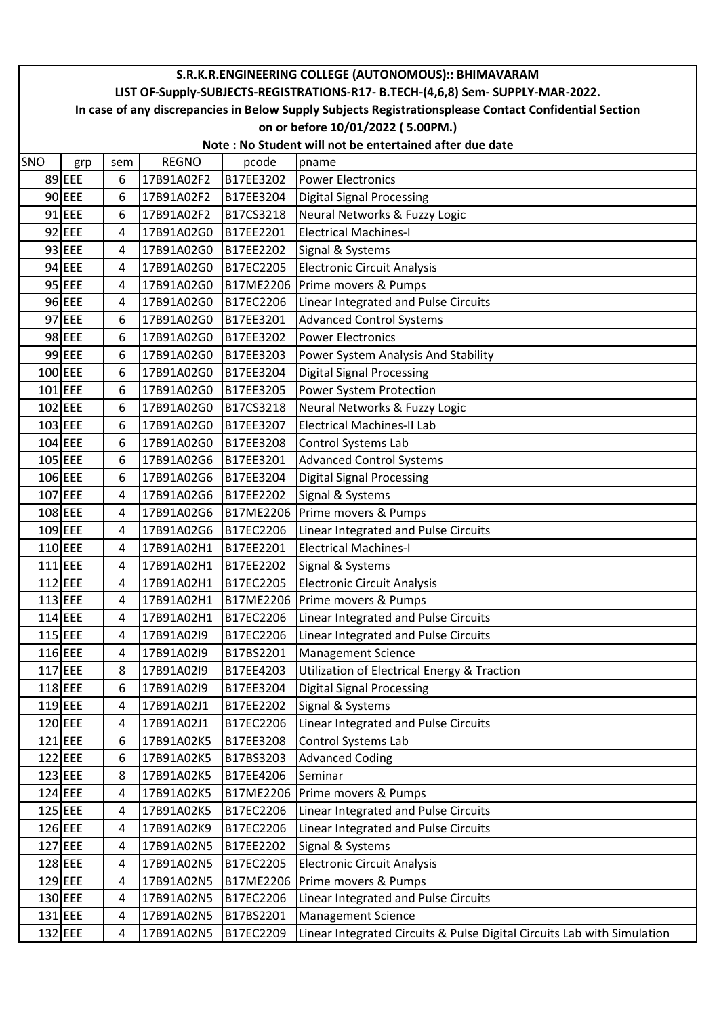|     | S.R.K.R.ENGINEERING COLLEGE (AUTONOMOUS):: BHIMAVARAM                                                                                       |        |                          |                        |                                                                         |  |  |  |  |  |
|-----|---------------------------------------------------------------------------------------------------------------------------------------------|--------|--------------------------|------------------------|-------------------------------------------------------------------------|--|--|--|--|--|
|     | LIST OF-Supply-SUBJECTS-REGISTRATIONS-R17- B.TECH-(4,6,8) Sem- SUPPLY-MAR-2022.                                                             |        |                          |                        |                                                                         |  |  |  |  |  |
|     | In case of any discrepancies in Below Supply Subjects Registrationsplease Contact Confidential Section<br>on or before 10/01/2022 (5.00PM.) |        |                          |                        |                                                                         |  |  |  |  |  |
|     | Note: No Student will not be entertained after due date                                                                                     |        |                          |                        |                                                                         |  |  |  |  |  |
| SNO | grp                                                                                                                                         | sem    | <b>REGNO</b>             | pcode                  | pname                                                                   |  |  |  |  |  |
|     | 89 EEE                                                                                                                                      | 6      | 17B91A02F2               | B17EE3202              | <b>Power Electronics</b>                                                |  |  |  |  |  |
|     | 90 EEE                                                                                                                                      | 6      | 17B91A02F2               | B17EE3204              | <b>Digital Signal Processing</b>                                        |  |  |  |  |  |
|     | 91 EEE                                                                                                                                      | 6      | 17B91A02F2               | B17CS3218              | Neural Networks & Fuzzy Logic                                           |  |  |  |  |  |
|     | 92 EEE                                                                                                                                      | 4      | 17B91A02G0               | B17EE2201              | <b>Electrical Machines-I</b>                                            |  |  |  |  |  |
|     | 93 EEE                                                                                                                                      | 4      | 17B91A02G0               | B17EE2202              | Signal & Systems                                                        |  |  |  |  |  |
|     | 94 EEE                                                                                                                                      | 4      | 17B91A02G0               | B17EC2205              | <b>Electronic Circuit Analysis</b>                                      |  |  |  |  |  |
|     | 95 EEE                                                                                                                                      | 4      | 17B91A02G0               | B17ME2206              | Prime movers & Pumps                                                    |  |  |  |  |  |
|     | 96 EEE                                                                                                                                      | 4      | 17B91A02G0               | B17EC2206              | Linear Integrated and Pulse Circuits                                    |  |  |  |  |  |
|     | 97 EEE                                                                                                                                      | 6      | 17B91A02G0               | B17EE3201              | <b>Advanced Control Systems</b>                                         |  |  |  |  |  |
|     | 98 EEE                                                                                                                                      | 6      | 17B91A02G0               | B17EE3202              | <b>Power Electronics</b>                                                |  |  |  |  |  |
|     | 99 EEE                                                                                                                                      | 6      | 17B91A02G0               | B17EE3203              | Power System Analysis And Stability                                     |  |  |  |  |  |
|     | $100$ EEE                                                                                                                                   | 6      | 17B91A02G0               | B17EE3204              | <b>Digital Signal Processing</b>                                        |  |  |  |  |  |
|     | 101 EEE                                                                                                                                     | 6      | 17B91A02G0               | B17EE3205              | Power System Protection                                                 |  |  |  |  |  |
|     | 102 EEE                                                                                                                                     | 6      | 17B91A02G0               | B17CS3218              | Neural Networks & Fuzzy Logic                                           |  |  |  |  |  |
|     | $103$ EEE                                                                                                                                   | 6      | 17B91A02G0               | B17EE3207              | <b>Electrical Machines-II Lab</b>                                       |  |  |  |  |  |
|     | 104 EEE                                                                                                                                     | 6      | 17B91A02G0               | B17EE3208              | Control Systems Lab                                                     |  |  |  |  |  |
|     | $105$ EEE                                                                                                                                   | 6      | 17B91A02G6               | B17EE3201              | <b>Advanced Control Systems</b>                                         |  |  |  |  |  |
|     | 106 EEE                                                                                                                                     | 6      | 17B91A02G6               | B17EE3204              | <b>Digital Signal Processing</b>                                        |  |  |  |  |  |
|     | 107 EEE                                                                                                                                     | 4      | 17B91A02G6               | B17EE2202              | Signal & Systems                                                        |  |  |  |  |  |
|     | 108 EEE                                                                                                                                     | 4      | 17B91A02G6               | B17ME2206              | Prime movers & Pumps                                                    |  |  |  |  |  |
|     | 109 EEE                                                                                                                                     | 4      | 17B91A02G6               | B17EC2206              | Linear Integrated and Pulse Circuits                                    |  |  |  |  |  |
|     | 110 EEE                                                                                                                                     | 4      | 17B91A02H1               | B17EE2201              | <b>Electrical Machines-I</b>                                            |  |  |  |  |  |
|     | 111 EEE                                                                                                                                     | 4      | 17B91A02H1               | B17EE2202              | Signal & Systems                                                        |  |  |  |  |  |
|     | 112 EEE                                                                                                                                     | 4      | 17B91A02H1               | B17EC2205              | <b>Electronic Circuit Analysis</b>                                      |  |  |  |  |  |
|     | $113$ EEE                                                                                                                                   | 4      | 17B91A02H1               | B17ME2206              | Prime movers & Pumps                                                    |  |  |  |  |  |
|     | 114 EEE                                                                                                                                     | 4      | 17B91A02H1               | B17EC2206              | Linear Integrated and Pulse Circuits                                    |  |  |  |  |  |
|     | 115 EEE                                                                                                                                     | 4      | 17B91A02I9               | B17EC2206              | Linear Integrated and Pulse Circuits                                    |  |  |  |  |  |
|     | 116 EEE                                                                                                                                     | 4      | 17B91A02I9               | B17BS2201              | <b>Management Science</b>                                               |  |  |  |  |  |
|     | 117 EEE                                                                                                                                     | 8      | 17B91A02I9               | B17EE4203              | <b>Utilization of Electrical Energy &amp; Traction</b>                  |  |  |  |  |  |
|     | 118 EEE                                                                                                                                     | 6      | 17B91A02I9               | B17EE3204              | <b>Digital Signal Processing</b>                                        |  |  |  |  |  |
|     | 119 EEE                                                                                                                                     | 4      | 17B91A02J1               | B17EE2202              | Signal & Systems                                                        |  |  |  |  |  |
|     | 120 EEE                                                                                                                                     | 4      | 17B91A02J1               | B17EC2206              | Linear Integrated and Pulse Circuits                                    |  |  |  |  |  |
|     | 121 EEE                                                                                                                                     | 6      | 17B91A02K5               | B17EE3208              | Control Systems Lab                                                     |  |  |  |  |  |
|     | $122$ EEE                                                                                                                                   | 6      | 17B91A02K5               | B17BS3203              | <b>Advanced Coding</b>                                                  |  |  |  |  |  |
|     | 123 EEE                                                                                                                                     | 8      | 17B91A02K5               | B17EE4206              | Seminar                                                                 |  |  |  |  |  |
|     | 124 EEE                                                                                                                                     | 4      | 17B91A02K5               | B17ME2206              | Prime movers & Pumps                                                    |  |  |  |  |  |
|     | $125$ EEE                                                                                                                                   | 4      | 17B91A02K5               | B17EC2206              | Linear Integrated and Pulse Circuits                                    |  |  |  |  |  |
|     | 126 EEE                                                                                                                                     | 4      | 17B91A02K9               | B17EC2206              | Linear Integrated and Pulse Circuits                                    |  |  |  |  |  |
|     | 127 EEE                                                                                                                                     | 4      | 17B91A02N5               | B17EE2202              | Signal & Systems                                                        |  |  |  |  |  |
|     | 128 EEE<br>129 EEE                                                                                                                          | 4      | 17B91A02N5               | B17EC2205              | <b>Electronic Circuit Analysis</b>                                      |  |  |  |  |  |
|     | 130 EEE                                                                                                                                     | 4<br>4 | 17B91A02N5<br>17B91A02N5 | B17ME2206<br>B17EC2206 | Prime movers & Pumps                                                    |  |  |  |  |  |
|     | 131 EEE                                                                                                                                     | 4      | 17B91A02N5               | B17BS2201              | Linear Integrated and Pulse Circuits<br><b>Management Science</b>       |  |  |  |  |  |
|     | 132 EEE                                                                                                                                     | 4      | 17B91A02N5               | B17EC2209              | Linear Integrated Circuits & Pulse Digital Circuits Lab with Simulation |  |  |  |  |  |
|     |                                                                                                                                             |        |                          |                        |                                                                         |  |  |  |  |  |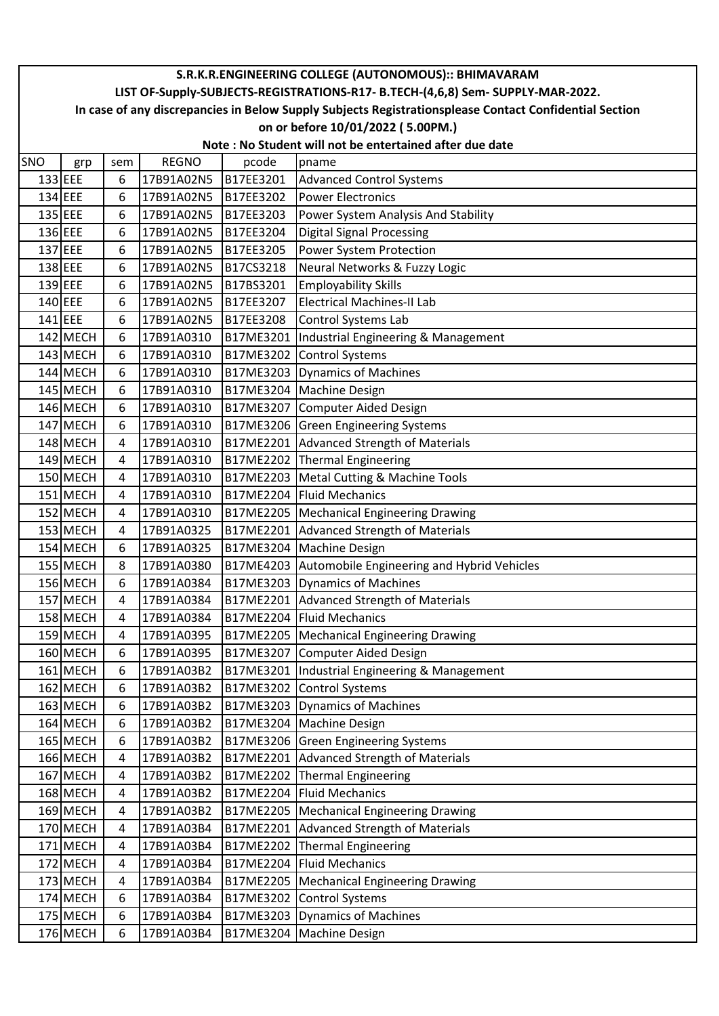|         | S.R.K.R.ENGINEERING COLLEGE (AUTONOMOUS):: BHIMAVARAM                                                  |     |              |           |                                            |  |  |  |  |  |
|---------|--------------------------------------------------------------------------------------------------------|-----|--------------|-----------|--------------------------------------------|--|--|--|--|--|
|         | LIST OF-Supply-SUBJECTS-REGISTRATIONS-R17- B.TECH-(4,6,8) Sem- SUPPLY-MAR-2022.                        |     |              |           |                                            |  |  |  |  |  |
|         | In case of any discrepancies in Below Supply Subjects Registrationsplease Contact Confidential Section |     |              |           |                                            |  |  |  |  |  |
|         | on or before 10/01/2022 (5.00PM.)                                                                      |     |              |           |                                            |  |  |  |  |  |
|         | Note: No Student will not be entertained after due date                                                |     |              |           |                                            |  |  |  |  |  |
| SNO     | grp                                                                                                    | sem | <b>REGNO</b> | pcode     | pname                                      |  |  |  |  |  |
| 133 EEE |                                                                                                        | 6   | 17B91A02N5   | B17EE3201 | <b>Advanced Control Systems</b>            |  |  |  |  |  |
| 134 EEE |                                                                                                        | 6   | 17B91A02N5   | B17EE3202 | <b>Power Electronics</b>                   |  |  |  |  |  |
| 135 EEE |                                                                                                        | 6   | 17B91A02N5   | B17EE3203 | Power System Analysis And Stability        |  |  |  |  |  |
| 136 EEE |                                                                                                        | 6   | 17B91A02N5   | B17EE3204 | <b>Digital Signal Processing</b>           |  |  |  |  |  |
| 137 EEE |                                                                                                        | 6   | 17B91A02N5   | B17EE3205 | Power System Protection                    |  |  |  |  |  |
| 138 EEE |                                                                                                        | 6   | 17B91A02N5   | B17CS3218 | Neural Networks & Fuzzy Logic              |  |  |  |  |  |
| 139 EEE |                                                                                                        | 6   | 17B91A02N5   | B17BS3201 | <b>Employability Skills</b>                |  |  |  |  |  |
| 140 EEE |                                                                                                        | 6   | 17B91A02N5   | B17EE3207 | <b>Electrical Machines-II Lab</b>          |  |  |  |  |  |
|         | 141 EEE                                                                                                | 6   | 17B91A02N5   | B17EE3208 | Control Systems Lab                        |  |  |  |  |  |
|         | 142 MECH                                                                                               | 6   | 17B91A0310   | B17ME3201 | Industrial Engineering & Management        |  |  |  |  |  |
|         | 143 MECH                                                                                               | 6   | 17B91A0310   | B17ME3202 | <b>Control Systems</b>                     |  |  |  |  |  |
|         | 144 MECH                                                                                               | 6   | 17B91A0310   | B17ME3203 | Dynamics of Machines                       |  |  |  |  |  |
|         | 145 MECH                                                                                               | 6   | 17B91A0310   | B17ME3204 | <b>Machine Design</b>                      |  |  |  |  |  |
|         | 146 MECH                                                                                               | 6   | 17B91A0310   | B17ME3207 | Computer Aided Design                      |  |  |  |  |  |
|         | 147 MECH                                                                                               | 6   | 17B91A0310   | B17ME3206 | <b>Green Engineering Systems</b>           |  |  |  |  |  |
|         | 148 MECH                                                                                               | 4   | 17B91A0310   | B17ME2201 | Advanced Strength of Materials             |  |  |  |  |  |
|         | $149$ MECH                                                                                             | 4   | 17B91A0310   | B17ME2202 | Thermal Engineering                        |  |  |  |  |  |
|         | 150 MECH                                                                                               | 4   | 17B91A0310   | B17ME2203 | Metal Cutting & Machine Tools              |  |  |  |  |  |
|         | 151 MECH                                                                                               | 4   | 17B91A0310   | B17ME2204 | Fluid Mechanics                            |  |  |  |  |  |
|         | 152 MECH                                                                                               | 4   | 17B91A0310   | B17ME2205 | Mechanical Engineering Drawing             |  |  |  |  |  |
|         | 153 MECH                                                                                               | 4   | 17B91A0325   | B17ME2201 | Advanced Strength of Materials             |  |  |  |  |  |
|         | 154 MECH                                                                                               | 6   | 17B91A0325   | B17ME3204 | <b>Machine Design</b>                      |  |  |  |  |  |
|         | 155 MECH                                                                                               | 8   | 17B91A0380   | B17ME4203 | Automobile Engineering and Hybrid Vehicles |  |  |  |  |  |
|         | 156 MECH                                                                                               | 6   | 17B91A0384   |           | B17ME3203 Dynamics of Machines             |  |  |  |  |  |
|         | 157 MECH                                                                                               | 4   | 17B91A0384   | B17ME2201 | Advanced Strength of Materials             |  |  |  |  |  |
|         | 158 MECH                                                                                               | 4   | 17B91A0384   | B17ME2204 | <b>Fluid Mechanics</b>                     |  |  |  |  |  |
|         | 159 MECH                                                                                               | 4   | 17B91A0395   | B17ME2205 | Mechanical Engineering Drawing             |  |  |  |  |  |
|         | 160 MECH                                                                                               | 6   | 17B91A0395   | B17ME3207 | Computer Aided Design                      |  |  |  |  |  |
|         | 161 MECH                                                                                               | 6   | 17B91A03B2   | B17ME3201 | Industrial Engineering & Management        |  |  |  |  |  |
|         | 162 MECH                                                                                               | 6   | 17B91A03B2   | B17ME3202 | <b>Control Systems</b>                     |  |  |  |  |  |
|         | $163$ MECH                                                                                             | 6   | 17B91A03B2   | B17ME3203 | Dynamics of Machines                       |  |  |  |  |  |
|         | 164 MECH                                                                                               | 6   | 17B91A03B2   | B17ME3204 | <b>Machine Design</b>                      |  |  |  |  |  |
|         | 165 MECH                                                                                               | 6   | 17B91A03B2   |           | B17ME3206 Green Engineering Systems        |  |  |  |  |  |
|         | 166 MECH                                                                                               | 4   | 17B91A03B2   | B17ME2201 | Advanced Strength of Materials             |  |  |  |  |  |
|         | 167 MECH                                                                                               | 4   | 17B91A03B2   | B17ME2202 | Thermal Engineering                        |  |  |  |  |  |
|         | 168 MECH                                                                                               | 4   | 17B91A03B2   | B17ME2204 | Fluid Mechanics                            |  |  |  |  |  |
|         | 169 MECH                                                                                               | 4   | 17B91A03B2   | B17ME2205 | Mechanical Engineering Drawing             |  |  |  |  |  |
|         | 170 MECH                                                                                               | 4   | 17B91A03B4   | B17ME2201 | Advanced Strength of Materials             |  |  |  |  |  |
|         | 171 MECH                                                                                               | 4   | 17B91A03B4   | B17ME2202 | Thermal Engineering                        |  |  |  |  |  |
|         | 172 MECH                                                                                               | 4   | 17B91A03B4   | B17ME2204 | Fluid Mechanics                            |  |  |  |  |  |
|         | 173 MECH                                                                                               | 4   | 17B91A03B4   | B17ME2205 | Mechanical Engineering Drawing             |  |  |  |  |  |
|         | 174 MECH                                                                                               | 6   | 17B91A03B4   | B17ME3202 | Control Systems                            |  |  |  |  |  |
|         | 175 MECH                                                                                               | 6   | 17B91A03B4   | B17ME3203 | Dynamics of Machines                       |  |  |  |  |  |
|         | 176 MECH                                                                                               | 6   | 17B91A03B4   | B17ME3204 | Machine Design                             |  |  |  |  |  |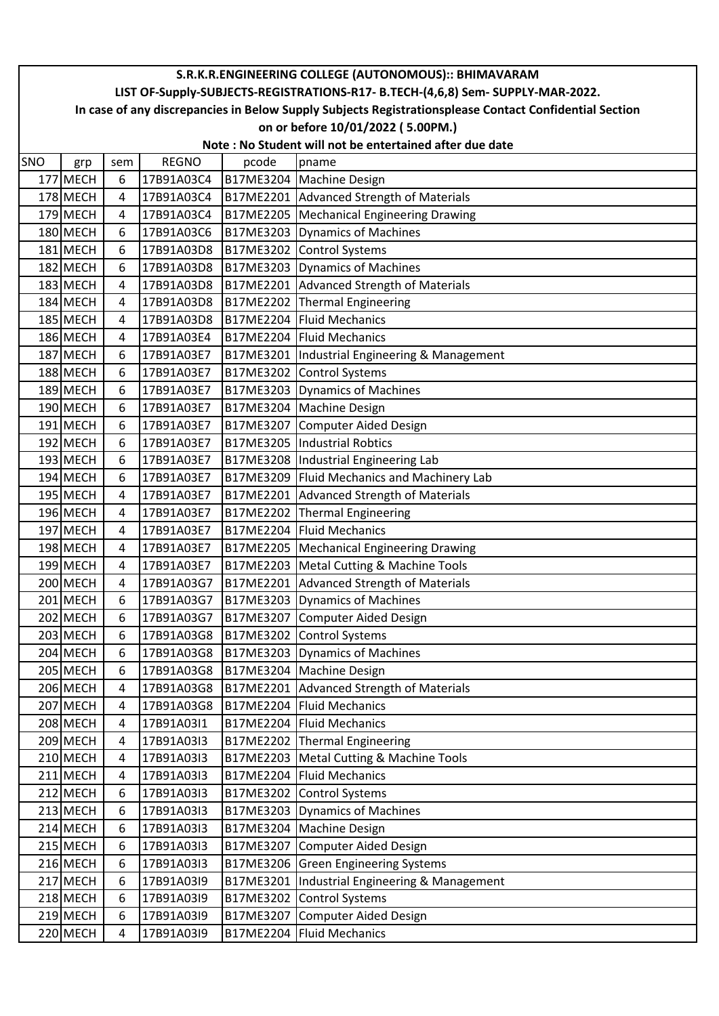|     | S.R.K.R.ENGINEERING COLLEGE (AUTONOMOUS):: BHIMAVARAM                                                  |     |              |           |                                     |  |  |  |  |  |
|-----|--------------------------------------------------------------------------------------------------------|-----|--------------|-----------|-------------------------------------|--|--|--|--|--|
|     | LIST OF-Supply-SUBJECTS-REGISTRATIONS-R17- B.TECH-(4,6,8) Sem- SUPPLY-MAR-2022.                        |     |              |           |                                     |  |  |  |  |  |
|     | In case of any discrepancies in Below Supply Subjects Registrationsplease Contact Confidential Section |     |              |           |                                     |  |  |  |  |  |
|     | on or before 10/01/2022 (5.00PM.)                                                                      |     |              |           |                                     |  |  |  |  |  |
|     | Note: No Student will not be entertained after due date                                                |     |              |           |                                     |  |  |  |  |  |
| SNO | grp                                                                                                    | sem | <b>REGNO</b> | pcode     | pname                               |  |  |  |  |  |
|     | 177 MECH                                                                                               | 6   | 17B91A03C4   | B17ME3204 | Machine Design                      |  |  |  |  |  |
|     | 178 MECH                                                                                               | 4   | 17B91A03C4   | B17ME2201 | Advanced Strength of Materials      |  |  |  |  |  |
|     | 179 MECH                                                                                               | 4   | 17B91A03C4   | B17ME2205 | Mechanical Engineering Drawing      |  |  |  |  |  |
|     | 180 MECH                                                                                               | 6   | 17B91A03C6   | B17ME3203 | Dynamics of Machines                |  |  |  |  |  |
|     | 181 MECH                                                                                               | 6   | 17B91A03D8   | B17ME3202 | <b>Control Systems</b>              |  |  |  |  |  |
|     | 182 MECH                                                                                               | 6   | 17B91A03D8   | B17ME3203 | Dynamics of Machines                |  |  |  |  |  |
|     | 183 MECH                                                                                               | 4   | 17B91A03D8   | B17ME2201 | Advanced Strength of Materials      |  |  |  |  |  |
|     | 184 MECH                                                                                               | 4   | 17B91A03D8   | B17ME2202 | Thermal Engineering                 |  |  |  |  |  |
|     | 185 MECH                                                                                               | 4   | 17B91A03D8   | B17ME2204 | <b>Fluid Mechanics</b>              |  |  |  |  |  |
|     | 186 MECH                                                                                               | 4   | 17B91A03E4   | B17ME2204 | Fluid Mechanics                     |  |  |  |  |  |
|     | 187 MECH                                                                                               | 6   | 17B91A03E7   | B17ME3201 | Industrial Engineering & Management |  |  |  |  |  |
|     | 188 MECH                                                                                               | 6   | 17B91A03E7   | B17ME3202 | Control Systems                     |  |  |  |  |  |
|     | 189 MECH                                                                                               | 6   | 17B91A03E7   | B17ME3203 | Dynamics of Machines                |  |  |  |  |  |
|     | 190 MECH                                                                                               | 6   | 17B91A03E7   | B17ME3204 | <b>Machine Design</b>               |  |  |  |  |  |
|     | 191 MECH                                                                                               | 6   | 17B91A03E7   | B17ME3207 | <b>Computer Aided Design</b>        |  |  |  |  |  |
|     | 192 MECH                                                                                               | 6   | 17B91A03E7   | B17ME3205 | Industrial Robtics                  |  |  |  |  |  |
|     | $193$ MECH                                                                                             | 6   | 17B91A03E7   | B17ME3208 | Industrial Engineering Lab          |  |  |  |  |  |
|     | 194 MECH                                                                                               | 6   | 17B91A03E7   | B17ME3209 | Fluid Mechanics and Machinery Lab   |  |  |  |  |  |
|     | 195 MECH                                                                                               | 4   | 17B91A03E7   | B17ME2201 | Advanced Strength of Materials      |  |  |  |  |  |
|     | 196 MECH                                                                                               | 4   | 17B91A03E7   | B17ME2202 | Thermal Engineering                 |  |  |  |  |  |
|     | 197 MECH                                                                                               | 4   | 17B91A03E7   | B17ME2204 | Fluid Mechanics                     |  |  |  |  |  |
|     | 198 MECH                                                                                               | 4   | 17B91A03E7   | B17ME2205 | Mechanical Engineering Drawing      |  |  |  |  |  |
|     | $199$ MECH                                                                                             | 4   | 17B91A03E7   | B17ME2203 | Metal Cutting & Machine Tools       |  |  |  |  |  |
|     | 200 MECH                                                                                               | 4   | 17B91A03G7   | B17ME2201 | Advanced Strength of Materials      |  |  |  |  |  |
|     | 201 MECH                                                                                               | 6   | 17B91A03G7   | B17ME3203 | Dynamics of Machines                |  |  |  |  |  |
|     | 202 MECH                                                                                               | 6   | 17B91A03G7   | B17ME3207 | Computer Aided Design               |  |  |  |  |  |
|     | 203 MECH                                                                                               | 6   | 17B91A03G8   | B17ME3202 | <b>Control Systems</b>              |  |  |  |  |  |
|     | 204 MECH                                                                                               | 6   | 17B91A03G8   |           | B17ME3203 Dynamics of Machines      |  |  |  |  |  |
|     | 205 MECH                                                                                               | 6   | 17B91A03G8   | B17ME3204 | Machine Design                      |  |  |  |  |  |
|     | 206 MECH                                                                                               | 4   | 17B91A03G8   | B17ME2201 | Advanced Strength of Materials      |  |  |  |  |  |
|     | 207 MECH                                                                                               | 4   | 17B91A03G8   | B17ME2204 | <b>Fluid Mechanics</b>              |  |  |  |  |  |
|     | 208 MECH                                                                                               | 4   | 17B91A03I1   | B17ME2204 | <b>Fluid Mechanics</b>              |  |  |  |  |  |
|     | 209 MECH                                                                                               | 4   | 17B91A03I3   | B17ME2202 | Thermal Engineering                 |  |  |  |  |  |
|     | 210 MECH                                                                                               | 4   | 17B91A03I3   | B17ME2203 | Metal Cutting & Machine Tools       |  |  |  |  |  |
|     | 211 MECH                                                                                               | 4   | 17B91A03I3   | B17ME2204 | <b>Fluid Mechanics</b>              |  |  |  |  |  |
|     | 212 MECH                                                                                               | 6   | 17B91A03I3   | B17ME3202 | Control Systems                     |  |  |  |  |  |
|     | $213$ MECH                                                                                             | 6   | 17B91A03I3   | B17ME3203 | Dynamics of Machines                |  |  |  |  |  |
|     | 214 MECH                                                                                               | 6   | 17B91A03I3   | B17ME3204 | Machine Design                      |  |  |  |  |  |
|     | 215 MECH                                                                                               | 6   | 17B91A03I3   | B17ME3207 | Computer Aided Design               |  |  |  |  |  |
|     | 216 MECH                                                                                               | 6   | 17B91A03I3   |           | B17ME3206 Green Engineering Systems |  |  |  |  |  |
|     | 217 MECH                                                                                               | 6   | 17B91A03I9   | B17ME3201 | Industrial Engineering & Management |  |  |  |  |  |
|     | 218 MECH                                                                                               | 6   | 17B91A03I9   | B17ME3202 | Control Systems                     |  |  |  |  |  |
|     | 219 MECH                                                                                               | 6   | 17B91A03I9   | B17ME3207 | Computer Aided Design               |  |  |  |  |  |
|     | 220 MECH                                                                                               | 4   | 17B91A03I9   | B17ME2204 | <b>Fluid Mechanics</b>              |  |  |  |  |  |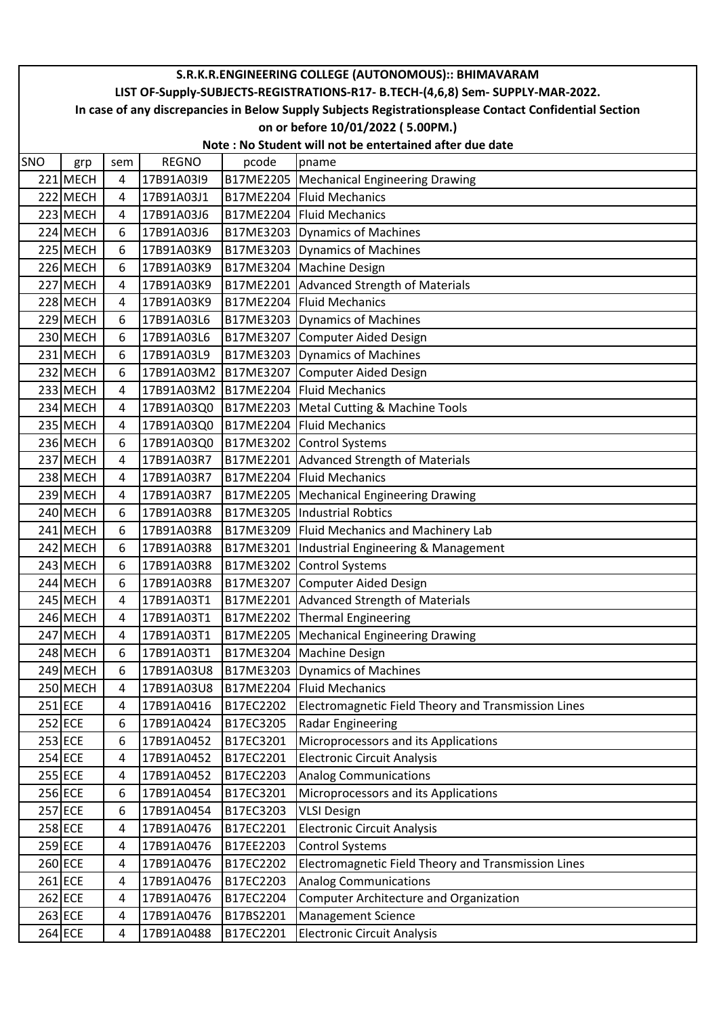|     | S.R.K.R.ENGINEERING COLLEGE (AUTONOMOUS):: BHIMAVARAM                                                  |     |              |                  |                                                     |  |  |  |  |  |
|-----|--------------------------------------------------------------------------------------------------------|-----|--------------|------------------|-----------------------------------------------------|--|--|--|--|--|
|     | LIST OF-Supply-SUBJECTS-REGISTRATIONS-R17- B.TECH-(4,6,8) Sem- SUPPLY-MAR-2022.                        |     |              |                  |                                                     |  |  |  |  |  |
|     | In case of any discrepancies in Below Supply Subjects Registrationsplease Contact Confidential Section |     |              |                  |                                                     |  |  |  |  |  |
|     | on or before 10/01/2022 (5.00PM.)                                                                      |     |              |                  |                                                     |  |  |  |  |  |
|     | Note: No Student will not be entertained after due date                                                |     |              |                  |                                                     |  |  |  |  |  |
| SNO | grp                                                                                                    | sem | <b>REGNO</b> | pcode            | pname                                               |  |  |  |  |  |
|     | 221 MECH                                                                                               | 4   | 17B91A03I9   | B17ME2205        | Mechanical Engineering Drawing                      |  |  |  |  |  |
|     | 222 MECH                                                                                               | 4   | 17B91A03J1   | B17ME2204        | Fluid Mechanics                                     |  |  |  |  |  |
|     | 223 MECH                                                                                               | 4   | 17B91A03J6   |                  | B17ME2204 Fluid Mechanics                           |  |  |  |  |  |
|     | 224 MECH                                                                                               | 6   | 17B91A03J6   | B17ME3203        | Dynamics of Machines                                |  |  |  |  |  |
|     | 225 MECH                                                                                               | 6   | 17B91A03K9   | B17ME3203        | Dynamics of Machines                                |  |  |  |  |  |
|     | 226 MECH                                                                                               | 6   | 17B91A03K9   | B17ME3204        | <b>Machine Design</b>                               |  |  |  |  |  |
|     | 227 MECH                                                                                               | 4   | 17B91A03K9   | B17ME2201        | Advanced Strength of Materials                      |  |  |  |  |  |
|     | 228 MECH                                                                                               | 4   | 17B91A03K9   | B17ME2204        | <b>Fluid Mechanics</b>                              |  |  |  |  |  |
|     | 229 MECH                                                                                               | 6   | 17B91A03L6   | B17ME3203        | Dynamics of Machines                                |  |  |  |  |  |
|     | 230 MECH                                                                                               | 6   | 17B91A03L6   | B17ME3207        | Computer Aided Design                               |  |  |  |  |  |
|     | 231 MECH                                                                                               | 6   | 17B91A03L9   | B17ME3203        | Dynamics of Machines                                |  |  |  |  |  |
|     | 232 MECH                                                                                               | 6   | 17B91A03M2   | B17ME3207        | Computer Aided Design                               |  |  |  |  |  |
|     | 233 MECH                                                                                               | 4   | 17B91A03M2   | <b>B17ME2204</b> | <b>Fluid Mechanics</b>                              |  |  |  |  |  |
|     | $234$ MECH                                                                                             | 4   | 17B91A03Q0   | B17ME2203        | Metal Cutting & Machine Tools                       |  |  |  |  |  |
|     | 235 MECH                                                                                               | 4   | 17B91A03Q0   | B17ME2204        | <b>Fluid Mechanics</b>                              |  |  |  |  |  |
|     | 236 MECH                                                                                               | 6   | 17B91A03Q0   | B17ME3202        | <b>Control Systems</b>                              |  |  |  |  |  |
|     | 237 MECH                                                                                               | 4   | 17B91A03R7   | B17ME2201        | Advanced Strength of Materials                      |  |  |  |  |  |
|     | 238 MECH                                                                                               | 4   | 17B91A03R7   | B17ME2204        | <b>Fluid Mechanics</b>                              |  |  |  |  |  |
|     | 239 MECH                                                                                               | 4   | 17B91A03R7   | B17ME2205        | Mechanical Engineering Drawing                      |  |  |  |  |  |
|     | 240 MECH                                                                                               | 6   | 17B91A03R8   | B17ME3205        | <b>Industrial Robtics</b>                           |  |  |  |  |  |
|     | 241 MECH                                                                                               | 6   | 17B91A03R8   | B17ME3209        | Fluid Mechanics and Machinery Lab                   |  |  |  |  |  |
|     | 242 MECH                                                                                               | 6   | 17B91A03R8   | B17ME3201        | Industrial Engineering & Management                 |  |  |  |  |  |
|     | $243$ MECH                                                                                             | 6   | 17B91A03R8   | B17ME3202        | <b>Control Systems</b>                              |  |  |  |  |  |
|     | 244 MECH                                                                                               | 6   | 17B91A03R8   | B17ME3207        | Computer Aided Design                               |  |  |  |  |  |
|     | 245 MECH                                                                                               | 4   | 17B91A03T1   | B17ME2201        | Advanced Strength of Materials                      |  |  |  |  |  |
|     | 246 MECH                                                                                               | 4   | 17B91A03T1   | B17ME2202        | Thermal Engineering                                 |  |  |  |  |  |
|     | 247 MECH                                                                                               | 4   | 17B91A03T1   | B17ME2205        | <b>Mechanical Engineering Drawing</b>               |  |  |  |  |  |
|     | 248 MECH                                                                                               | 6   | 17B91A03T1   | B17ME3204        | <b>Machine Design</b>                               |  |  |  |  |  |
|     | 249 MECH                                                                                               | 6   | 17B91A03U8   | B17ME3203        | Dynamics of Machines                                |  |  |  |  |  |
|     | 250 MECH                                                                                               | 4   | 17B91A03U8   | B17ME2204        | <b>Fluid Mechanics</b>                              |  |  |  |  |  |
|     | 251 ECE                                                                                                | 4   | 17B91A0416   | B17EC2202        | Electromagnetic Field Theory and Transmission Lines |  |  |  |  |  |
|     | 252 ECE                                                                                                | 6   | 17B91A0424   | B17EC3205        | <b>Radar Engineering</b>                            |  |  |  |  |  |
|     | 253 ECE                                                                                                | 6   | 17B91A0452   | B17EC3201        | Microprocessors and its Applications                |  |  |  |  |  |
|     | 254 ECE                                                                                                | 4   | 17B91A0452   | B17EC2201        | <b>Electronic Circuit Analysis</b>                  |  |  |  |  |  |
|     | 255 ECE                                                                                                | 4   | 17B91A0452   | B17EC2203        | <b>Analog Communications</b>                        |  |  |  |  |  |
|     | 256 ECE                                                                                                | 6   | 17B91A0454   | B17EC3201        | Microprocessors and its Applications                |  |  |  |  |  |
|     | 257 ECE                                                                                                | 6   | 17B91A0454   | B17EC3203        | <b>VLSI Design</b>                                  |  |  |  |  |  |
|     | 258 ECE                                                                                                | 4   | 17B91A0476   | B17EC2201        | <b>Electronic Circuit Analysis</b>                  |  |  |  |  |  |
|     | 259 ECE                                                                                                | 4   | 17B91A0476   | B17EE2203        | <b>Control Systems</b>                              |  |  |  |  |  |
|     | 260 ECE                                                                                                | 4   | 17B91A0476   | B17EC2202        | Electromagnetic Field Theory and Transmission Lines |  |  |  |  |  |
|     | 261 ECE                                                                                                | 4   | 17B91A0476   | B17EC2203        | <b>Analog Communications</b>                        |  |  |  |  |  |
|     | 262 ECE                                                                                                | 4   | 17B91A0476   | B17EC2204        | <b>Computer Architecture and Organization</b>       |  |  |  |  |  |
|     | 263 ECE                                                                                                | 4   | 17B91A0476   | B17BS2201        | <b>Management Science</b>                           |  |  |  |  |  |
|     | 264 ECE                                                                                                | 4   | 17B91A0488   | B17EC2201        | <b>Electronic Circuit Analysis</b>                  |  |  |  |  |  |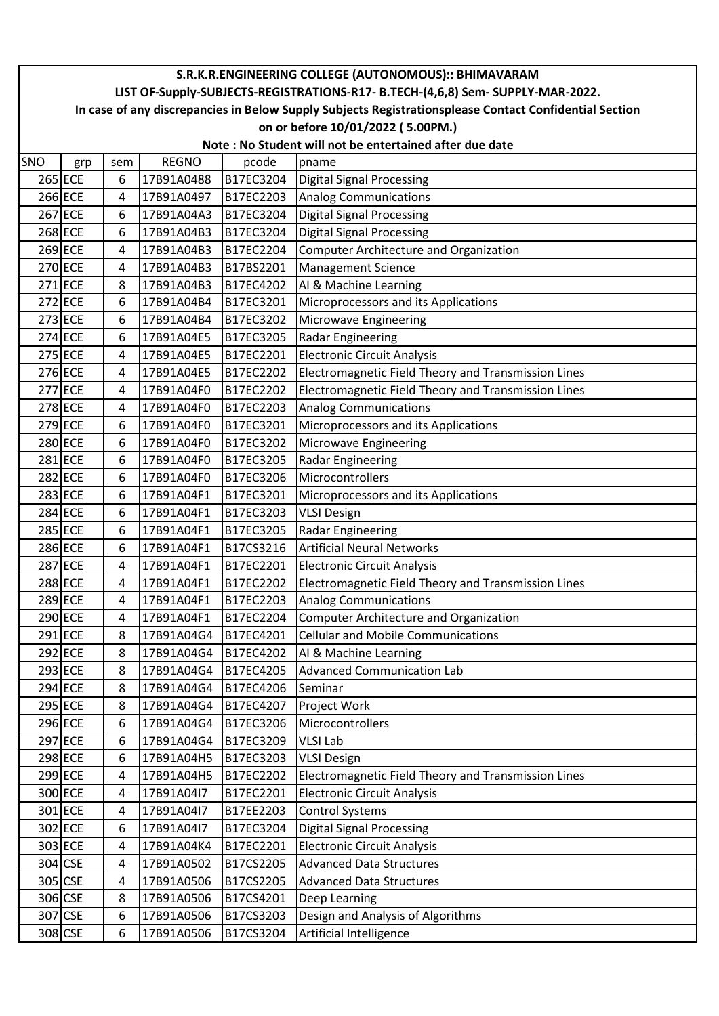|     | S.R.K.R.ENGINEERING COLLEGE (AUTONOMOUS):: BHIMAVARAM                                                  |     |              |           |                                                     |  |  |  |  |  |
|-----|--------------------------------------------------------------------------------------------------------|-----|--------------|-----------|-----------------------------------------------------|--|--|--|--|--|
|     | LIST OF-Supply-SUBJECTS-REGISTRATIONS-R17- B.TECH-(4,6,8) Sem- SUPPLY-MAR-2022.                        |     |              |           |                                                     |  |  |  |  |  |
|     | In case of any discrepancies in Below Supply Subjects Registrationsplease Contact Confidential Section |     |              |           |                                                     |  |  |  |  |  |
|     | on or before 10/01/2022 (5.00PM.)                                                                      |     |              |           |                                                     |  |  |  |  |  |
|     | Note: No Student will not be entertained after due date                                                |     |              |           |                                                     |  |  |  |  |  |
| SNO | grp                                                                                                    | sem | <b>REGNO</b> | pcode     | pname                                               |  |  |  |  |  |
|     | 265 ECE                                                                                                | 6   | 17B91A0488   | B17EC3204 | Digital Signal Processing                           |  |  |  |  |  |
|     | 266 ECE                                                                                                | 4   | 17B91A0497   | B17EC2203 | <b>Analog Communications</b>                        |  |  |  |  |  |
|     | 267 ECE                                                                                                | 6   | 17B91A04A3   | B17EC3204 | <b>Digital Signal Processing</b>                    |  |  |  |  |  |
|     | 268 ECE                                                                                                | 6   | 17B91A04B3   | B17EC3204 | Digital Signal Processing                           |  |  |  |  |  |
|     | 269 ECE                                                                                                | 4   | 17B91A04B3   | B17EC2204 | <b>Computer Architecture and Organization</b>       |  |  |  |  |  |
|     | 270 ECE                                                                                                | 4   | 17B91A04B3   | B17BS2201 | <b>Management Science</b>                           |  |  |  |  |  |
|     | $271$ ECE                                                                                              | 8   | 17B91A04B3   | B17EC4202 | AI & Machine Learning                               |  |  |  |  |  |
|     | 272 ECE                                                                                                | 6   | 17B91A04B4   | B17EC3201 | Microprocessors and its Applications                |  |  |  |  |  |
|     | 273 ECE                                                                                                | 6   | 17B91A04B4   | B17EC3202 | Microwave Engineering                               |  |  |  |  |  |
|     | 274 ECE                                                                                                | 6   | 17B91A04E5   | B17EC3205 | <b>Radar Engineering</b>                            |  |  |  |  |  |
|     | 275 ECE                                                                                                | 4   | 17B91A04E5   | B17EC2201 | <b>Electronic Circuit Analysis</b>                  |  |  |  |  |  |
|     | 276 ECE                                                                                                | 4   | 17B91A04E5   | B17EC2202 | Electromagnetic Field Theory and Transmission Lines |  |  |  |  |  |
|     | 277 ECE                                                                                                | 4   | 17B91A04F0   | B17EC2202 | Electromagnetic Field Theory and Transmission Lines |  |  |  |  |  |
|     | 278 ECE                                                                                                | 4   | 17B91A04F0   | B17EC2203 | <b>Analog Communications</b>                        |  |  |  |  |  |
|     | 279 ECE                                                                                                | 6   | 17B91A04F0   | B17EC3201 | Microprocessors and its Applications                |  |  |  |  |  |
|     | 280 ECE                                                                                                | 6   | 17B91A04F0   | B17EC3202 | Microwave Engineering                               |  |  |  |  |  |
|     | 281 ECE                                                                                                | 6   | 17B91A04F0   | B17EC3205 | <b>Radar Engineering</b>                            |  |  |  |  |  |
|     | 282 ECE                                                                                                | 6   | 17B91A04F0   | B17EC3206 | Microcontrollers                                    |  |  |  |  |  |
|     | 283 ECE                                                                                                | 6   | 17B91A04F1   | B17EC3201 | Microprocessors and its Applications                |  |  |  |  |  |
|     | 284 ECE                                                                                                | 6   | 17B91A04F1   | B17EC3203 | <b>VLSI Design</b>                                  |  |  |  |  |  |
|     | 285 ECE                                                                                                | 6   | 17B91A04F1   | B17EC3205 | <b>Radar Engineering</b>                            |  |  |  |  |  |
|     | 286 ECE                                                                                                | 6   | 17B91A04F1   | B17CS3216 | <b>Artificial Neural Networks</b>                   |  |  |  |  |  |
|     | 287 ECE                                                                                                | 4   | 17B91A04F1   | B17EC2201 | <b>Electronic Circuit Analysis</b>                  |  |  |  |  |  |
|     | 288 ECE                                                                                                | 4   | 17B91A04F1   | B17EC2202 | Electromagnetic Field Theory and Transmission Lines |  |  |  |  |  |
|     | 289 ECE                                                                                                | 4   | 17B91A04F1   | B17EC2203 | <b>Analog Communications</b>                        |  |  |  |  |  |
|     | 290 ECE                                                                                                | 4   | 17B91A04F1   | B17EC2204 | Computer Architecture and Organization              |  |  |  |  |  |
|     | $291$ ECE                                                                                              | 8   | 17B91A04G4   | B17EC4201 | <b>Cellular and Mobile Communications</b>           |  |  |  |  |  |
|     | 292 ECE                                                                                                | 8   | 17B91A04G4   | B17EC4202 | AI & Machine Learning                               |  |  |  |  |  |
|     | 293 ECE                                                                                                | 8   | 17B91A04G4   | B17EC4205 | <b>Advanced Communication Lab</b>                   |  |  |  |  |  |
|     | 294 ECE                                                                                                | 8   | 17B91A04G4   | B17EC4206 | Seminar                                             |  |  |  |  |  |
|     | 295 ECE                                                                                                | 8   | 17B91A04G4   | B17EC4207 | Project Work                                        |  |  |  |  |  |
|     | 296 ECE                                                                                                | 6   | 17B91A04G4   | B17EC3206 | Microcontrollers                                    |  |  |  |  |  |
|     | 297 ECE                                                                                                | 6   | 17B91A04G4   | B17EC3209 | <b>VLSI Lab</b>                                     |  |  |  |  |  |
|     | 298 ECE                                                                                                | 6   | 17B91A04H5   | B17EC3203 | <b>VLSI Design</b>                                  |  |  |  |  |  |
|     | 299 ECE                                                                                                | 4   | 17B91A04H5   | B17EC2202 | Electromagnetic Field Theory and Transmission Lines |  |  |  |  |  |
|     | 300 ECE                                                                                                | 4   | 17B91A04I7   | B17EC2201 | <b>Electronic Circuit Analysis</b>                  |  |  |  |  |  |
|     | 301 ECE                                                                                                | 4   | 17B91A04I7   | B17EE2203 | Control Systems                                     |  |  |  |  |  |
|     | 302 ECE                                                                                                | 6   | 17B91A04I7   | B17EC3204 | Digital Signal Processing                           |  |  |  |  |  |
|     | 303 ECE                                                                                                | 4   | 17B91A04K4   | B17EC2201 | <b>Electronic Circuit Analysis</b>                  |  |  |  |  |  |
|     | 304 CSE                                                                                                | 4   | 17B91A0502   | B17CS2205 | <b>Advanced Data Structures</b>                     |  |  |  |  |  |
|     | 305 CSE                                                                                                | 4   | 17B91A0506   | B17CS2205 | <b>Advanced Data Structures</b>                     |  |  |  |  |  |
|     | 306 CSE                                                                                                | 8   | 17B91A0506   | B17CS4201 | Deep Learning                                       |  |  |  |  |  |
|     | 307 CSE                                                                                                | 6   | 17B91A0506   | B17CS3203 | Design and Analysis of Algorithms                   |  |  |  |  |  |
|     | 308 CSE                                                                                                | 6   | 17B91A0506   | B17CS3204 | Artificial Intelligence                             |  |  |  |  |  |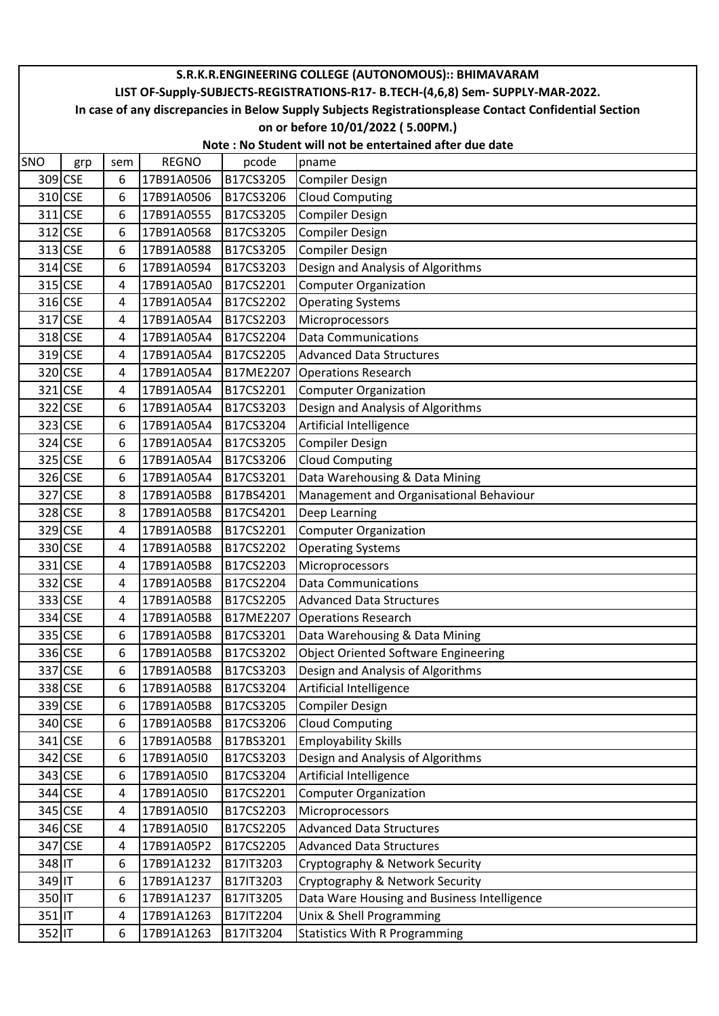|          | S.R.K.R.ENGINEERING COLLEGE (AUTONOMOUS):: BHIMAVARAM                                                  |     |              |           |                                             |  |  |  |  |  |
|----------|--------------------------------------------------------------------------------------------------------|-----|--------------|-----------|---------------------------------------------|--|--|--|--|--|
|          | LIST OF-Supply-SUBJECTS-REGISTRATIONS-R17- B.TECH-(4,6,8) Sem- SUPPLY-MAR-2022.                        |     |              |           |                                             |  |  |  |  |  |
|          | In case of any discrepancies in Below Supply Subjects Registrationsplease Contact Confidential Section |     |              |           |                                             |  |  |  |  |  |
|          | on or before 10/01/2022 (5.00PM.)                                                                      |     |              |           |                                             |  |  |  |  |  |
|          | Note: No Student will not be entertained after due date                                                |     |              |           |                                             |  |  |  |  |  |
| SNO      | grp                                                                                                    | sem | <b>REGNO</b> | pcode     | pname                                       |  |  |  |  |  |
|          | 309 CSE                                                                                                | 6   | 17B91A0506   | B17CS3205 | Compiler Design                             |  |  |  |  |  |
|          | 310 CSE                                                                                                | 6   | 17B91A0506   | B17CS3206 | <b>Cloud Computing</b>                      |  |  |  |  |  |
|          | 311 CSE                                                                                                | 6   | 17B91A0555   | B17CS3205 | <b>Compiler Design</b>                      |  |  |  |  |  |
|          | 312 CSE                                                                                                | 6   | 17B91A0568   | B17CS3205 | <b>Compiler Design</b>                      |  |  |  |  |  |
|          | 313 CSE                                                                                                | 6   | 17B91A0588   | B17CS3205 | <b>Compiler Design</b>                      |  |  |  |  |  |
|          | 314 CSE                                                                                                | 6   | 17B91A0594   | B17CS3203 | Design and Analysis of Algorithms           |  |  |  |  |  |
|          | 315 CSE                                                                                                | 4   | 17B91A05A0   | B17CS2201 | <b>Computer Organization</b>                |  |  |  |  |  |
|          | 316 CSE                                                                                                | 4   | 17B91A05A4   | B17CS2202 | <b>Operating Systems</b>                    |  |  |  |  |  |
|          | 317 CSE                                                                                                | 4   | 17B91A05A4   | B17CS2203 | Microprocessors                             |  |  |  |  |  |
|          | 318 CSE                                                                                                | 4   | 17B91A05A4   | B17CS2204 | <b>Data Communications</b>                  |  |  |  |  |  |
|          | 319 CSE                                                                                                | 4   | 17B91A05A4   | B17CS2205 | <b>Advanced Data Structures</b>             |  |  |  |  |  |
|          | 320 CSE                                                                                                | 4   | 17B91A05A4   | B17ME2207 | <b>Operations Research</b>                  |  |  |  |  |  |
|          | 321 CSE                                                                                                | 4   | 17B91A05A4   | B17CS2201 | Computer Organization                       |  |  |  |  |  |
|          | 322 CSE                                                                                                | 6   | 17B91A05A4   | B17CS3203 | Design and Analysis of Algorithms           |  |  |  |  |  |
|          | 323 CSE                                                                                                | 6   | 17B91A05A4   | B17CS3204 | Artificial Intelligence                     |  |  |  |  |  |
|          | 324 CSE                                                                                                | 6   | 17B91A05A4   | B17CS3205 | <b>Compiler Design</b>                      |  |  |  |  |  |
|          | 325 CSE                                                                                                | 6   | 17B91A05A4   | B17CS3206 | <b>Cloud Computing</b>                      |  |  |  |  |  |
|          | 326 CSE                                                                                                | 6   | 17B91A05A4   | B17CS3201 | Data Warehousing & Data Mining              |  |  |  |  |  |
|          | 327 CSE                                                                                                | 8   | 17B91A05B8   | B17BS4201 | Management and Organisational Behaviour     |  |  |  |  |  |
|          | 328 CSE                                                                                                | 8   | 17B91A05B8   | B17CS4201 | Deep Learning                               |  |  |  |  |  |
|          | 329 CSE                                                                                                | 4   | 17B91A05B8   | B17CS2201 | <b>Computer Organization</b>                |  |  |  |  |  |
|          | 330 CSE                                                                                                | 4   | 17B91A05B8   | B17CS2202 | <b>Operating Systems</b>                    |  |  |  |  |  |
|          | 331 CSE                                                                                                | 4   | 17B91A05B8   | B17CS2203 | Microprocessors                             |  |  |  |  |  |
|          | 332 CSE                                                                                                | 4   | 17B91A05B8   | B17CS2204 | <b>Data Communications</b>                  |  |  |  |  |  |
|          | 333 CSE                                                                                                | 4   | 17B91A05B8   | B17CS2205 | <b>Advanced Data Structures</b>             |  |  |  |  |  |
|          | 334 CSE                                                                                                | 4   | 17B91A05B8   | B17ME2207 | <b>Operations Research</b>                  |  |  |  |  |  |
|          | 335 CSE                                                                                                | 6   | 17B91A05B8   | B17CS3201 | Data Warehousing & Data Mining              |  |  |  |  |  |
|          | 336 CSE                                                                                                | 6   | 17B91A05B8   | B17CS3202 | Object Oriented Software Engineering        |  |  |  |  |  |
|          | 337 CSE                                                                                                | 6   | 17B91A05B8   | B17CS3203 | Design and Analysis of Algorithms           |  |  |  |  |  |
|          | 338 CSE                                                                                                | 6   | 17B91A05B8   | B17CS3204 | Artificial Intelligence                     |  |  |  |  |  |
|          | 339 CSE                                                                                                | 6   | 17B91A05B8   | B17CS3205 | <b>Compiler Design</b>                      |  |  |  |  |  |
|          | 340 CSE                                                                                                | 6   | 17B91A05B8   | B17CS3206 | <b>Cloud Computing</b>                      |  |  |  |  |  |
|          | 341 CSE                                                                                                | 6   | 17B91A05B8   | B17BS3201 | <b>Employability Skills</b>                 |  |  |  |  |  |
|          | 342 CSE                                                                                                | 6   | 17B91A05I0   | B17CS3203 | Design and Analysis of Algorithms           |  |  |  |  |  |
|          | 343 CSE                                                                                                | 6   | 17B91A05I0   | B17CS3204 | Artificial Intelligence                     |  |  |  |  |  |
|          | 344 CSE                                                                                                | 4   | 17B91A05I0   | B17CS2201 | <b>Computer Organization</b>                |  |  |  |  |  |
|          | 345 CSE                                                                                                | 4   | 17B91A05I0   | B17CS2203 | Microprocessors                             |  |  |  |  |  |
|          | 346 CSE                                                                                                | 4   | 17B91A05I0   | B17CS2205 | <b>Advanced Data Structures</b>             |  |  |  |  |  |
|          | 347 CSE                                                                                                | 4   | 17B91A05P2   | B17CS2205 | <b>Advanced Data Structures</b>             |  |  |  |  |  |
| 348 IT   |                                                                                                        | 6   | 17B91A1232   | B17IT3203 | Cryptography & Network Security             |  |  |  |  |  |
| 349 IT   |                                                                                                        | 6   | 17B91A1237   | B17IT3203 | Cryptography & Network Security             |  |  |  |  |  |
| 350 IT   |                                                                                                        | 6   | 17B91A1237   | B17IT3205 | Data Ware Housing and Business Intelligence |  |  |  |  |  |
| $351$ IT |                                                                                                        | 4   | 17B91A1263   | B17IT2204 | Unix & Shell Programming                    |  |  |  |  |  |
| 352 IT   |                                                                                                        | 6   | 17B91A1263   | B17IT3204 | <b>Statistics With R Programming</b>        |  |  |  |  |  |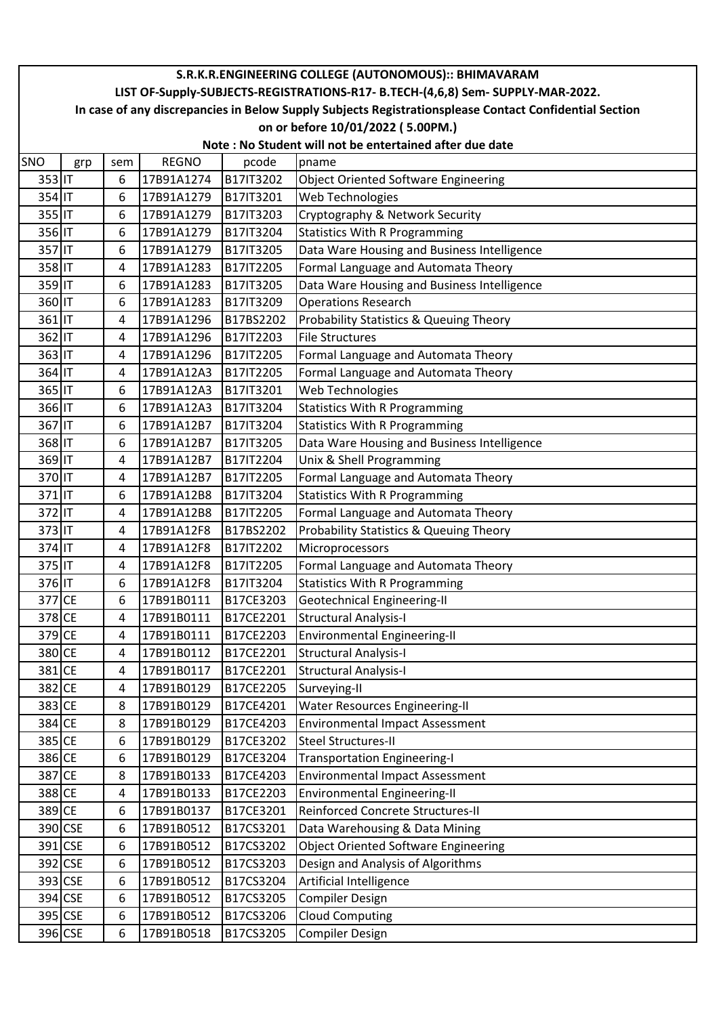|                  | S.R.K.R.ENGINEERING COLLEGE (AUTONOMOUS):: BHIMAVARAM                                                  |        |                          |                        |                                                                             |  |  |  |  |  |  |
|------------------|--------------------------------------------------------------------------------------------------------|--------|--------------------------|------------------------|-----------------------------------------------------------------------------|--|--|--|--|--|--|
|                  | LIST OF-Supply-SUBJECTS-REGISTRATIONS-R17- B.TECH-(4,6,8) Sem- SUPPLY-MAR-2022.                        |        |                          |                        |                                                                             |  |  |  |  |  |  |
|                  | In case of any discrepancies in Below Supply Subjects Registrationsplease Contact Confidential Section |        |                          |                        |                                                                             |  |  |  |  |  |  |
|                  | on or before 10/01/2022 (5.00PM.)                                                                      |        |                          |                        |                                                                             |  |  |  |  |  |  |
|                  | Note: No Student will not be entertained after due date                                                |        |                          |                        |                                                                             |  |  |  |  |  |  |
| SNO              | grp                                                                                                    | sem    | <b>REGNO</b>             | pcode                  | pname                                                                       |  |  |  |  |  |  |
| 353 IT           |                                                                                                        | 6      | 17B91A1274               | B17IT3202              | <b>Object Oriented Software Engineering</b>                                 |  |  |  |  |  |  |
| 354 IT           |                                                                                                        | 6      | 17B91A1279               | B17IT3201              | Web Technologies                                                            |  |  |  |  |  |  |
| 355 IT           |                                                                                                        | 6      | 17B91A1279               | B17IT3203              | Cryptography & Network Security                                             |  |  |  |  |  |  |
| 356 IT           |                                                                                                        | 6      | 17B91A1279               | B17IT3204              | <b>Statistics With R Programming</b>                                        |  |  |  |  |  |  |
| 357 IT           |                                                                                                        | 6      | 17B91A1279               | B17IT3205              | Data Ware Housing and Business Intelligence                                 |  |  |  |  |  |  |
| 358 IT<br>359 IT |                                                                                                        | 4      | 17B91A1283               | B17IT2205              | Formal Language and Automata Theory                                         |  |  |  |  |  |  |
|                  |                                                                                                        | 6      | 17B91A1283               | B17IT3205              | Data Ware Housing and Business Intelligence                                 |  |  |  |  |  |  |
| 360 IT           |                                                                                                        | 6      | 17B91A1283<br>17B91A1296 | B17IT3209              | <b>Operations Research</b>                                                  |  |  |  |  |  |  |
| 361 IT           |                                                                                                        | 4      |                          | B17BS2202              | Probability Statistics & Queuing Theory                                     |  |  |  |  |  |  |
| 362 IT<br>363 IT |                                                                                                        | 4      | 17B91A1296               | B17IT2203              | <b>File Structures</b>                                                      |  |  |  |  |  |  |
| 364 IT           |                                                                                                        | 4      | 17B91A1296               | B17IT2205              | Formal Language and Automata Theory                                         |  |  |  |  |  |  |
|                  |                                                                                                        | 4      | 17B91A12A3               | B17IT2205              | Formal Language and Automata Theory                                         |  |  |  |  |  |  |
| 365 IT<br>366 IT |                                                                                                        | 6<br>6 | 17B91A12A3<br>17B91A12A3 | B17IT3201<br>B17IT3204 | Web Technologies                                                            |  |  |  |  |  |  |
| 367 IT           |                                                                                                        |        | 17B91A12B7               |                        | <b>Statistics With R Programming</b>                                        |  |  |  |  |  |  |
| 368 IT           |                                                                                                        | 6      | 17B91A12B7               | B17IT3204<br>B17IT3205 | <b>Statistics With R Programming</b>                                        |  |  |  |  |  |  |
| 369 IT           |                                                                                                        | 6      |                          |                        | Data Ware Housing and Business Intelligence                                 |  |  |  |  |  |  |
| 370 IT           |                                                                                                        | 4<br>4 | 17B91A12B7<br>17B91A12B7 | B17IT2204<br>B17IT2205 | Unix & Shell Programming                                                    |  |  |  |  |  |  |
| 371 IT           |                                                                                                        |        |                          |                        | Formal Language and Automata Theory                                         |  |  |  |  |  |  |
| 372 IT           |                                                                                                        | 6      | 17B91A12B8<br>17B91A12B8 | B17IT3204              | <b>Statistics With R Programming</b>                                        |  |  |  |  |  |  |
| 373 IT           |                                                                                                        | 4      |                          | B17IT2205<br>B17BS2202 | Formal Language and Automata Theory                                         |  |  |  |  |  |  |
| 374 IT           |                                                                                                        | 4<br>4 | 17B91A12F8<br>17B91A12F8 | B17IT2202              | Probability Statistics & Queuing Theory                                     |  |  |  |  |  |  |
| 375 IT           |                                                                                                        | 4      | 17B91A12F8               | B17IT2205              | Microprocessors                                                             |  |  |  |  |  |  |
| 376 IT           |                                                                                                        | 6      | 17B91A12F8               | B17IT3204              | Formal Language and Automata Theory<br><b>Statistics With R Programming</b> |  |  |  |  |  |  |
| 377 CE           |                                                                                                        | 6      | 17B91B0111               | B17CE3203              |                                                                             |  |  |  |  |  |  |
| 378 CE           |                                                                                                        | 4      | 17B91B0111               | B17CE2201              | Geotechnical Engineering-II<br><b>Structural Analysis-I</b>                 |  |  |  |  |  |  |
| 379 CE           |                                                                                                        | 4      | 17B91B0111               | B17CE2203              | Environmental Engineering-II                                                |  |  |  |  |  |  |
| 380 CE           |                                                                                                        | 4      | 17B91B0112               | B17CE2201              | <b>Structural Analysis-I</b>                                                |  |  |  |  |  |  |
| 381 CE           |                                                                                                        | 4      | 17B91B0117               | B17CE2201              | <b>Structural Analysis-I</b>                                                |  |  |  |  |  |  |
| 382 CE           |                                                                                                        | 4      | 17B91B0129               | B17CE2205              | Surveying-II                                                                |  |  |  |  |  |  |
| 383 CE           |                                                                                                        | 8      | 17B91B0129               | B17CE4201              | <b>Water Resources Engineering-II</b>                                       |  |  |  |  |  |  |
| 384 CE           |                                                                                                        | 8      | 17B91B0129               | B17CE4203              | <b>Environmental Impact Assessment</b>                                      |  |  |  |  |  |  |
| 385 CE           |                                                                                                        | 6      | 17B91B0129               | B17CE3202              | Steel Structures-II                                                         |  |  |  |  |  |  |
| 386 CE           |                                                                                                        | 6      | 17B91B0129               | B17CE3204              | <b>Transportation Engineering-I</b>                                         |  |  |  |  |  |  |
| 387 CE           |                                                                                                        | 8      | 17B91B0133               | B17CE4203              | <b>Environmental Impact Assessment</b>                                      |  |  |  |  |  |  |
| 388 CE           |                                                                                                        | 4      | 17B91B0133               | B17CE2203              | <b>Environmental Engineering-II</b>                                         |  |  |  |  |  |  |
| 389 CE           |                                                                                                        | 6      | 17B91B0137               | B17CE3201              | Reinforced Concrete Structures-II                                           |  |  |  |  |  |  |
|                  | 390 CSE                                                                                                | 6      | 17B91B0512               | B17CS3201              | Data Warehousing & Data Mining                                              |  |  |  |  |  |  |
|                  | 391 CSE                                                                                                | 6      | 17B91B0512               | B17CS3202              | <b>Object Oriented Software Engineering</b>                                 |  |  |  |  |  |  |
|                  | 392 CSE                                                                                                | 6      | 17B91B0512               | B17CS3203              | Design and Analysis of Algorithms                                           |  |  |  |  |  |  |
|                  | 393 CSE                                                                                                | 6      | 17B91B0512               | B17CS3204              | Artificial Intelligence                                                     |  |  |  |  |  |  |
|                  | 394 CSE                                                                                                | 6      | 17B91B0512               | B17CS3205              | <b>Compiler Design</b>                                                      |  |  |  |  |  |  |
|                  | 395 CSE                                                                                                | 6      | 17B91B0512               | B17CS3206              | <b>Cloud Computing</b>                                                      |  |  |  |  |  |  |
|                  | 396 CSE                                                                                                | 6      | 17B91B0518               | B17CS3205              | <b>Compiler Design</b>                                                      |  |  |  |  |  |  |
|                  |                                                                                                        |        |                          |                        |                                                                             |  |  |  |  |  |  |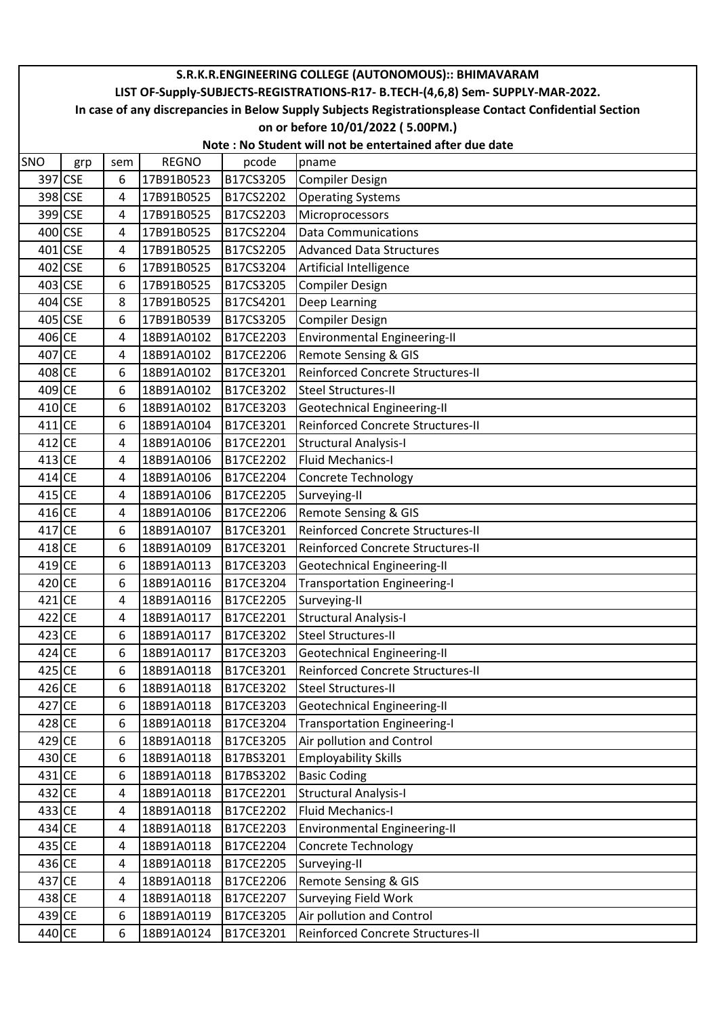|          | S.R.K.R.ENGINEERING COLLEGE (AUTONOMOUS):: BHIMAVARAM                                                  |     |              |           |                                          |  |  |  |  |  |
|----------|--------------------------------------------------------------------------------------------------------|-----|--------------|-----------|------------------------------------------|--|--|--|--|--|
|          | LIST OF-Supply-SUBJECTS-REGISTRATIONS-R17- B.TECH-(4,6,8) Sem- SUPPLY-MAR-2022.                        |     |              |           |                                          |  |  |  |  |  |
|          | In case of any discrepancies in Below Supply Subjects Registrationsplease Contact Confidential Section |     |              |           |                                          |  |  |  |  |  |
|          | on or before 10/01/2022 (5.00PM.)                                                                      |     |              |           |                                          |  |  |  |  |  |
|          | Note: No Student will not be entertained after due date                                                |     |              |           |                                          |  |  |  |  |  |
| SNO      | grp                                                                                                    | sem | <b>REGNO</b> | pcode     | pname                                    |  |  |  |  |  |
|          | 397 CSE                                                                                                | 6   | 17B91B0523   | B17CS3205 | Compiler Design                          |  |  |  |  |  |
|          | 398 CSE                                                                                                | 4   | 17B91B0525   | B17CS2202 | <b>Operating Systems</b>                 |  |  |  |  |  |
|          | 399 CSE                                                                                                | 4   | 17B91B0525   | B17CS2203 | Microprocessors                          |  |  |  |  |  |
|          | 400 CSE                                                                                                | 4   | 17B91B0525   | B17CS2204 | <b>Data Communications</b>               |  |  |  |  |  |
|          | 401 CSE                                                                                                | 4   | 17B91B0525   | B17CS2205 | <b>Advanced Data Structures</b>          |  |  |  |  |  |
|          | 402 CSE                                                                                                | 6   | 17B91B0525   | B17CS3204 | Artificial Intelligence                  |  |  |  |  |  |
|          | 403 CSE                                                                                                | 6   | 17B91B0525   | B17CS3205 | Compiler Design                          |  |  |  |  |  |
|          | 404 CSE                                                                                                | 8   | 17B91B0525   | B17CS4201 | Deep Learning                            |  |  |  |  |  |
|          | 405 CSE                                                                                                | 6   | 17B91B0539   | B17CS3205 | Compiler Design                          |  |  |  |  |  |
| 406 CE   |                                                                                                        | 4   | 18B91A0102   | B17CE2203 | <b>Environmental Engineering-II</b>      |  |  |  |  |  |
| 407 CE   |                                                                                                        | 4   | 18B91A0102   | B17CE2206 | <b>Remote Sensing &amp; GIS</b>          |  |  |  |  |  |
| 408 CE   |                                                                                                        | 6   | 18B91A0102   | B17CE3201 | Reinforced Concrete Structures-II        |  |  |  |  |  |
| 409 CE   |                                                                                                        | 6   | 18B91A0102   | B17CE3202 | <b>Steel Structures-II</b>               |  |  |  |  |  |
| 410 CE   |                                                                                                        | 6   | 18B91A0102   | B17CE3203 | Geotechnical Engineering-II              |  |  |  |  |  |
| 411 CE   |                                                                                                        | 6   | 18B91A0104   | B17CE3201 | Reinforced Concrete Structures-II        |  |  |  |  |  |
| 412 CE   |                                                                                                        | 4   | 18B91A0106   | B17CE2201 | <b>Structural Analysis-I</b>             |  |  |  |  |  |
| 413 CE   |                                                                                                        | 4   | 18B91A0106   | B17CE2202 | Fluid Mechanics-I                        |  |  |  |  |  |
| 414 CE   |                                                                                                        | 4   | 18B91A0106   | B17CE2204 | Concrete Technology                      |  |  |  |  |  |
| 415 CE   |                                                                                                        | 4   | 18B91A0106   | B17CE2205 | Surveying-II                             |  |  |  |  |  |
| 416 CE   |                                                                                                        | 4   | 18B91A0106   | B17CE2206 | Remote Sensing & GIS                     |  |  |  |  |  |
| 417 CE   |                                                                                                        | 6   | 18B91A0107   | B17CE3201 | Reinforced Concrete Structures-II        |  |  |  |  |  |
| 418 CE   |                                                                                                        | 6   | 18B91A0109   | B17CE3201 | <b>Reinforced Concrete Structures-II</b> |  |  |  |  |  |
| $419$ CE |                                                                                                        | 6   | 18B91A0113   | B17CE3203 | Geotechnical Engineering-II              |  |  |  |  |  |
| 420 CE   |                                                                                                        | 6   | 18B91A0116   | B17CE3204 | Transportation Engineering-I             |  |  |  |  |  |
| $421$ CE |                                                                                                        | 4   | 18B91A0116   | B17CE2205 | Surveying-II                             |  |  |  |  |  |
| 422 CE   |                                                                                                        | 4   | 18B91A0117   | B17CE2201 | Structural Analysis-I                    |  |  |  |  |  |
| 423 CE   |                                                                                                        | 6   | 18B91A0117   | B17CE3202 | Steel Structures-II                      |  |  |  |  |  |
| 424 CE   |                                                                                                        | 6   | 18B91A0117   | B17CE3203 | Geotechnical Engineering-II              |  |  |  |  |  |
| 425 CE   |                                                                                                        | 6   | 18B91A0118   | B17CE3201 | <b>Reinforced Concrete Structures-II</b> |  |  |  |  |  |
| 426 CE   |                                                                                                        | 6   | 18B91A0118   | B17CE3202 | Steel Structures-II                      |  |  |  |  |  |
| 427 CE   |                                                                                                        | 6   | 18B91A0118   | B17CE3203 | Geotechnical Engineering-II              |  |  |  |  |  |
| 428 CE   |                                                                                                        | 6   | 18B91A0118   | B17CE3204 | Transportation Engineering-I             |  |  |  |  |  |
| 429 CE   |                                                                                                        | 6   | 18B91A0118   | B17CE3205 | Air pollution and Control                |  |  |  |  |  |
| 430 CE   |                                                                                                        | 6   | 18B91A0118   | B17BS3201 | <b>Employability Skills</b>              |  |  |  |  |  |
| 431 CE   |                                                                                                        | 6   | 18B91A0118   | B17BS3202 | <b>Basic Coding</b>                      |  |  |  |  |  |
| 432 CE   |                                                                                                        | 4   | 18B91A0118   | B17CE2201 | <b>Structural Analysis-I</b>             |  |  |  |  |  |
| 433 CE   |                                                                                                        | 4   | 18B91A0118   | B17CE2202 | <b>Fluid Mechanics-I</b>                 |  |  |  |  |  |
| 434 CE   |                                                                                                        | 4   | 18B91A0118   | B17CE2203 | <b>Environmental Engineering-II</b>      |  |  |  |  |  |
| 435 CE   |                                                                                                        | 4   | 18B91A0118   | B17CE2204 | Concrete Technology                      |  |  |  |  |  |
| 436 CE   |                                                                                                        | 4   | 18B91A0118   | B17CE2205 | Surveying-II                             |  |  |  |  |  |
| 437 CE   |                                                                                                        | 4   | 18B91A0118   | B17CE2206 | Remote Sensing & GIS                     |  |  |  |  |  |
| 438 CE   |                                                                                                        | 4   | 18B91A0118   | B17CE2207 | Surveying Field Work                     |  |  |  |  |  |
| 439 CE   |                                                                                                        | 6   | 18B91A0119   | B17CE3205 | Air pollution and Control                |  |  |  |  |  |
| 440 CE   |                                                                                                        | 6   | 18B91A0124   | B17CE3201 | Reinforced Concrete Structures-II        |  |  |  |  |  |
|          |                                                                                                        |     |              |           |                                          |  |  |  |  |  |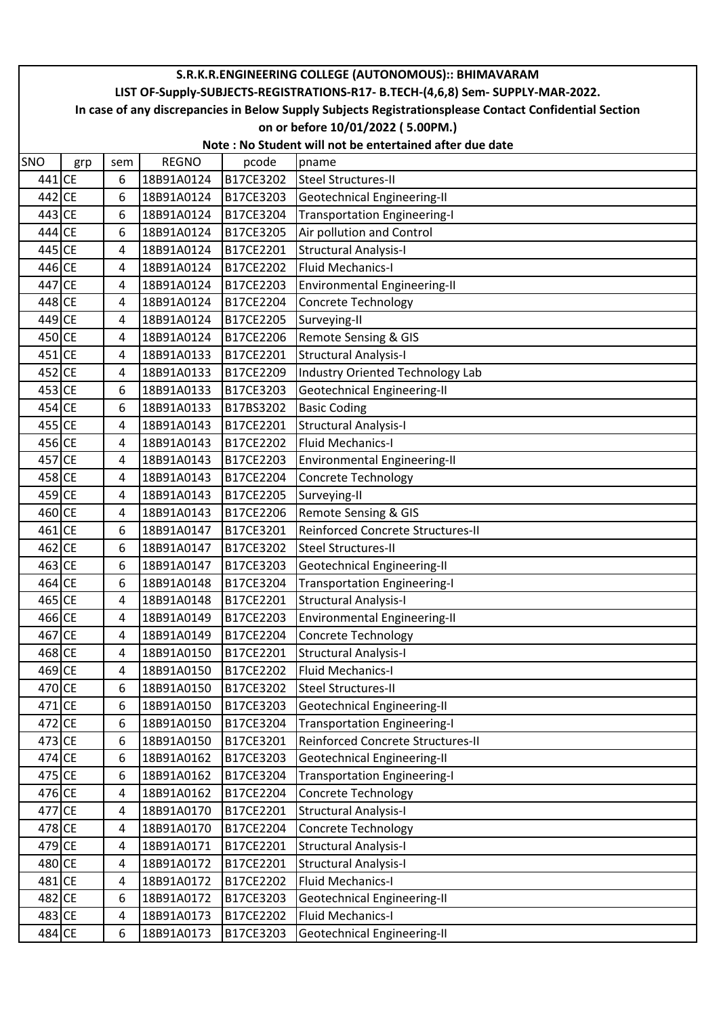|            | S.R.K.R.ENGINEERING COLLEGE (AUTONOMOUS):: BHIMAVARAM                                                  |     |              |           |                                     |  |  |  |  |  |
|------------|--------------------------------------------------------------------------------------------------------|-----|--------------|-----------|-------------------------------------|--|--|--|--|--|
|            | LIST OF-Supply-SUBJECTS-REGISTRATIONS-R17- B.TECH-(4,6,8) Sem- SUPPLY-MAR-2022.                        |     |              |           |                                     |  |  |  |  |  |
|            | In case of any discrepancies in Below Supply Subjects Registrationsplease Contact Confidential Section |     |              |           |                                     |  |  |  |  |  |
|            | on or before 10/01/2022 (5.00PM.)                                                                      |     |              |           |                                     |  |  |  |  |  |
|            | Note: No Student will not be entertained after due date                                                |     |              |           |                                     |  |  |  |  |  |
| <b>SNO</b> | grp                                                                                                    | sem | <b>REGNO</b> | pcode     | pname                               |  |  |  |  |  |
| 441 CE     |                                                                                                        | 6   | 18B91A0124   | B17CE3202 | <b>Steel Structures-II</b>          |  |  |  |  |  |
| 442 CE     |                                                                                                        | 6   | 18B91A0124   | B17CE3203 | Geotechnical Engineering-II         |  |  |  |  |  |
| 443 CE     |                                                                                                        | 6   | 18B91A0124   | B17CE3204 | <b>Transportation Engineering-I</b> |  |  |  |  |  |
| 444 CE     |                                                                                                        | 6   | 18B91A0124   | B17CE3205 | Air pollution and Control           |  |  |  |  |  |
| 445 CE     |                                                                                                        | 4   | 18B91A0124   | B17CE2201 | <b>Structural Analysis-I</b>        |  |  |  |  |  |
| 446 CE     |                                                                                                        | 4   | 18B91A0124   | B17CE2202 | <b>Fluid Mechanics-I</b>            |  |  |  |  |  |
| 447 CE     |                                                                                                        | 4   | 18B91A0124   | B17CE2203 | <b>Environmental Engineering-II</b> |  |  |  |  |  |
| 448 CE     |                                                                                                        | 4   | 18B91A0124   | B17CE2204 | <b>Concrete Technology</b>          |  |  |  |  |  |
| 449 CE     |                                                                                                        | 4   | 18B91A0124   | B17CE2205 | Surveying-II                        |  |  |  |  |  |
| 450 CE     |                                                                                                        | 4   | 18B91A0124   | B17CE2206 | <b>Remote Sensing &amp; GIS</b>     |  |  |  |  |  |
| 451 CE     |                                                                                                        | 4   | 18B91A0133   | B17CE2201 | <b>Structural Analysis-I</b>        |  |  |  |  |  |
| 452 CE     |                                                                                                        | 4   | 18B91A0133   | B17CE2209 | Industry Oriented Technology Lab    |  |  |  |  |  |
| 453 CE     |                                                                                                        | 6   | 18B91A0133   | B17CE3203 | <b>Geotechnical Engineering-II</b>  |  |  |  |  |  |
| 454 CE     |                                                                                                        | 6   | 18B91A0133   | B17BS3202 | <b>Basic Coding</b>                 |  |  |  |  |  |
| 455 CE     |                                                                                                        | 4   | 18B91A0143   | B17CE2201 | <b>Structural Analysis-I</b>        |  |  |  |  |  |
| 456 CE     |                                                                                                        | 4   | 18B91A0143   | B17CE2202 | Fluid Mechanics-I                   |  |  |  |  |  |
| 457 CE     |                                                                                                        | 4   | 18B91A0143   | B17CE2203 | <b>Environmental Engineering-II</b> |  |  |  |  |  |
| 458 CE     |                                                                                                        | 4   | 18B91A0143   | B17CE2204 | <b>Concrete Technology</b>          |  |  |  |  |  |
| 459 CE     |                                                                                                        | 4   | 18B91A0143   | B17CE2205 | Surveying-II                        |  |  |  |  |  |
| 460 CE     |                                                                                                        | 4   | 18B91A0143   | B17CE2206 | Remote Sensing & GIS                |  |  |  |  |  |
| 461 CE     |                                                                                                        | 6   | 18B91A0147   | B17CE3201 | Reinforced Concrete Structures-II   |  |  |  |  |  |
| 462 CE     |                                                                                                        | 6   | 18B91A0147   | B17CE3202 | <b>Steel Structures-II</b>          |  |  |  |  |  |
| 463 CE     |                                                                                                        | 6   | 18B91A0147   | B17CE3203 | Geotechnical Engineering-II         |  |  |  |  |  |
| 464 CE     |                                                                                                        | 6   | 18B91A0148   | B17CE3204 | <b>Transportation Engineering-I</b> |  |  |  |  |  |
| 465 CE     |                                                                                                        | 4   | 18B91A0148   | B17CE2201 | <b>Structural Analysis-I</b>        |  |  |  |  |  |
| 466 CE     |                                                                                                        | 4   | 18B91A0149   | B17CE2203 | <b>Environmental Engineering-II</b> |  |  |  |  |  |
| 467 CE     |                                                                                                        | 4   | 18B91A0149   | B17CE2204 | <b>Concrete Technology</b>          |  |  |  |  |  |
| 468 CE     |                                                                                                        | 4   | 18B91A0150   | B17CE2201 | <b>Structural Analysis-I</b>        |  |  |  |  |  |
| 469 CE     |                                                                                                        | 4   | 18B91A0150   | B17CE2202 | Fluid Mechanics-I                   |  |  |  |  |  |
| 470 CE     |                                                                                                        | 6   | 18B91A0150   | B17CE3202 | <b>Steel Structures-II</b>          |  |  |  |  |  |
| 471 CE     |                                                                                                        | 6   | 18B91A0150   | B17CE3203 | <b>Geotechnical Engineering-II</b>  |  |  |  |  |  |
| 472 CE     |                                                                                                        | 6   | 18B91A0150   | B17CE3204 | <b>Transportation Engineering-I</b> |  |  |  |  |  |
| 473 CE     |                                                                                                        | 6   | 18B91A0150   | B17CE3201 | Reinforced Concrete Structures-II   |  |  |  |  |  |
| 474 CE     |                                                                                                        | 6   | 18B91A0162   | B17CE3203 | Geotechnical Engineering-II         |  |  |  |  |  |
| 475 CE     |                                                                                                        | 6   | 18B91A0162   | B17CE3204 | <b>Transportation Engineering-I</b> |  |  |  |  |  |
| 476 CE     |                                                                                                        | 4   | 18B91A0162   | B17CE2204 | <b>Concrete Technology</b>          |  |  |  |  |  |
| 477 CE     |                                                                                                        | 4   | 18B91A0170   | B17CE2201 | <b>Structural Analysis-I</b>        |  |  |  |  |  |
| 478 CE     |                                                                                                        | 4   | 18B91A0170   | B17CE2204 | <b>Concrete Technology</b>          |  |  |  |  |  |
| 479 CE     |                                                                                                        | 4   | 18B91A0171   | B17CE2201 | <b>Structural Analysis-I</b>        |  |  |  |  |  |
| 480 CE     |                                                                                                        | 4   | 18B91A0172   | B17CE2201 | <b>Structural Analysis-I</b>        |  |  |  |  |  |
| 481 CE     |                                                                                                        | 4   | 18B91A0172   | B17CE2202 | Fluid Mechanics-I                   |  |  |  |  |  |
| 482 CE     |                                                                                                        | 6   | 18B91A0172   | B17CE3203 | Geotechnical Engineering-II         |  |  |  |  |  |
| 483 CE     |                                                                                                        | 4   | 18B91A0173   | B17CE2202 | Fluid Mechanics-I                   |  |  |  |  |  |
| 484 CE     |                                                                                                        | 6   | 18B91A0173   | B17CE3203 | Geotechnical Engineering-II         |  |  |  |  |  |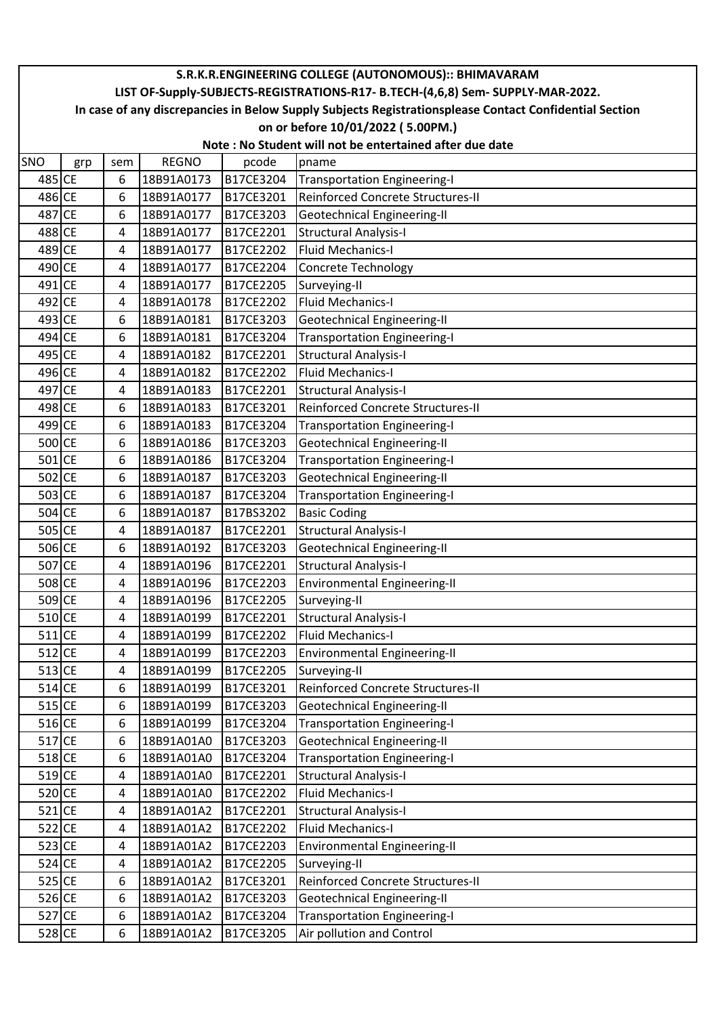|            | S.R.K.R.ENGINEERING COLLEGE (AUTONOMOUS):: BHIMAVARAM                                                  |                         |              |           |                                     |  |  |  |  |  |
|------------|--------------------------------------------------------------------------------------------------------|-------------------------|--------------|-----------|-------------------------------------|--|--|--|--|--|
|            | LIST OF-Supply-SUBJECTS-REGISTRATIONS-R17- B.TECH-(4,6,8) Sem- SUPPLY-MAR-2022.                        |                         |              |           |                                     |  |  |  |  |  |
|            | In case of any discrepancies in Below Supply Subjects Registrationsplease Contact Confidential Section |                         |              |           |                                     |  |  |  |  |  |
|            | on or before 10/01/2022 (5.00PM.)                                                                      |                         |              |           |                                     |  |  |  |  |  |
|            | Note: No Student will not be entertained after due date                                                |                         |              |           |                                     |  |  |  |  |  |
| <b>SNO</b> | grp                                                                                                    | sem                     | <b>REGNO</b> | pcode     | pname                               |  |  |  |  |  |
| 485 CE     |                                                                                                        | 6                       | 18B91A0173   | B17CE3204 | <b>Transportation Engineering-I</b> |  |  |  |  |  |
| 486 CE     |                                                                                                        | 6                       | 18B91A0177   | B17CE3201 | Reinforced Concrete Structures-II   |  |  |  |  |  |
| 487 CE     |                                                                                                        | 6                       | 18B91A0177   | B17CE3203 | Geotechnical Engineering-II         |  |  |  |  |  |
| 488 CE     |                                                                                                        | 4                       | 18B91A0177   | B17CE2201 | <b>Structural Analysis-I</b>        |  |  |  |  |  |
| 489 CE     |                                                                                                        | 4                       | 18B91A0177   | B17CE2202 | <b>Fluid Mechanics-I</b>            |  |  |  |  |  |
| 490 CE     |                                                                                                        | 4                       | 18B91A0177   | B17CE2204 | <b>Concrete Technology</b>          |  |  |  |  |  |
| 491 CE     |                                                                                                        | 4                       | 18B91A0177   | B17CE2205 | Surveying-II                        |  |  |  |  |  |
| 492 CE     |                                                                                                        | 4                       | 18B91A0178   | B17CE2202 | <b>Fluid Mechanics-I</b>            |  |  |  |  |  |
| 493 CE     |                                                                                                        | 6                       | 18B91A0181   | B17CE3203 | <b>Geotechnical Engineering-II</b>  |  |  |  |  |  |
| 494 CE     |                                                                                                        | 6                       | 18B91A0181   | B17CE3204 | <b>Transportation Engineering-I</b> |  |  |  |  |  |
| 495 CE     |                                                                                                        | 4                       | 18B91A0182   | B17CE2201 | <b>Structural Analysis-I</b>        |  |  |  |  |  |
| 496 CE     |                                                                                                        | 4                       | 18B91A0182   | B17CE2202 | <b>Fluid Mechanics-I</b>            |  |  |  |  |  |
| 497 CE     |                                                                                                        | $\overline{\mathbf{4}}$ | 18B91A0183   | B17CE2201 | <b>Structural Analysis-I</b>        |  |  |  |  |  |
| 498 CE     |                                                                                                        | 6                       | 18B91A0183   | B17CE3201 | Reinforced Concrete Structures-II   |  |  |  |  |  |
| 499 CE     |                                                                                                        | 6                       | 18B91A0183   | B17CE3204 | <b>Transportation Engineering-I</b> |  |  |  |  |  |
| 500 CE     |                                                                                                        | 6                       | 18B91A0186   | B17CE3203 | <b>Geotechnical Engineering-II</b>  |  |  |  |  |  |
| $501$ CE   |                                                                                                        | 6                       | 18B91A0186   | B17CE3204 | <b>Transportation Engineering-I</b> |  |  |  |  |  |
| 502 CE     |                                                                                                        | 6                       | 18B91A0187   | B17CE3203 | Geotechnical Engineering-II         |  |  |  |  |  |
| 503 CE     |                                                                                                        | 6                       | 18B91A0187   | B17CE3204 | <b>Transportation Engineering-I</b> |  |  |  |  |  |
| 504 CE     |                                                                                                        | 6                       | 18B91A0187   | B17BS3202 | <b>Basic Coding</b>                 |  |  |  |  |  |
| 505 CE     |                                                                                                        | 4                       | 18B91A0187   | B17CE2201 | <b>Structural Analysis-I</b>        |  |  |  |  |  |
| 506 CE     |                                                                                                        | 6                       | 18B91A0192   | B17CE3203 | Geotechnical Engineering-II         |  |  |  |  |  |
| 507 CE     |                                                                                                        | 4                       | 18B91A0196   | B17CE2201 | <b>Structural Analysis-I</b>        |  |  |  |  |  |
| 508 CE     |                                                                                                        | 4                       | 18B91A0196   | B17CE2203 | <b>Environmental Engineering-II</b> |  |  |  |  |  |
| 509 CE     |                                                                                                        | 4                       | 18B91A0196   | B17CE2205 | Surveying-II                        |  |  |  |  |  |
| 510 CE     |                                                                                                        | 4                       | 18B91A0199   | B17CE2201 | <b>Structural Analysis-I</b>        |  |  |  |  |  |
| $511$ CE   |                                                                                                        | 4                       | 18B91A0199   | B17CE2202 | <b>Fluid Mechanics-I</b>            |  |  |  |  |  |
| $512$ CE   |                                                                                                        | 4                       | 18B91A0199   | B17CE2203 | Environmental Engineering-II        |  |  |  |  |  |
| $513$ CE   |                                                                                                        | 4                       | 18B91A0199   | B17CE2205 | Surveying-II                        |  |  |  |  |  |
| $514$ CE   |                                                                                                        | 6                       | 18B91A0199   | B17CE3201 | Reinforced Concrete Structures-II   |  |  |  |  |  |
| $515$ CE   |                                                                                                        | 6                       | 18B91A0199   | B17CE3203 | Geotechnical Engineering-II         |  |  |  |  |  |
| $516$ CE   |                                                                                                        | 6                       | 18B91A0199   | B17CE3204 | <b>Transportation Engineering-I</b> |  |  |  |  |  |
| $517$ CE   |                                                                                                        | 6                       | 18B91A01A0   | B17CE3203 | Geotechnical Engineering-II         |  |  |  |  |  |
| $518$ CE   |                                                                                                        | 6                       | 18B91A01A0   | B17CE3204 | <b>Transportation Engineering-I</b> |  |  |  |  |  |
| $519$ CE   |                                                                                                        | 4                       | 18B91A01A0   | B17CE2201 | <b>Structural Analysis-I</b>        |  |  |  |  |  |
| 520 CE     |                                                                                                        | 4                       | 18B91A01A0   | B17CE2202 | Fluid Mechanics-I                   |  |  |  |  |  |
| $521$ CE   |                                                                                                        | 4                       | 18B91A01A2   | B17CE2201 | <b>Structural Analysis-I</b>        |  |  |  |  |  |
| $522$ CE   |                                                                                                        | 4                       | 18B91A01A2   | B17CE2202 | <b>Fluid Mechanics-I</b>            |  |  |  |  |  |
| 523 CE     |                                                                                                        | 4                       | 18B91A01A2   | B17CE2203 | Environmental Engineering-II        |  |  |  |  |  |
| $524$ CE   |                                                                                                        | 4                       | 18B91A01A2   | B17CE2205 | Surveying-II                        |  |  |  |  |  |
| 525 CE     |                                                                                                        | 6                       | 18B91A01A2   | B17CE3201 | Reinforced Concrete Structures-II   |  |  |  |  |  |
| 526 CE     |                                                                                                        | 6                       | 18B91A01A2   | B17CE3203 | <b>Geotechnical Engineering-II</b>  |  |  |  |  |  |
| 527 CE     |                                                                                                        | 6                       | 18B91A01A2   | B17CE3204 | <b>Transportation Engineering-I</b> |  |  |  |  |  |
| 528 CE     |                                                                                                        | 6                       | 18B91A01A2   | B17CE3205 | Air pollution and Control           |  |  |  |  |  |
|            |                                                                                                        |                         |              |           |                                     |  |  |  |  |  |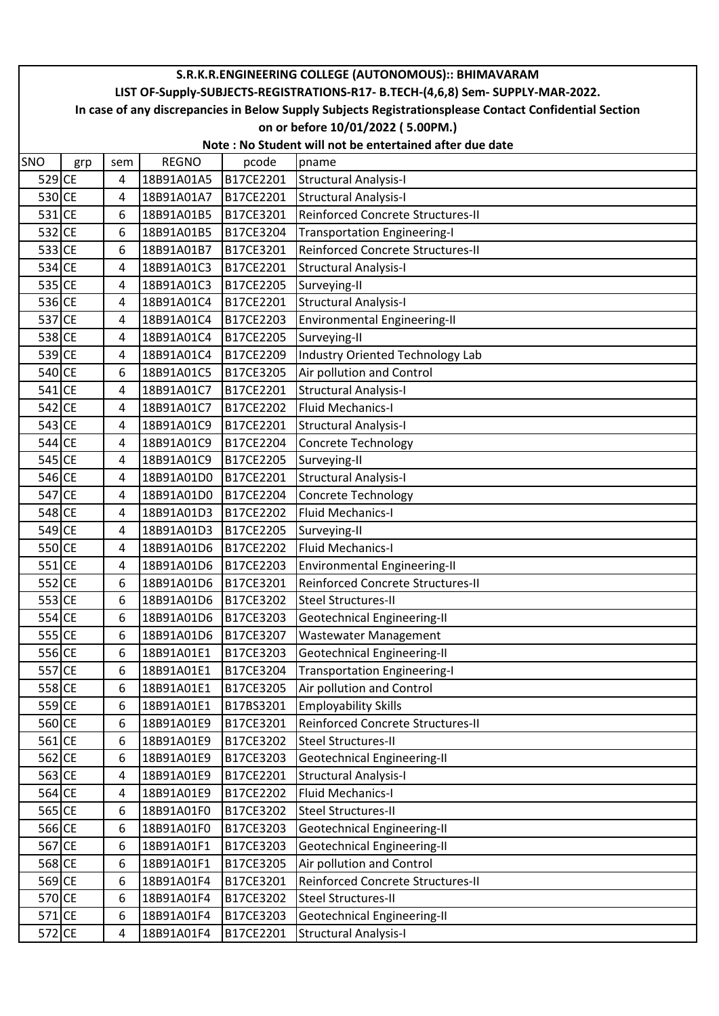|          | S.R.K.R.ENGINEERING COLLEGE (AUTONOMOUS):: BHIMAVARAM                                                  |     |              |           |                                                         |  |  |  |  |  |
|----------|--------------------------------------------------------------------------------------------------------|-----|--------------|-----------|---------------------------------------------------------|--|--|--|--|--|
|          | LIST OF-Supply-SUBJECTS-REGISTRATIONS-R17- B.TECH-(4,6,8) Sem- SUPPLY-MAR-2022.                        |     |              |           |                                                         |  |  |  |  |  |
|          | In case of any discrepancies in Below Supply Subjects Registrationsplease Contact Confidential Section |     |              |           |                                                         |  |  |  |  |  |
|          | on or before 10/01/2022 (5.00PM.)                                                                      |     |              |           |                                                         |  |  |  |  |  |
|          |                                                                                                        |     |              |           | Note: No Student will not be entertained after due date |  |  |  |  |  |
| SNO      | grp                                                                                                    | sem | <b>REGNO</b> | pcode     | pname                                                   |  |  |  |  |  |
| 529 CE   |                                                                                                        | 4   | 18B91A01A5   | B17CE2201 | <b>Structural Analysis-I</b>                            |  |  |  |  |  |
| 530 CE   |                                                                                                        | 4   | 18B91A01A7   | B17CE2201 | <b>Structural Analysis-I</b>                            |  |  |  |  |  |
| $531$ CE |                                                                                                        | 6   | 18B91A01B5   | B17CE3201 | Reinforced Concrete Structures-II                       |  |  |  |  |  |
| 532 CE   |                                                                                                        | 6   | 18B91A01B5   | B17CE3204 | <b>Transportation Engineering-I</b>                     |  |  |  |  |  |
| 533 CE   |                                                                                                        | 6   | 18B91A01B7   | B17CE3201 | Reinforced Concrete Structures-II                       |  |  |  |  |  |
| 534 CE   |                                                                                                        | 4   | 18B91A01C3   | B17CE2201 | <b>Structural Analysis-I</b>                            |  |  |  |  |  |
| 535 CE   |                                                                                                        | 4   | 18B91A01C3   | B17CE2205 | Surveying-II                                            |  |  |  |  |  |
| 536 CE   |                                                                                                        | 4   | 18B91A01C4   | B17CE2201 | <b>Structural Analysis-I</b>                            |  |  |  |  |  |
| 537 CE   |                                                                                                        | 4   | 18B91A01C4   | B17CE2203 | Environmental Engineering-II                            |  |  |  |  |  |
| 538 CE   |                                                                                                        | 4   | 18B91A01C4   | B17CE2205 | Surveying-II                                            |  |  |  |  |  |
| 539 CE   |                                                                                                        | 4   | 18B91A01C4   | B17CE2209 | Industry Oriented Technology Lab                        |  |  |  |  |  |
| 540 CE   |                                                                                                        | 6   | 18B91A01C5   | B17CE3205 | Air pollution and Control                               |  |  |  |  |  |
| 541 CE   |                                                                                                        | 4   | 18B91A01C7   | B17CE2201 | <b>Structural Analysis-I</b>                            |  |  |  |  |  |
| 542 CE   |                                                                                                        | 4   | 18B91A01C7   | B17CE2202 | <b>Fluid Mechanics-I</b>                                |  |  |  |  |  |
| 543 CE   |                                                                                                        | 4   | 18B91A01C9   | B17CE2201 | <b>Structural Analysis-I</b>                            |  |  |  |  |  |
| 544 CE   |                                                                                                        | 4   | 18B91A01C9   | B17CE2204 | <b>Concrete Technology</b>                              |  |  |  |  |  |
| 545 CE   |                                                                                                        | 4   | 18B91A01C9   | B17CE2205 | Surveying-II                                            |  |  |  |  |  |
| 546 CE   |                                                                                                        | 4   | 18B91A01D0   | B17CE2201 | <b>Structural Analysis-I</b>                            |  |  |  |  |  |
| 547 CE   |                                                                                                        | 4   | 18B91A01D0   | B17CE2204 | <b>Concrete Technology</b>                              |  |  |  |  |  |
| 548 CE   |                                                                                                        | 4   | 18B91A01D3   | B17CE2202 | <b>Fluid Mechanics-I</b>                                |  |  |  |  |  |
| 549 CE   |                                                                                                        | 4   | 18B91A01D3   | B17CE2205 | Surveying-II                                            |  |  |  |  |  |
| 550 CE   |                                                                                                        | 4   | 18B91A01D6   | B17CE2202 | <b>Fluid Mechanics-I</b>                                |  |  |  |  |  |
| 551 CE   |                                                                                                        | 4   | 18B91A01D6   | B17CE2203 | <b>Environmental Engineering-II</b>                     |  |  |  |  |  |
| 552 CE   |                                                                                                        | 6   | 18B91A01D6   | B17CE3201 | Reinforced Concrete Structures-II                       |  |  |  |  |  |
| 553 CE   |                                                                                                        | 6   | 18B91A01D6   | B17CE3202 | <b>Steel Structures-II</b>                              |  |  |  |  |  |
| 554 CE   |                                                                                                        | 6   | 18B91A01D6   | B17CE3203 | <b>Geotechnical Engineering-II</b>                      |  |  |  |  |  |
| 555 CE   |                                                                                                        | 6   | 18B91A01D6   | B17CE3207 | <b>Wastewater Management</b>                            |  |  |  |  |  |
| 556 CE   |                                                                                                        | 6   | 18B91A01E1   | B17CE3203 | <b>Geotechnical Engineering-II</b>                      |  |  |  |  |  |
| 557 CE   |                                                                                                        | 6   | 18B91A01E1   | B17CE3204 | <b>Transportation Engineering-I</b>                     |  |  |  |  |  |
| 558 CE   |                                                                                                        | 6   | 18B91A01E1   | B17CE3205 | Air pollution and Control                               |  |  |  |  |  |
| 559 CE   |                                                                                                        | 6   | 18B91A01E1   | B17BS3201 | <b>Employability Skills</b>                             |  |  |  |  |  |
| 560 CE   |                                                                                                        | 6   | 18B91A01E9   | B17CE3201 | Reinforced Concrete Structures-II                       |  |  |  |  |  |
| $561$ CE |                                                                                                        | 6   | 18B91A01E9   | B17CE3202 | <b>Steel Structures-II</b>                              |  |  |  |  |  |
| 562 CE   |                                                                                                        | 6   | 18B91A01E9   | B17CE3203 | Geotechnical Engineering-II                             |  |  |  |  |  |
| 563 CE   |                                                                                                        | 4   | 18B91A01E9   | B17CE2201 | <b>Structural Analysis-I</b>                            |  |  |  |  |  |
| $564$ CE |                                                                                                        | 4   | 18B91A01E9   | B17CE2202 | <b>Fluid Mechanics-I</b>                                |  |  |  |  |  |
| 565 CE   |                                                                                                        | 6   | 18B91A01F0   | B17CE3202 | <b>Steel Structures-II</b>                              |  |  |  |  |  |
| 566 CE   |                                                                                                        | 6   | 18B91A01F0   | B17CE3203 | Geotechnical Engineering-II                             |  |  |  |  |  |
| 567 CE   |                                                                                                        | 6   | 18B91A01F1   | B17CE3203 | Geotechnical Engineering-II                             |  |  |  |  |  |
| 568 CE   |                                                                                                        | 6   | 18B91A01F1   | B17CE3205 | Air pollution and Control                               |  |  |  |  |  |
| 569 CE   |                                                                                                        | 6   | 18B91A01F4   | B17CE3201 | Reinforced Concrete Structures-II                       |  |  |  |  |  |
| 570 CE   |                                                                                                        | 6   | 18B91A01F4   | B17CE3202 | <b>Steel Structures-II</b>                              |  |  |  |  |  |
| $571$ CE |                                                                                                        | 6   | 18B91A01F4   | B17CE3203 | Geotechnical Engineering-II                             |  |  |  |  |  |
| 572 CE   |                                                                                                        | 4   | 18B91A01F4   | B17CE2201 | <b>Structural Analysis-I</b>                            |  |  |  |  |  |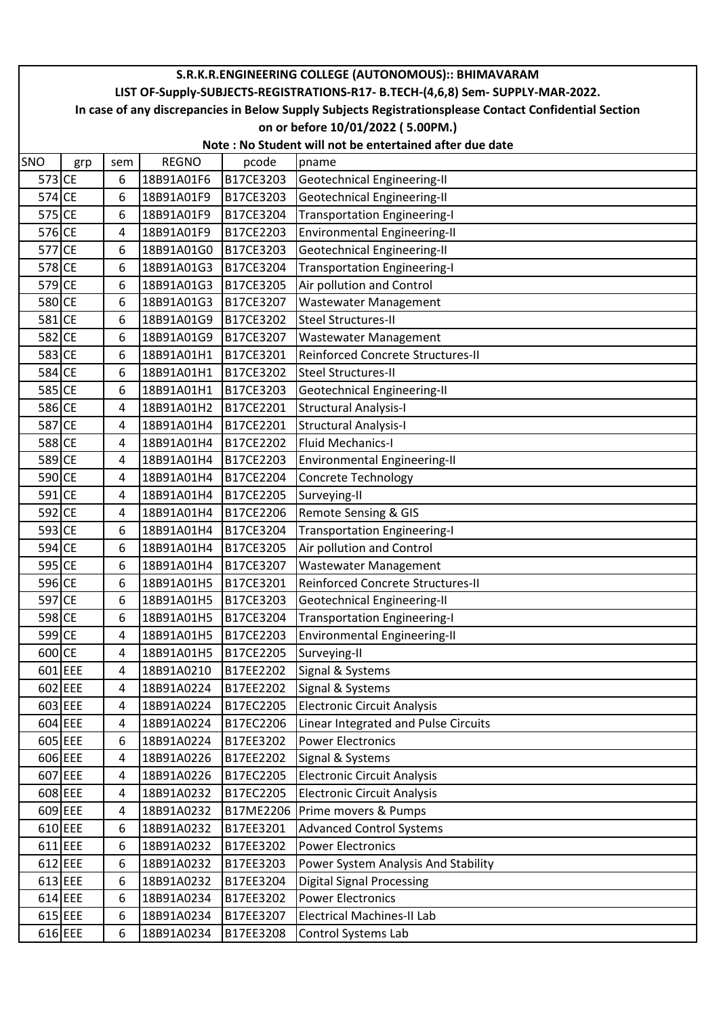|            |                                                                                                        |     |              |           | S.R.K.R.ENGINEERING COLLEGE (AUTONOMOUS):: BHIMAVARAM |  |  |  |  |  |
|------------|--------------------------------------------------------------------------------------------------------|-----|--------------|-----------|-------------------------------------------------------|--|--|--|--|--|
|            | LIST OF-Supply-SUBJECTS-REGISTRATIONS-R17- B.TECH-(4,6,8) Sem- SUPPLY-MAR-2022.                        |     |              |           |                                                       |  |  |  |  |  |
|            | In case of any discrepancies in Below Supply Subjects Registrationsplease Contact Confidential Section |     |              |           |                                                       |  |  |  |  |  |
|            | on or before 10/01/2022 (5.00PM.)                                                                      |     |              |           |                                                       |  |  |  |  |  |
|            | Note: No Student will not be entertained after due date                                                |     |              |           |                                                       |  |  |  |  |  |
| <b>SNO</b> | grp                                                                                                    | sem | <b>REGNO</b> | pcode     | pname                                                 |  |  |  |  |  |
| 573 CE     |                                                                                                        | 6   | 18B91A01F6   | B17CE3203 | Geotechnical Engineering-II                           |  |  |  |  |  |
| 574 CE     |                                                                                                        | 6   | 18B91A01F9   | B17CE3203 | <b>Geotechnical Engineering-II</b>                    |  |  |  |  |  |
| 575 CE     |                                                                                                        | 6   | 18B91A01F9   | B17CE3204 | <b>Transportation Engineering-I</b>                   |  |  |  |  |  |
| 576 CE     |                                                                                                        | 4   | 18B91A01F9   | B17CE2203 | <b>Environmental Engineering-II</b>                   |  |  |  |  |  |
| 577 CE     |                                                                                                        | 6   | 18B91A01G0   | B17CE3203 | <b>Geotechnical Engineering-II</b>                    |  |  |  |  |  |
| 578 CE     |                                                                                                        | 6   | 18B91A01G3   | B17CE3204 | <b>Transportation Engineering-I</b>                   |  |  |  |  |  |
| 579 CE     |                                                                                                        | 6   | 18B91A01G3   | B17CE3205 | Air pollution and Control                             |  |  |  |  |  |
| 580 CE     |                                                                                                        | 6   | 18B91A01G3   | B17CE3207 | <b>Wastewater Management</b>                          |  |  |  |  |  |
| 581 CE     |                                                                                                        | 6   | 18B91A01G9   | B17CE3202 | <b>Steel Structures-II</b>                            |  |  |  |  |  |
| 582 CE     |                                                                                                        | 6   | 18B91A01G9   | B17CE3207 | <b>Wastewater Management</b>                          |  |  |  |  |  |
| 583 CE     |                                                                                                        | 6   | 18B91A01H1   | B17CE3201 | Reinforced Concrete Structures-II                     |  |  |  |  |  |
| 584 CE     |                                                                                                        | 6   | 18B91A01H1   | B17CE3202 | <b>Steel Structures-II</b>                            |  |  |  |  |  |
| 585 CE     |                                                                                                        | 6   | 18B91A01H1   | B17CE3203 | Geotechnical Engineering-II                           |  |  |  |  |  |
| 586 CE     |                                                                                                        | 4   | 18B91A01H2   | B17CE2201 | <b>Structural Analysis-I</b>                          |  |  |  |  |  |
| 587 CE     |                                                                                                        | 4   | 18B91A01H4   | B17CE2201 | <b>Structural Analysis-I</b>                          |  |  |  |  |  |
| 588 CE     |                                                                                                        | 4   | 18B91A01H4   | B17CE2202 | <b>Fluid Mechanics-I</b>                              |  |  |  |  |  |
| 589 CE     |                                                                                                        | 4   | 18B91A01H4   | B17CE2203 | <b>Environmental Engineering-II</b>                   |  |  |  |  |  |
| 590 CE     |                                                                                                        | 4   | 18B91A01H4   | B17CE2204 | Concrete Technology                                   |  |  |  |  |  |
| 591 CE     |                                                                                                        | 4   | 18B91A01H4   | B17CE2205 | Surveying-II                                          |  |  |  |  |  |
| 592 CE     |                                                                                                        | 4   | 18B91A01H4   | B17CE2206 | Remote Sensing & GIS                                  |  |  |  |  |  |
| 593 CE     |                                                                                                        | 6   | 18B91A01H4   | B17CE3204 | <b>Transportation Engineering-I</b>                   |  |  |  |  |  |
| 594 CE     |                                                                                                        | 6   | 18B91A01H4   | B17CE3205 | Air pollution and Control                             |  |  |  |  |  |
| 595 CE     |                                                                                                        | 6   | 18B91A01H4   | B17CE3207 | <b>Wastewater Management</b>                          |  |  |  |  |  |
| 596 CE     |                                                                                                        | 6   | 18B91A01H5   | B17CE3201 | Reinforced Concrete Structures-II                     |  |  |  |  |  |
| 597 CE     |                                                                                                        | 6   | 18B91A01H5   | B17CE3203 | Geotechnical Engineering-II                           |  |  |  |  |  |
| 598 CE     |                                                                                                        | 6   | 18B91A01H5   | B17CE3204 | <b>Transportation Engineering-I</b>                   |  |  |  |  |  |
| 599 CE     |                                                                                                        | 4   | 18B91A01H5   | B17CE2203 | <b>Environmental Engineering-II</b>                   |  |  |  |  |  |
| 600 CE     |                                                                                                        | 4   | 18B91A01H5   | B17CE2205 | Surveying-II                                          |  |  |  |  |  |
| 601 EEE    |                                                                                                        | 4   | 18B91A0210   | B17EE2202 | Signal & Systems                                      |  |  |  |  |  |
| 602 EEE    |                                                                                                        | 4   | 18B91A0224   | B17EE2202 | Signal & Systems                                      |  |  |  |  |  |
| 603 EEE    |                                                                                                        | 4   | 18B91A0224   | B17EC2205 | <b>Electronic Circuit Analysis</b>                    |  |  |  |  |  |
|            | 604 EEE                                                                                                | 4   | 18B91A0224   | B17EC2206 | Linear Integrated and Pulse Circuits                  |  |  |  |  |  |
| 605 EEE    |                                                                                                        | 6   | 18B91A0224   | B17EE3202 | <b>Power Electronics</b>                              |  |  |  |  |  |
| 606 EEE    |                                                                                                        | 4   | 18B91A0226   | B17EE2202 | Signal & Systems                                      |  |  |  |  |  |
| 607 EEE    |                                                                                                        | 4   | 18B91A0226   | B17EC2205 | <b>Electronic Circuit Analysis</b>                    |  |  |  |  |  |
| 608 EEE    |                                                                                                        | 4   | 18B91A0232   | B17EC2205 | <b>Electronic Circuit Analysis</b>                    |  |  |  |  |  |
| 609 EEE    |                                                                                                        | 4   | 18B91A0232   | B17ME2206 | Prime movers & Pumps                                  |  |  |  |  |  |
| 610 EEE    |                                                                                                        | 6   | 18B91A0232   | B17EE3201 | <b>Advanced Control Systems</b>                       |  |  |  |  |  |
| 611 EEE    |                                                                                                        | 6   | 18B91A0232   | B17EE3202 | <b>Power Electronics</b>                              |  |  |  |  |  |
| 612 EEE    |                                                                                                        | 6   | 18B91A0232   | B17EE3203 | Power System Analysis And Stability                   |  |  |  |  |  |
| 613 EEE    |                                                                                                        | 6   | 18B91A0232   | B17EE3204 | <b>Digital Signal Processing</b>                      |  |  |  |  |  |
| 614 EEE    |                                                                                                        | 6   | 18B91A0234   | B17EE3202 | <b>Power Electronics</b>                              |  |  |  |  |  |
| 615 EEE    |                                                                                                        | 6   | 18B91A0234   | B17EE3207 | <b>Electrical Machines-II Lab</b>                     |  |  |  |  |  |
| 616 EEE    |                                                                                                        | 6   | 18B91A0234   | B17EE3208 | Control Systems Lab                                   |  |  |  |  |  |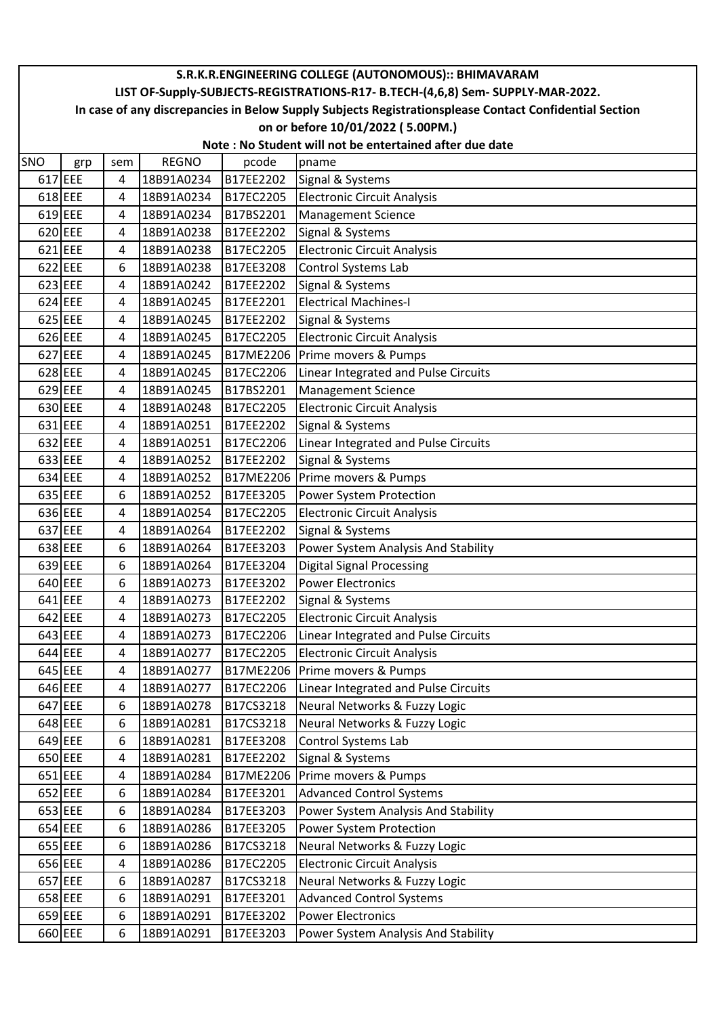|     |                                                                                                        |     |              |           | S.R.K.R.ENGINEERING COLLEGE (AUTONOMOUS):: BHIMAVARAM |  |  |  |  |  |
|-----|--------------------------------------------------------------------------------------------------------|-----|--------------|-----------|-------------------------------------------------------|--|--|--|--|--|
|     | LIST OF-Supply-SUBJECTS-REGISTRATIONS-R17- B.TECH-(4,6,8) Sem- SUPPLY-MAR-2022.                        |     |              |           |                                                       |  |  |  |  |  |
|     | In case of any discrepancies in Below Supply Subjects Registrationsplease Contact Confidential Section |     |              |           |                                                       |  |  |  |  |  |
|     | on or before 10/01/2022 (5.00PM.)                                                                      |     |              |           |                                                       |  |  |  |  |  |
|     | Note: No Student will not be entertained after due date                                                |     |              |           |                                                       |  |  |  |  |  |
| SNO | grp                                                                                                    | sem | <b>REGNO</b> | pcode     | pname                                                 |  |  |  |  |  |
|     | 617 EEE                                                                                                | 4   | 18B91A0234   | B17EE2202 | Signal & Systems                                      |  |  |  |  |  |
|     | $618$ EEE                                                                                              | 4   | 18B91A0234   | B17EC2205 | <b>Electronic Circuit Analysis</b>                    |  |  |  |  |  |
|     | 619 EEE                                                                                                | 4   | 18B91A0234   | B17BS2201 | <b>Management Science</b>                             |  |  |  |  |  |
|     | 620 EEE                                                                                                | 4   | 18B91A0238   | B17EE2202 | Signal & Systems                                      |  |  |  |  |  |
|     | $621$ EEE                                                                                              | 4   | 18B91A0238   | B17EC2205 | <b>Electronic Circuit Analysis</b>                    |  |  |  |  |  |
|     | 622 EEE                                                                                                | 6   | 18B91A0238   | B17EE3208 | Control Systems Lab                                   |  |  |  |  |  |
|     | 623 EEE                                                                                                | 4   | 18B91A0242   | B17EE2202 | Signal & Systems                                      |  |  |  |  |  |
|     | 624 EEE                                                                                                | 4   | 18B91A0245   | B17EE2201 | <b>Electrical Machines-I</b>                          |  |  |  |  |  |
|     | $625$ EEE                                                                                              | 4   | 18B91A0245   | B17EE2202 | Signal & Systems                                      |  |  |  |  |  |
|     | 626 EEE                                                                                                | 4   | 18B91A0245   | B17EC2205 | Electronic Circuit Analysis                           |  |  |  |  |  |
|     | 627 EEE                                                                                                | 4   | 18B91A0245   | B17ME2206 | Prime movers & Pumps                                  |  |  |  |  |  |
|     | 628 EEE                                                                                                | 4   | 18B91A0245   | B17EC2206 | Linear Integrated and Pulse Circuits                  |  |  |  |  |  |
|     | 629 EEE                                                                                                | 4   | 18B91A0245   | B17BS2201 | <b>Management Science</b>                             |  |  |  |  |  |
|     | 630 EEE                                                                                                | 4   | 18B91A0248   | B17EC2205 | <b>Electronic Circuit Analysis</b>                    |  |  |  |  |  |
|     | 631 EEE                                                                                                | 4   | 18B91A0251   | B17EE2202 | Signal & Systems                                      |  |  |  |  |  |
|     | 632 EEE                                                                                                | 4   | 18B91A0251   | B17EC2206 | Linear Integrated and Pulse Circuits                  |  |  |  |  |  |
|     | 633 EEE                                                                                                | 4   | 18B91A0252   | B17EE2202 | Signal & Systems                                      |  |  |  |  |  |
|     | 634 EEE                                                                                                | 4   | 18B91A0252   | B17ME2206 | Prime movers & Pumps                                  |  |  |  |  |  |
|     | 635 EEE                                                                                                | 6   | 18B91A0252   | B17EE3205 | Power System Protection                               |  |  |  |  |  |
|     | 636 EEE                                                                                                | 4   | 18B91A0254   | B17EC2205 | <b>Electronic Circuit Analysis</b>                    |  |  |  |  |  |
|     | 637 EEE                                                                                                | 4   | 18B91A0264   | B17EE2202 | Signal & Systems                                      |  |  |  |  |  |
|     | 638 EEE                                                                                                | 6   | 18B91A0264   | B17EE3203 | Power System Analysis And Stability                   |  |  |  |  |  |
|     | 639 EEE                                                                                                | 6   | 18B91A0264   | B17EE3204 | <b>Digital Signal Processing</b>                      |  |  |  |  |  |
|     | 640 EEE                                                                                                | 6   | 18B91A0273   | B17EE3202 | <b>Power Electronics</b>                              |  |  |  |  |  |
|     | 641 EEE                                                                                                | 4   | 18B91A0273   | B17EE2202 | Signal & Systems                                      |  |  |  |  |  |
|     | 642 EEE                                                                                                | 4   | 18B91A0273   | B17EC2205 | <b>Electronic Circuit Analysis</b>                    |  |  |  |  |  |
|     | 643 EEE                                                                                                | 4   | 18B91A0273   | B17EC2206 | Linear Integrated and Pulse Circuits                  |  |  |  |  |  |
|     | 644 EEE                                                                                                | 4   | 18B91A0277   | B17EC2205 | <b>Electronic Circuit Analysis</b>                    |  |  |  |  |  |
|     | 645 EEE                                                                                                | 4   | 18B91A0277   | B17ME2206 | Prime movers & Pumps                                  |  |  |  |  |  |
|     | 646 EEE                                                                                                | 4   | 18B91A0277   | B17EC2206 | Linear Integrated and Pulse Circuits                  |  |  |  |  |  |
|     | 647 EEE                                                                                                | 6   | 18B91A0278   | B17CS3218 | Neural Networks & Fuzzy Logic                         |  |  |  |  |  |
|     | 648 EEE                                                                                                | 6   | 18B91A0281   | B17CS3218 | Neural Networks & Fuzzy Logic                         |  |  |  |  |  |
|     | 649 EEE                                                                                                | 6   | 18B91A0281   | B17EE3208 | Control Systems Lab                                   |  |  |  |  |  |
|     | 650 EEE                                                                                                | 4   | 18B91A0281   | B17EE2202 | Signal & Systems                                      |  |  |  |  |  |
|     | 651 EEE                                                                                                | 4   | 18B91A0284   | B17ME2206 | Prime movers & Pumps                                  |  |  |  |  |  |
|     | 652 EEE                                                                                                | 6   | 18B91A0284   | B17EE3201 | <b>Advanced Control Systems</b>                       |  |  |  |  |  |
|     | 653 EEE                                                                                                | 6   | 18B91A0284   | B17EE3203 | Power System Analysis And Stability                   |  |  |  |  |  |
|     | 654 EEE                                                                                                | 6   | 18B91A0286   | B17EE3205 | Power System Protection                               |  |  |  |  |  |
|     | 655 EEE                                                                                                | 6   | 18B91A0286   | B17CS3218 | Neural Networks & Fuzzy Logic                         |  |  |  |  |  |
|     | 656 EEE                                                                                                | 4   | 18B91A0286   | B17EC2205 | <b>Electronic Circuit Analysis</b>                    |  |  |  |  |  |
|     | 657 EEE                                                                                                | 6   | 18B91A0287   | B17CS3218 | Neural Networks & Fuzzy Logic                         |  |  |  |  |  |
|     | 658 EEE                                                                                                | 6   | 18B91A0291   | B17EE3201 | <b>Advanced Control Systems</b>                       |  |  |  |  |  |
|     | 659 EEE                                                                                                | 6   | 18B91A0291   | B17EE3202 | <b>Power Electronics</b>                              |  |  |  |  |  |
|     | 660 EEE                                                                                                | 6   | 18B91A0291   | B17EE3203 | Power System Analysis And Stability                   |  |  |  |  |  |
|     |                                                                                                        |     |              |           |                                                       |  |  |  |  |  |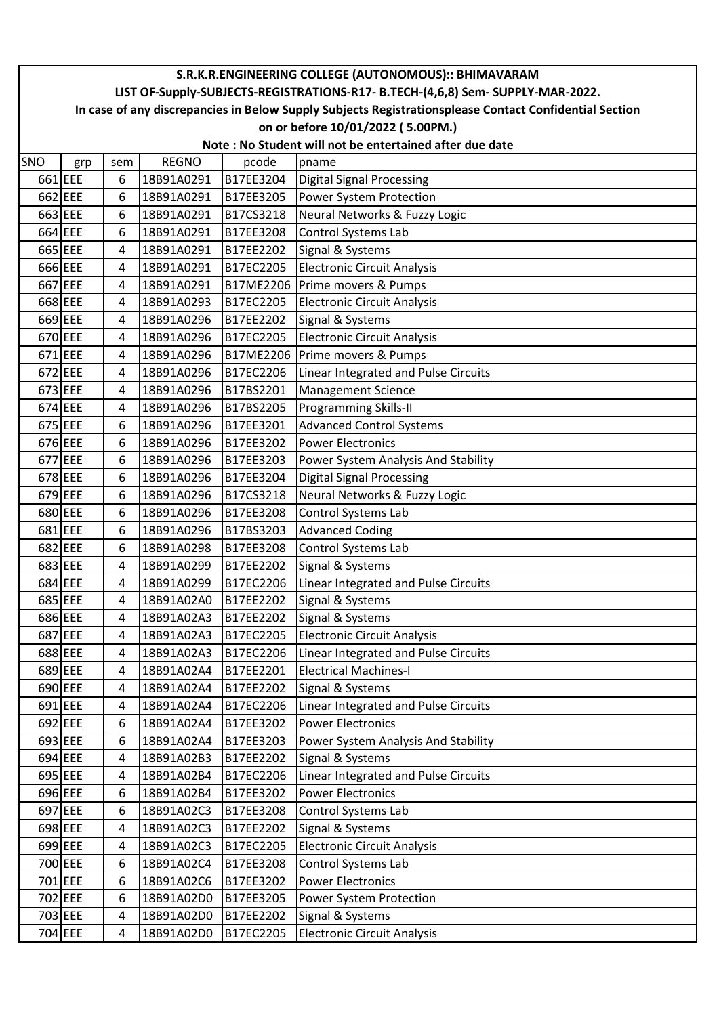|         |                                                                                                        |     |              |           | S.R.K.R.ENGINEERING COLLEGE (AUTONOMOUS):: BHIMAVARAM |  |  |  |  |  |
|---------|--------------------------------------------------------------------------------------------------------|-----|--------------|-----------|-------------------------------------------------------|--|--|--|--|--|
|         | LIST OF-Supply-SUBJECTS-REGISTRATIONS-R17- B.TECH-(4,6,8) Sem- SUPPLY-MAR-2022.                        |     |              |           |                                                       |  |  |  |  |  |
|         | In case of any discrepancies in Below Supply Subjects Registrationsplease Contact Confidential Section |     |              |           |                                                       |  |  |  |  |  |
|         | on or before 10/01/2022 (5.00PM.)                                                                      |     |              |           |                                                       |  |  |  |  |  |
|         | Note: No Student will not be entertained after due date                                                |     |              |           |                                                       |  |  |  |  |  |
| SNO     | grp                                                                                                    | sem | <b>REGNO</b> | pcode     | pname                                                 |  |  |  |  |  |
|         | 661 EEE                                                                                                | 6   | 18B91A0291   | B17EE3204 | Digital Signal Processing                             |  |  |  |  |  |
|         | 662 EEE                                                                                                | 6   | 18B91A0291   | B17EE3205 | Power System Protection                               |  |  |  |  |  |
|         | 663 EEE                                                                                                | 6   | 18B91A0291   | B17CS3218 | Neural Networks & Fuzzy Logic                         |  |  |  |  |  |
|         | 664 EEE                                                                                                | 6   | 18B91A0291   | B17EE3208 | Control Systems Lab                                   |  |  |  |  |  |
| 665 EEE |                                                                                                        | 4   | 18B91A0291   | B17EE2202 | Signal & Systems                                      |  |  |  |  |  |
|         | 666 EEE                                                                                                | 4   | 18B91A0291   | B17EC2205 | Electronic Circuit Analysis                           |  |  |  |  |  |
|         | 667 EEE                                                                                                | 4   | 18B91A0291   | B17ME2206 | Prime movers & Pumps                                  |  |  |  |  |  |
|         | 668 EEE                                                                                                | 4   | 18B91A0293   | B17EC2205 | <b>Electronic Circuit Analysis</b>                    |  |  |  |  |  |
|         | 669 EEE                                                                                                | 4   | 18B91A0296   | B17EE2202 | Signal & Systems                                      |  |  |  |  |  |
|         | 670 EEE                                                                                                | 4   | 18B91A0296   | B17EC2205 | <b>Electronic Circuit Analysis</b>                    |  |  |  |  |  |
|         | 671 EEE                                                                                                | 4   | 18B91A0296   | B17ME2206 | Prime movers & Pumps                                  |  |  |  |  |  |
|         | 672 EEE                                                                                                | 4   | 18B91A0296   | B17EC2206 | Linear Integrated and Pulse Circuits                  |  |  |  |  |  |
|         | 673 EEE                                                                                                | 4   | 18B91A0296   | B17BS2201 | Management Science                                    |  |  |  |  |  |
|         | 674 EEE                                                                                                | 4   | 18B91A0296   | B17BS2205 | <b>Programming Skills-II</b>                          |  |  |  |  |  |
|         | 675 EEE                                                                                                | 6   | 18B91A0296   | B17EE3201 | <b>Advanced Control Systems</b>                       |  |  |  |  |  |
|         | 676 EEE                                                                                                | 6   | 18B91A0296   | B17EE3202 | Power Electronics                                     |  |  |  |  |  |
|         | 677 EEE                                                                                                | 6   | 18B91A0296   | B17EE3203 | Power System Analysis And Stability                   |  |  |  |  |  |
|         | 678 EEE                                                                                                | 6   | 18B91A0296   | B17EE3204 | <b>Digital Signal Processing</b>                      |  |  |  |  |  |
|         | 679 EEE                                                                                                | 6   | 18B91A0296   | B17CS3218 | Neural Networks & Fuzzy Logic                         |  |  |  |  |  |
|         | 680 EEE                                                                                                | 6   | 18B91A0296   | B17EE3208 | Control Systems Lab                                   |  |  |  |  |  |
|         | 681 EEE                                                                                                | 6   | 18B91A0296   | B17BS3203 | <b>Advanced Coding</b>                                |  |  |  |  |  |
|         | 682 EEE                                                                                                | 6   | 18B91A0298   | B17EE3208 | Control Systems Lab                                   |  |  |  |  |  |
|         | 683 EEE                                                                                                | 4   | 18B91A0299   | B17EE2202 | Signal & Systems                                      |  |  |  |  |  |
|         | 684 EEE                                                                                                | 4   | 18B91A0299   | B17EC2206 | Linear Integrated and Pulse Circuits                  |  |  |  |  |  |
|         | 685 EEE                                                                                                | 4   | 18B91A02A0   | B17EE2202 | Signal & Systems                                      |  |  |  |  |  |
|         | 686 EEE                                                                                                | 4   | 18B91A02A3   | B17EE2202 | Signal & Systems                                      |  |  |  |  |  |
|         | 687 EEE                                                                                                | 4   | 18B91A02A3   | B17EC2205 | <b>Electronic Circuit Analysis</b>                    |  |  |  |  |  |
|         | 688 EEE                                                                                                | 4   | 18B91A02A3   | B17EC2206 | Linear Integrated and Pulse Circuits                  |  |  |  |  |  |
|         | 689 EEE                                                                                                | 4   | 18B91A02A4   | B17EE2201 | <b>Electrical Machines-I</b>                          |  |  |  |  |  |
|         | 690 EEE                                                                                                | 4   | 18B91A02A4   | B17EE2202 | Signal & Systems                                      |  |  |  |  |  |
|         | 691 EEE                                                                                                | 4   | 18B91A02A4   | B17EC2206 | Linear Integrated and Pulse Circuits                  |  |  |  |  |  |
|         | 692 EEE                                                                                                | 6   | 18B91A02A4   | B17EE3202 | <b>Power Electronics</b>                              |  |  |  |  |  |
|         | 693 EEE                                                                                                | 6   | 18B91A02A4   | B17EE3203 | Power System Analysis And Stability                   |  |  |  |  |  |
|         | 694 EEE                                                                                                | 4   | 18B91A02B3   | B17EE2202 | Signal & Systems                                      |  |  |  |  |  |
|         | 695 EEE                                                                                                | 4   | 18B91A02B4   | B17EC2206 | Linear Integrated and Pulse Circuits                  |  |  |  |  |  |
|         | 696 EEE                                                                                                | 6   | 18B91A02B4   | B17EE3202 | <b>Power Electronics</b>                              |  |  |  |  |  |
|         | 697 EEE                                                                                                | 6   | 18B91A02C3   | B17EE3208 | Control Systems Lab                                   |  |  |  |  |  |
|         | 698 EEE                                                                                                | 4   | 18B91A02C3   | B17EE2202 | Signal & Systems                                      |  |  |  |  |  |
|         | 699 EEE                                                                                                | 4   | 18B91A02C3   | B17EC2205 | <b>Electronic Circuit Analysis</b>                    |  |  |  |  |  |
|         | 700 EEE                                                                                                | 6   | 18B91A02C4   | B17EE3208 | Control Systems Lab                                   |  |  |  |  |  |
|         | 701 EEE                                                                                                | 6   | 18B91A02C6   | B17EE3202 | <b>Power Electronics</b>                              |  |  |  |  |  |
|         | 702 EEE                                                                                                | 6   | 18B91A02D0   | B17EE3205 | Power System Protection                               |  |  |  |  |  |
|         | 703 EEE                                                                                                | 4   | 18B91A02D0   | B17EE2202 | Signal & Systems                                      |  |  |  |  |  |
|         | 704 EEE                                                                                                | 4   | 18B91A02D0   | B17EC2205 | <b>Electronic Circuit Analysis</b>                    |  |  |  |  |  |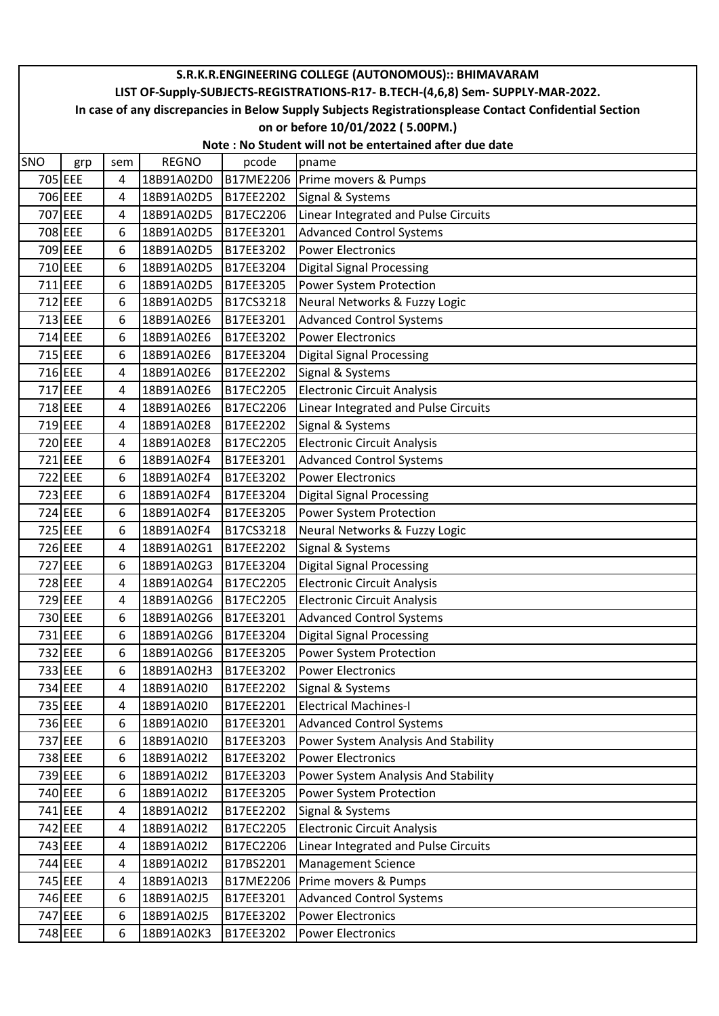| S.R.K.R.ENGINEERING COLLEGE (AUTONOMOUS):: BHIMAVARAM |                                                                                                        |     |              |           |                                      |  |  |  |  |  |  |
|-------------------------------------------------------|--------------------------------------------------------------------------------------------------------|-----|--------------|-----------|--------------------------------------|--|--|--|--|--|--|
|                                                       | LIST OF-Supply-SUBJECTS-REGISTRATIONS-R17- B.TECH-(4,6,8) Sem- SUPPLY-MAR-2022.                        |     |              |           |                                      |  |  |  |  |  |  |
|                                                       | In case of any discrepancies in Below Supply Subjects Registrationsplease Contact Confidential Section |     |              |           |                                      |  |  |  |  |  |  |
|                                                       |                                                                                                        |     |              |           | on or before 10/01/2022 (5.00PM.)    |  |  |  |  |  |  |
|                                                       | Note: No Student will not be entertained after due date                                                |     |              |           |                                      |  |  |  |  |  |  |
| SNO                                                   | grp                                                                                                    | sem | <b>REGNO</b> | pcode     | pname                                |  |  |  |  |  |  |
| 705 EEE                                               |                                                                                                        | 4   | 18B91A02D0   | B17ME2206 | Prime movers & Pumps                 |  |  |  |  |  |  |
| 706 EEE                                               |                                                                                                        | 4   | 18B91A02D5   | B17EE2202 | Signal & Systems                     |  |  |  |  |  |  |
| 707 EEE                                               |                                                                                                        | 4   | 18B91A02D5   | B17EC2206 | Linear Integrated and Pulse Circuits |  |  |  |  |  |  |
| 708 EEE                                               |                                                                                                        | 6   | 18B91A02D5   | B17EE3201 | <b>Advanced Control Systems</b>      |  |  |  |  |  |  |
| 709 EEE                                               |                                                                                                        | 6   | 18B91A02D5   | B17EE3202 | <b>Power Electronics</b>             |  |  |  |  |  |  |
| 710 EEE                                               |                                                                                                        | 6   | 18B91A02D5   | B17EE3204 | <b>Digital Signal Processing</b>     |  |  |  |  |  |  |
| 711 EEE                                               |                                                                                                        | 6   | 18B91A02D5   | B17EE3205 | Power System Protection              |  |  |  |  |  |  |
| 712 EEE                                               |                                                                                                        | 6   | 18B91A02D5   | B17CS3218 | Neural Networks & Fuzzy Logic        |  |  |  |  |  |  |
| 713 EEE                                               |                                                                                                        | 6   | 18B91A02E6   | B17EE3201 | <b>Advanced Control Systems</b>      |  |  |  |  |  |  |
| 714 EEE                                               |                                                                                                        | 6   | 18B91A02E6   | B17EE3202 | <b>Power Electronics</b>             |  |  |  |  |  |  |
| 715 EEE                                               |                                                                                                        | 6   | 18B91A02E6   | B17EE3204 | <b>Digital Signal Processing</b>     |  |  |  |  |  |  |
| 716 EEE                                               |                                                                                                        | 4   | 18B91A02E6   | B17EE2202 | Signal & Systems                     |  |  |  |  |  |  |
| 717 EEE                                               |                                                                                                        | 4   | 18B91A02E6   | B17EC2205 | <b>Electronic Circuit Analysis</b>   |  |  |  |  |  |  |
| 718 EEE                                               |                                                                                                        | 4   | 18B91A02E6   | B17EC2206 | Linear Integrated and Pulse Circuits |  |  |  |  |  |  |
| 719 EEE                                               |                                                                                                        | 4   | 18B91A02E8   | B17EE2202 | Signal & Systems                     |  |  |  |  |  |  |
| 720 EEE                                               |                                                                                                        | 4   | 18B91A02E8   | B17EC2205 | <b>Electronic Circuit Analysis</b>   |  |  |  |  |  |  |
| 721 EEE                                               |                                                                                                        | 6   | 18B91A02F4   | B17EE3201 | <b>Advanced Control Systems</b>      |  |  |  |  |  |  |
| 722 EEE                                               |                                                                                                        | 6   | 18B91A02F4   | B17EE3202 | <b>Power Electronics</b>             |  |  |  |  |  |  |
| 723 EEE                                               |                                                                                                        | 6   | 18B91A02F4   | B17EE3204 | <b>Digital Signal Processing</b>     |  |  |  |  |  |  |
| 724 EEE                                               |                                                                                                        | 6   | 18B91A02F4   | B17EE3205 | Power System Protection              |  |  |  |  |  |  |
| 725 EEE                                               |                                                                                                        | 6   | 18B91A02F4   | B17CS3218 | Neural Networks & Fuzzy Logic        |  |  |  |  |  |  |
| 726 EEE                                               |                                                                                                        | 4   | 18B91A02G1   | B17EE2202 | Signal & Systems                     |  |  |  |  |  |  |
| 727 EEE                                               |                                                                                                        | 6   | 18B91A02G3   | B17EE3204 | <b>Digital Signal Processing</b>     |  |  |  |  |  |  |
| 728 EEE                                               |                                                                                                        | 4   | 18B91A02G4   | B17EC2205 | <b>Electronic Circuit Analysis</b>   |  |  |  |  |  |  |
| 729 EEE                                               |                                                                                                        | 4   | 18B91A02G6   | B17EC2205 | <b>Electronic Circuit Analysis</b>   |  |  |  |  |  |  |
| 730 EEE                                               |                                                                                                        | 6   | 18B91A02G6   | B17EE3201 | <b>Advanced Control Systems</b>      |  |  |  |  |  |  |
| 731 EEE                                               |                                                                                                        | 6   | 18B91A02G6   | B17EE3204 | <b>Digital Signal Processing</b>     |  |  |  |  |  |  |
| 732 EEE                                               |                                                                                                        | 6   | 18B91A02G6   | B17EE3205 | Power System Protection              |  |  |  |  |  |  |
| 733 EEE                                               |                                                                                                        | 6   | 18B91A02H3   | B17EE3202 | <b>Power Electronics</b>             |  |  |  |  |  |  |
| 734 EEE                                               |                                                                                                        | 4   | 18B91A02I0   | B17EE2202 | Signal & Systems                     |  |  |  |  |  |  |
| 735 EEE                                               |                                                                                                        | 4   | 18B91A02I0   | B17EE2201 | <b>Electrical Machines-I</b>         |  |  |  |  |  |  |
| 736 EEE                                               |                                                                                                        | 6   | 18B91A02I0   | B17EE3201 | <b>Advanced Control Systems</b>      |  |  |  |  |  |  |
| 737 EEE                                               |                                                                                                        | 6   | 18B91A02I0   | B17EE3203 | Power System Analysis And Stability  |  |  |  |  |  |  |
| 738 EEE                                               |                                                                                                        | 6   | 18B91A02I2   | B17EE3202 | <b>Power Electronics</b>             |  |  |  |  |  |  |
| 739 EEE                                               |                                                                                                        | 6   | 18B91A02I2   | B17EE3203 | Power System Analysis And Stability  |  |  |  |  |  |  |
| 740 EEE                                               |                                                                                                        | 6   | 18B91A02I2   | B17EE3205 | Power System Protection              |  |  |  |  |  |  |
| 741 EEE                                               |                                                                                                        | 4   | 18B91A02I2   | B17EE2202 | Signal & Systems                     |  |  |  |  |  |  |
| 742 EEE                                               |                                                                                                        | 4   | 18B91A02I2   | B17EC2205 | <b>Electronic Circuit Analysis</b>   |  |  |  |  |  |  |
| 743 EEE                                               |                                                                                                        | 4   | 18B91A02I2   | B17EC2206 | Linear Integrated and Pulse Circuits |  |  |  |  |  |  |
| 744 EEE                                               |                                                                                                        | 4   | 18B91A02I2   | B17BS2201 | <b>Management Science</b>            |  |  |  |  |  |  |
| 745 EEE                                               |                                                                                                        | 4   | 18B91A02I3   | B17ME2206 | Prime movers & Pumps                 |  |  |  |  |  |  |
| 746 EEE                                               |                                                                                                        | 6   | 18B91A02J5   | B17EE3201 | <b>Advanced Control Systems</b>      |  |  |  |  |  |  |
| 747 EEE                                               |                                                                                                        | 6   | 18B91A02J5   | B17EE3202 | <b>Power Electronics</b>             |  |  |  |  |  |  |
| 748 EEE                                               |                                                                                                        | 6   | 18B91A02K3   | B17EE3202 | <b>Power Electronics</b>             |  |  |  |  |  |  |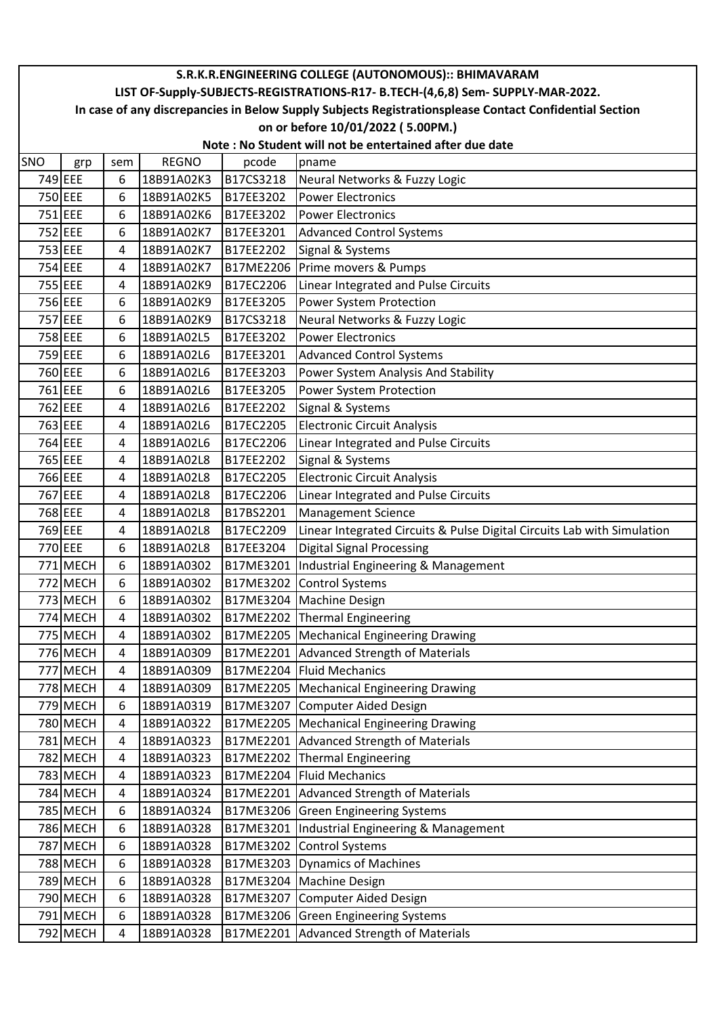|         |                                                                                                        |     |              |           | S.R.K.R.ENGINEERING COLLEGE (AUTONOMOUS):: BHIMAVARAM                   |  |  |  |  |  |  |
|---------|--------------------------------------------------------------------------------------------------------|-----|--------------|-----------|-------------------------------------------------------------------------|--|--|--|--|--|--|
|         | LIST OF-Supply-SUBJECTS-REGISTRATIONS-R17- B.TECH-(4,6,8) Sem- SUPPLY-MAR-2022.                        |     |              |           |                                                                         |  |  |  |  |  |  |
|         | In case of any discrepancies in Below Supply Subjects Registrationsplease Contact Confidential Section |     |              |           |                                                                         |  |  |  |  |  |  |
|         | on or before 10/01/2022 (5.00PM.)                                                                      |     |              |           |                                                                         |  |  |  |  |  |  |
|         | Note: No Student will not be entertained after due date                                                |     |              |           |                                                                         |  |  |  |  |  |  |
| SNO     | grp                                                                                                    | sem | <b>REGNO</b> | pcode     | pname                                                                   |  |  |  |  |  |  |
| 749 EEE |                                                                                                        | 6   | 18B91A02K3   | B17CS3218 | Neural Networks & Fuzzy Logic                                           |  |  |  |  |  |  |
| 750 EEE |                                                                                                        | 6   | 18B91A02K5   | B17EE3202 | <b>Power Electronics</b>                                                |  |  |  |  |  |  |
| 751 EEE |                                                                                                        | 6   | 18B91A02K6   | B17EE3202 | <b>Power Electronics</b>                                                |  |  |  |  |  |  |
| 752 EEE |                                                                                                        | 6   | 18B91A02K7   | B17EE3201 | <b>Advanced Control Systems</b>                                         |  |  |  |  |  |  |
| 753 EEE |                                                                                                        | 4   | 18B91A02K7   | B17EE2202 | Signal & Systems                                                        |  |  |  |  |  |  |
| 754 EEE |                                                                                                        | 4   | 18B91A02K7   | B17ME2206 | Prime movers & Pumps                                                    |  |  |  |  |  |  |
| 755 EEE |                                                                                                        | 4   | 18B91A02K9   | B17EC2206 | Linear Integrated and Pulse Circuits                                    |  |  |  |  |  |  |
| 756 EEE |                                                                                                        | 6   | 18B91A02K9   | B17EE3205 | Power System Protection                                                 |  |  |  |  |  |  |
| 757 EEE |                                                                                                        | 6   | 18B91A02K9   | B17CS3218 | Neural Networks & Fuzzy Logic                                           |  |  |  |  |  |  |
| 758 EEE |                                                                                                        | 6   | 18B91A02L5   | B17EE3202 | <b>Power Electronics</b>                                                |  |  |  |  |  |  |
| 759 EEE |                                                                                                        | 6   | 18B91A02L6   | B17EE3201 | <b>Advanced Control Systems</b>                                         |  |  |  |  |  |  |
| 760 EEE |                                                                                                        | 6   | 18B91A02L6   | B17EE3203 | Power System Analysis And Stability                                     |  |  |  |  |  |  |
| 761 EEE |                                                                                                        | 6   | 18B91A02L6   | B17EE3205 | Power System Protection                                                 |  |  |  |  |  |  |
| 762 EEE |                                                                                                        | 4   | 18B91A02L6   | B17EE2202 | Signal & Systems                                                        |  |  |  |  |  |  |
| 763 EEE |                                                                                                        | 4   | 18B91A02L6   | B17EC2205 | <b>Electronic Circuit Analysis</b>                                      |  |  |  |  |  |  |
| 764 EEE |                                                                                                        | 4   | 18B91A02L6   | B17EC2206 | Linear Integrated and Pulse Circuits                                    |  |  |  |  |  |  |
| 765 EEE |                                                                                                        | 4   | 18B91A02L8   | B17EE2202 | Signal & Systems                                                        |  |  |  |  |  |  |
| 766 EEE |                                                                                                        | 4   | 18B91A02L8   | B17EC2205 | <b>Electronic Circuit Analysis</b>                                      |  |  |  |  |  |  |
| 767 EEE |                                                                                                        | 4   | 18B91A02L8   | B17EC2206 | Linear Integrated and Pulse Circuits                                    |  |  |  |  |  |  |
| 768 EEE |                                                                                                        | 4   | 18B91A02L8   | B17BS2201 | <b>Management Science</b>                                               |  |  |  |  |  |  |
| 769 EEE |                                                                                                        | 4   | 18B91A02L8   | B17EC2209 | Linear Integrated Circuits & Pulse Digital Circuits Lab with Simulation |  |  |  |  |  |  |
| 770 EEE |                                                                                                        | 6   | 18B91A02L8   | B17EE3204 | <b>Digital Signal Processing</b>                                        |  |  |  |  |  |  |
|         | 771 MECH                                                                                               | 6   | 18B91A0302   | B17ME3201 | Industrial Engineering & Management                                     |  |  |  |  |  |  |
|         | 772 MECH                                                                                               | 6   | 18B91A0302   | B17ME3202 | <b>Control Systems</b>                                                  |  |  |  |  |  |  |
|         | 773 MECH                                                                                               | 6   | 18B91A0302   | B17ME3204 | <b>Machine Design</b>                                                   |  |  |  |  |  |  |
|         | 774 MECH                                                                                               | 4   | 18B91A0302   |           | B17ME2202 Thermal Engineering                                           |  |  |  |  |  |  |
|         | 775 MECH                                                                                               | 4   | 18B91A0302   | B17ME2205 | Mechanical Engineering Drawing                                          |  |  |  |  |  |  |
|         | 776 MECH                                                                                               | 4   | 18B91A0309   | B17ME2201 | Advanced Strength of Materials                                          |  |  |  |  |  |  |
|         | 777 MECH                                                                                               | 4   | 18B91A0309   | B17ME2204 | <b>Fluid Mechanics</b>                                                  |  |  |  |  |  |  |
|         | 778 MECH                                                                                               | 4   | 18B91A0309   | B17ME2205 | Mechanical Engineering Drawing                                          |  |  |  |  |  |  |
|         | 779 MECH                                                                                               | 6   | 18B91A0319   | B17ME3207 | Computer Aided Design                                                   |  |  |  |  |  |  |
|         | 780 MECH                                                                                               | 4   | 18B91A0322   | B17ME2205 | Mechanical Engineering Drawing                                          |  |  |  |  |  |  |
|         | 781 MECH                                                                                               | 4   | 18B91A0323   | B17ME2201 | Advanced Strength of Materials                                          |  |  |  |  |  |  |
|         | 782 MECH                                                                                               | 4   | 18B91A0323   | B17ME2202 | Thermal Engineering                                                     |  |  |  |  |  |  |
|         | 783 MECH                                                                                               | 4   | 18B91A0323   | B17ME2204 | <b>Fluid Mechanics</b>                                                  |  |  |  |  |  |  |
|         | 784 MECH                                                                                               | 4   | 18B91A0324   | B17ME2201 | <b>Advanced Strength of Materials</b>                                   |  |  |  |  |  |  |
|         | <b>785 MECH</b>                                                                                        | 6   | 18B91A0324   | B17ME3206 | <b>Green Engineering Systems</b>                                        |  |  |  |  |  |  |
|         | <b>786 MECH</b>                                                                                        | 6   | 18B91A0328   | B17ME3201 | Industrial Engineering & Management                                     |  |  |  |  |  |  |
|         | <b>787 MECH</b>                                                                                        | 6   | 18B91A0328   | B17ME3202 | <b>Control Systems</b>                                                  |  |  |  |  |  |  |
|         | 788 MECH                                                                                               | 6   | 18B91A0328   | B17ME3203 | Dynamics of Machines                                                    |  |  |  |  |  |  |
|         | 789 MECH                                                                                               | 6   | 18B91A0328   | B17ME3204 | <b>Machine Design</b>                                                   |  |  |  |  |  |  |
|         | 790 MECH                                                                                               | 6   | 18B91A0328   | B17ME3207 | Computer Aided Design                                                   |  |  |  |  |  |  |
|         | 791 MECH                                                                                               | 6   | 18B91A0328   | B17ME3206 | <b>Green Engineering Systems</b>                                        |  |  |  |  |  |  |
|         | 792 MECH                                                                                               | 4   | 18B91A0328   | B17ME2201 | Advanced Strength of Materials                                          |  |  |  |  |  |  |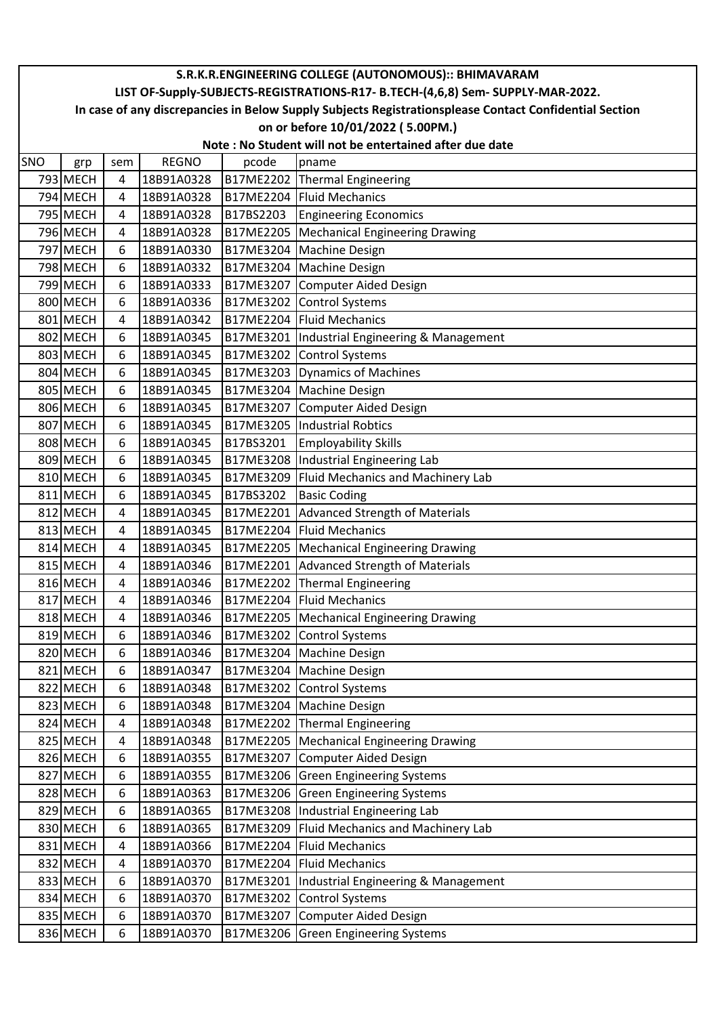|     | S.R.K.R.ENGINEERING COLLEGE (AUTONOMOUS):: BHIMAVARAM                                                  |     |              |           |                                     |  |  |  |  |  |  |
|-----|--------------------------------------------------------------------------------------------------------|-----|--------------|-----------|-------------------------------------|--|--|--|--|--|--|
|     | LIST OF-Supply-SUBJECTS-REGISTRATIONS-R17- B.TECH-(4,6,8) Sem- SUPPLY-MAR-2022.                        |     |              |           |                                     |  |  |  |  |  |  |
|     | In case of any discrepancies in Below Supply Subjects Registrationsplease Contact Confidential Section |     |              |           |                                     |  |  |  |  |  |  |
|     | on or before 10/01/2022 (5.00PM.)                                                                      |     |              |           |                                     |  |  |  |  |  |  |
|     | Note: No Student will not be entertained after due date                                                |     |              |           |                                     |  |  |  |  |  |  |
| SNO | grp                                                                                                    | sem | <b>REGNO</b> | pcode     | pname                               |  |  |  |  |  |  |
|     | 793 MECH                                                                                               | 4   | 18B91A0328   | B17ME2202 | Thermal Engineering                 |  |  |  |  |  |  |
|     | 794 MECH                                                                                               | 4   | 18B91A0328   | B17ME2204 | Fluid Mechanics                     |  |  |  |  |  |  |
|     | 795 MECH                                                                                               | 4   | 18B91A0328   | B17BS2203 | <b>Engineering Economics</b>        |  |  |  |  |  |  |
|     | 796 MECH                                                                                               | 4   | 18B91A0328   | B17ME2205 | Mechanical Engineering Drawing      |  |  |  |  |  |  |
|     | 797 MECH                                                                                               | 6   | 18B91A0330   | B17ME3204 | <b>Machine Design</b>               |  |  |  |  |  |  |
|     | 798 MECH                                                                                               | 6   | 18B91A0332   | B17ME3204 | <b>Machine Design</b>               |  |  |  |  |  |  |
|     | 799 MECH                                                                                               | 6   | 18B91A0333   | B17ME3207 | Computer Aided Design               |  |  |  |  |  |  |
|     | 800 MECH                                                                                               | 6   | 18B91A0336   | B17ME3202 | <b>Control Systems</b>              |  |  |  |  |  |  |
|     | 801 MECH                                                                                               | 4   | 18B91A0342   | B17ME2204 | Fluid Mechanics                     |  |  |  |  |  |  |
|     | 802 MECH                                                                                               | 6   | 18B91A0345   | B17ME3201 | Industrial Engineering & Management |  |  |  |  |  |  |
|     | 803 MECH                                                                                               | 6   | 18B91A0345   | B17ME3202 | <b>Control Systems</b>              |  |  |  |  |  |  |
|     | 804 MECH                                                                                               | 6   | 18B91A0345   | B17ME3203 | Dynamics of Machines                |  |  |  |  |  |  |
|     | 805 MECH                                                                                               | 6   | 18B91A0345   | B17ME3204 | Machine Design                      |  |  |  |  |  |  |
|     | 806 MECH                                                                                               | 6   | 18B91A0345   | B17ME3207 | Computer Aided Design               |  |  |  |  |  |  |
|     | 807 MECH                                                                                               | 6   | 18B91A0345   | B17ME3205 | Industrial Robtics                  |  |  |  |  |  |  |
|     | 808 MECH                                                                                               | 6   | 18B91A0345   | B17BS3201 | <b>Employability Skills</b>         |  |  |  |  |  |  |
|     | 809 MECH                                                                                               | 6   | 18B91A0345   | B17ME3208 | Industrial Engineering Lab          |  |  |  |  |  |  |
|     | 810 MECH                                                                                               | 6   | 18B91A0345   | B17ME3209 | Fluid Mechanics and Machinery Lab   |  |  |  |  |  |  |
|     | 811 MECH                                                                                               | 6   | 18B91A0345   | B17BS3202 | <b>Basic Coding</b>                 |  |  |  |  |  |  |
|     | 812 MECH                                                                                               | 4   | 18B91A0345   | B17ME2201 | Advanced Strength of Materials      |  |  |  |  |  |  |
|     | 813 MECH                                                                                               | 4   | 18B91A0345   | B17ME2204 | Fluid Mechanics                     |  |  |  |  |  |  |
|     | 814 MECH                                                                                               | 4   | 18B91A0345   | B17ME2205 | Mechanical Engineering Drawing      |  |  |  |  |  |  |
|     | 815 MECH                                                                                               | 4   | 18B91A0346   | B17ME2201 | Advanced Strength of Materials      |  |  |  |  |  |  |
|     | 816 MECH                                                                                               | 4   | 18B91A0346   | B17ME2202 | Thermal Engineering                 |  |  |  |  |  |  |
|     | 817 MECH                                                                                               | 4   | 18B91A0346   |           | B17ME2204 Fluid Mechanics           |  |  |  |  |  |  |
|     | 818 MECH                                                                                               | 4   | 18B91A0346   | B17ME2205 | Mechanical Engineering Drawing      |  |  |  |  |  |  |
|     | 819 MECH                                                                                               | 6   | 18B91A0346   | B17ME3202 | <b>Control Systems</b>              |  |  |  |  |  |  |
|     | 820 MECH                                                                                               | 6   | 18B91A0346   | B17ME3204 | Machine Design                      |  |  |  |  |  |  |
|     | 821 MECH                                                                                               | 6   | 18B91A0347   | B17ME3204 | <b>Machine Design</b>               |  |  |  |  |  |  |
|     | 822 MECH                                                                                               | 6   | 18B91A0348   | B17ME3202 | Control Systems                     |  |  |  |  |  |  |
|     | 823 MECH                                                                                               | 6   | 18B91A0348   | B17ME3204 | <b>Machine Design</b>               |  |  |  |  |  |  |
|     | 824 MECH                                                                                               | 4   | 18B91A0348   | B17ME2202 | Thermal Engineering                 |  |  |  |  |  |  |
|     | 825 MECH                                                                                               | 4   | 18B91A0348   | B17ME2205 | Mechanical Engineering Drawing      |  |  |  |  |  |  |
|     | 826 MECH                                                                                               | 6   | 18B91A0355   | B17ME3207 | Computer Aided Design               |  |  |  |  |  |  |
|     | 827 MECH                                                                                               | 6   | 18B91A0355   | B17ME3206 | <b>Green Engineering Systems</b>    |  |  |  |  |  |  |
|     | 828 MECH                                                                                               | 6   | 18B91A0363   | B17ME3206 | <b>Green Engineering Systems</b>    |  |  |  |  |  |  |
|     | 829 MECH                                                                                               | 6   | 18B91A0365   | B17ME3208 | Industrial Engineering Lab          |  |  |  |  |  |  |
|     | 830 MECH                                                                                               | 6   | 18B91A0365   | B17ME3209 | Fluid Mechanics and Machinery Lab   |  |  |  |  |  |  |
|     | 831 MECH                                                                                               | 4   | 18B91A0366   | B17ME2204 | <b>Fluid Mechanics</b>              |  |  |  |  |  |  |
|     | 832 MECH                                                                                               | 4   | 18B91A0370   | B17ME2204 | <b>Fluid Mechanics</b>              |  |  |  |  |  |  |
|     | 833 MECH                                                                                               | 6   | 18B91A0370   | B17ME3201 | Industrial Engineering & Management |  |  |  |  |  |  |
|     | 834 MECH                                                                                               | 6   | 18B91A0370   | B17ME3202 | <b>Control Systems</b>              |  |  |  |  |  |  |
|     | 835 MECH                                                                                               | 6   | 18B91A0370   | B17ME3207 | Computer Aided Design               |  |  |  |  |  |  |
|     | 836 MECH                                                                                               | 6   | 18B91A0370   | B17ME3206 | <b>Green Engineering Systems</b>    |  |  |  |  |  |  |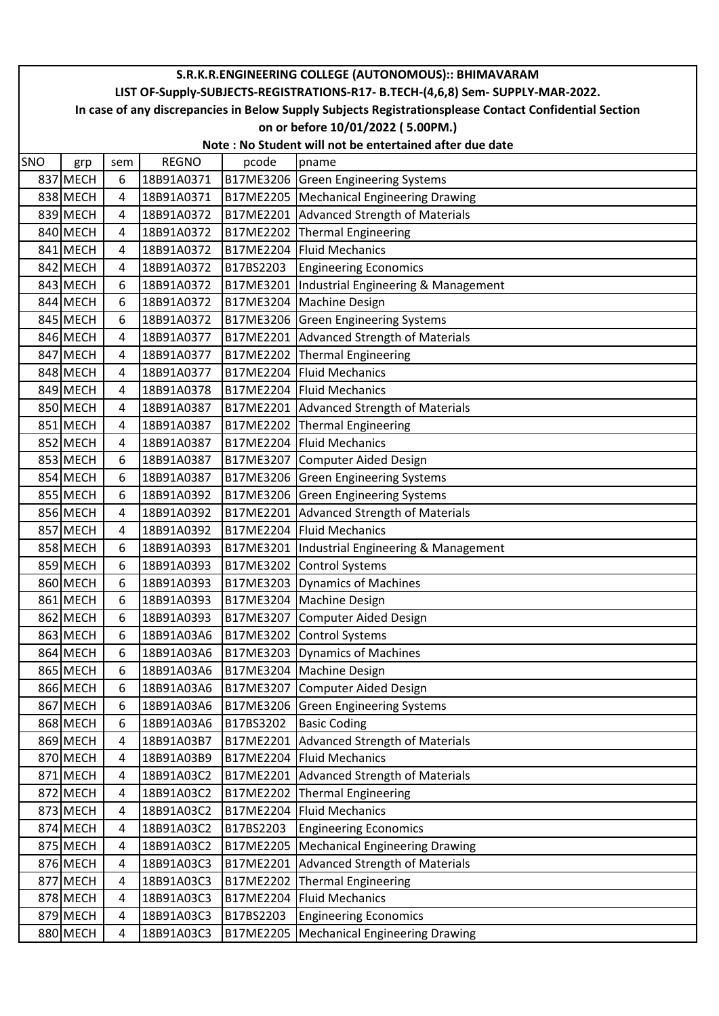|            | S.R.K.R.ENGINEERING COLLEGE (AUTONOMOUS):: BHIMAVARAM                                                  |     |              |           |                                                         |  |  |  |  |
|------------|--------------------------------------------------------------------------------------------------------|-----|--------------|-----------|---------------------------------------------------------|--|--|--|--|
|            | LIST OF-Supply-SUBJECTS-REGISTRATIONS-R17- B.TECH-(4,6,8) Sem- SUPPLY-MAR-2022.                        |     |              |           |                                                         |  |  |  |  |
|            | In case of any discrepancies in Below Supply Subjects Registrationsplease Contact Confidential Section |     |              |           |                                                         |  |  |  |  |
|            | on or before 10/01/2022 (5.00PM.)                                                                      |     |              |           |                                                         |  |  |  |  |
|            |                                                                                                        |     |              |           | Note: No Student will not be entertained after due date |  |  |  |  |
| <b>SNO</b> | grp                                                                                                    | sem | <b>REGNO</b> | pcode     | pname                                                   |  |  |  |  |
|            | 837 MECH                                                                                               | 6   | 18B91A0371   |           | B17ME3206 Green Engineering Systems                     |  |  |  |  |
|            | 838 MECH                                                                                               | 4   | 18B91A0371   | B17ME2205 | Mechanical Engineering Drawing                          |  |  |  |  |
|            | 839 MECH                                                                                               | 4   | 18B91A0372   | B17ME2201 | Advanced Strength of Materials                          |  |  |  |  |
|            | 840 MECH                                                                                               | 4   | 18B91A0372   | B17ME2202 | Thermal Engineering                                     |  |  |  |  |
|            | 841 MECH                                                                                               | 4   | 18B91A0372   | B17ME2204 | <b>Fluid Mechanics</b>                                  |  |  |  |  |
|            | 842 MECH                                                                                               | 4   | 18B91A0372   | B17BS2203 | <b>Engineering Economics</b>                            |  |  |  |  |
|            | 843 MECH                                                                                               | 6   | 18B91A0372   | B17ME3201 | Industrial Engineering & Management                     |  |  |  |  |
|            | 844 MECH                                                                                               | 6   | 18B91A0372   | B17ME3204 | <b>Machine Design</b>                                   |  |  |  |  |
|            | 845 MECH                                                                                               | 6   | 18B91A0372   | B17ME3206 | <b>Green Engineering Systems</b>                        |  |  |  |  |
|            | 846 MECH                                                                                               | 4   | 18B91A0377   | B17ME2201 | Advanced Strength of Materials                          |  |  |  |  |
|            | 847 MECH                                                                                               | 4   | 18B91A0377   | B17ME2202 | Thermal Engineering                                     |  |  |  |  |
|            | 848 MECH                                                                                               | 4   | 18B91A0377   | B17ME2204 | Fluid Mechanics                                         |  |  |  |  |
|            | 849 MECH                                                                                               | 4   | 18B91A0378   | B17ME2204 | Fluid Mechanics                                         |  |  |  |  |
|            | 850 MECH                                                                                               | 4   | 18B91A0387   | B17ME2201 | Advanced Strength of Materials                          |  |  |  |  |
|            | 851 MECH                                                                                               | 4   | 18B91A0387   | B17ME2202 | Thermal Engineering                                     |  |  |  |  |
|            | 852 MECH                                                                                               | 4   | 18B91A0387   | B17ME2204 | Fluid Mechanics                                         |  |  |  |  |
|            | 853 MECH                                                                                               | 6   | 18B91A0387   | B17ME3207 | Computer Aided Design                                   |  |  |  |  |
|            | 854 MECH                                                                                               | 6   | 18B91A0387   | B17ME3206 | <b>Green Engineering Systems</b>                        |  |  |  |  |
|            | 855 MECH                                                                                               | 6   | 18B91A0392   | B17ME3206 | Green Engineering Systems                               |  |  |  |  |
|            | 856 MECH                                                                                               | 4   | 18B91A0392   | B17ME2201 | Advanced Strength of Materials                          |  |  |  |  |
|            | 857 MECH                                                                                               | 4   | 18B91A0392   | B17ME2204 | <b>Fluid Mechanics</b>                                  |  |  |  |  |
|            | 858 MECH                                                                                               | 6   | 18B91A0393   | B17ME3201 | Industrial Engineering & Management                     |  |  |  |  |
|            | 859 MECH                                                                                               | 6   | 18B91A0393   | B17ME3202 | <b>Control Systems</b>                                  |  |  |  |  |
|            | 860 MECH                                                                                               | 6   | 18B91A0393   | B17ME3203 | Dynamics of Machines                                    |  |  |  |  |
|            | 861 MECH                                                                                               | 6   | 18B91A0393   |           | B17ME3204   Machine Design                              |  |  |  |  |
|            | 862 MECH                                                                                               | 6   | 18B91A0393   | B17ME3207 | Computer Aided Design                                   |  |  |  |  |
|            | 863 MECH                                                                                               | 6   | 18B91A03A6   | B17ME3202 | <b>Control Systems</b>                                  |  |  |  |  |
|            | 864 MECH                                                                                               | 6   | 18B91A03A6   | B17ME3203 | Dynamics of Machines                                    |  |  |  |  |
|            | 865 MECH                                                                                               | 6   | 18B91A03A6   | B17ME3204 | <b>Machine Design</b>                                   |  |  |  |  |
|            | 866 MECH                                                                                               | 6   | 18B91A03A6   | B17ME3207 | <b>Computer Aided Design</b>                            |  |  |  |  |
|            | 867 MECH                                                                                               | 6   | 18B91A03A6   | B17ME3206 | <b>Green Engineering Systems</b>                        |  |  |  |  |
|            | 868 MECH                                                                                               | 6   | 18B91A03A6   | B17BS3202 | <b>Basic Coding</b>                                     |  |  |  |  |
|            | 869 MECH                                                                                               | 4   | 18B91A03B7   | B17ME2201 | Advanced Strength of Materials                          |  |  |  |  |
|            | 870 MECH                                                                                               | 4   | 18B91A03B9   | B17ME2204 | <b>Fluid Mechanics</b>                                  |  |  |  |  |
|            | 871 MECH                                                                                               | 4   | 18B91A03C2   | B17ME2201 | Advanced Strength of Materials                          |  |  |  |  |
|            | 872 MECH                                                                                               | 4   | 18B91A03C2   | B17ME2202 | Thermal Engineering                                     |  |  |  |  |
|            | 873 MECH                                                                                               | 4   | 18B91A03C2   | B17ME2204 | <b>Fluid Mechanics</b>                                  |  |  |  |  |
|            | 874 MECH                                                                                               | 4   | 18B91A03C2   | B17BS2203 | <b>Engineering Economics</b>                            |  |  |  |  |
|            | 875 MECH                                                                                               | 4   | 18B91A03C2   | B17ME2205 | <b>Mechanical Engineering Drawing</b>                   |  |  |  |  |
|            | 876 MECH                                                                                               | 4   | 18B91A03C3   | B17ME2201 | Advanced Strength of Materials                          |  |  |  |  |
|            | 877 MECH                                                                                               | 4   | 18B91A03C3   | B17ME2202 | Thermal Engineering                                     |  |  |  |  |
|            | 878 MECH                                                                                               | 4   | 18B91A03C3   | B17ME2204 | <b>Fluid Mechanics</b>                                  |  |  |  |  |
|            | 879 MECH                                                                                               | 4   | 18B91A03C3   | B17BS2203 | <b>Engineering Economics</b>                            |  |  |  |  |
|            | 880 MECH                                                                                               | 4   | 18B91A03C3   | B17ME2205 | <b>Mechanical Engineering Drawing</b>                   |  |  |  |  |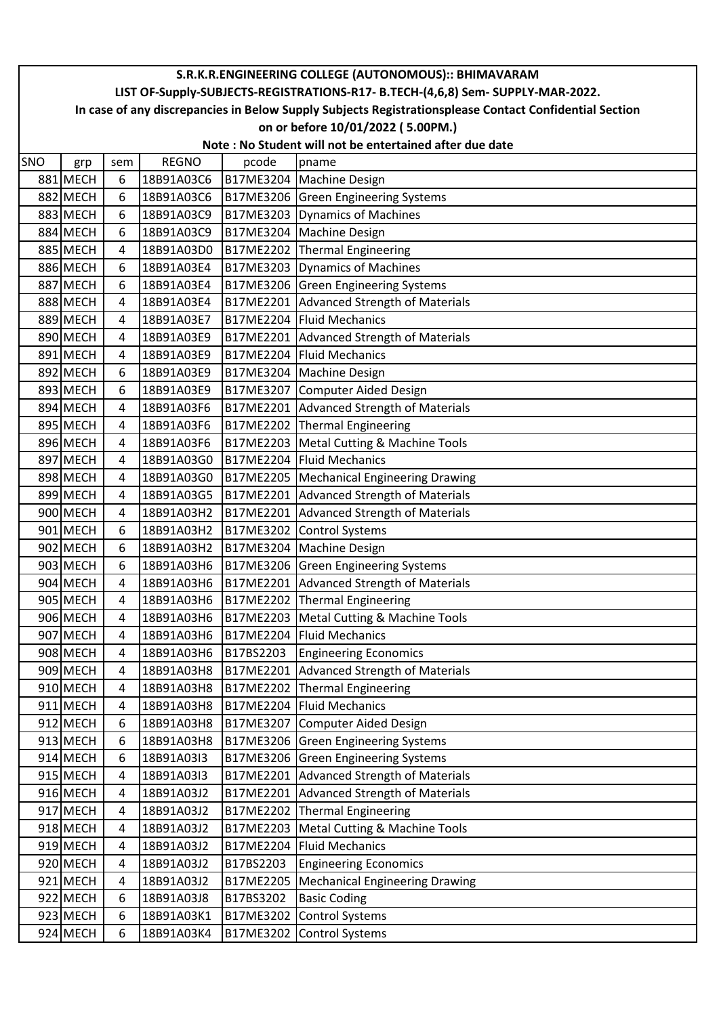|     | S.R.K.R.ENGINEERING COLLEGE (AUTONOMOUS):: BHIMAVARAM                                                  |     |              |           |                                       |  |  |  |  |  |
|-----|--------------------------------------------------------------------------------------------------------|-----|--------------|-----------|---------------------------------------|--|--|--|--|--|
|     | LIST OF-Supply-SUBJECTS-REGISTRATIONS-R17- B.TECH-(4,6,8) Sem- SUPPLY-MAR-2022.                        |     |              |           |                                       |  |  |  |  |  |
|     | In case of any discrepancies in Below Supply Subjects Registrationsplease Contact Confidential Section |     |              |           |                                       |  |  |  |  |  |
|     | on or before 10/01/2022 (5.00PM.)                                                                      |     |              |           |                                       |  |  |  |  |  |
|     | Note: No Student will not be entertained after due date                                                |     |              |           |                                       |  |  |  |  |  |
| SNO | grp                                                                                                    | sem | <b>REGNO</b> | pcode     | pname                                 |  |  |  |  |  |
|     | 881 MECH                                                                                               | 6   | 18B91A03C6   | B17ME3204 | Machine Design                        |  |  |  |  |  |
|     | 882 MECH                                                                                               | 6   | 18B91A03C6   |           | B17ME3206 Green Engineering Systems   |  |  |  |  |  |
|     | 883 MECH                                                                                               | 6   | 18B91A03C9   | B17ME3203 | Dynamics of Machines                  |  |  |  |  |  |
|     | 884 MECH                                                                                               | 6   | 18B91A03C9   | B17ME3204 | <b>Machine Design</b>                 |  |  |  |  |  |
|     | 885 MECH                                                                                               | 4   | 18B91A03D0   | B17ME2202 | Thermal Engineering                   |  |  |  |  |  |
|     | 886 MECH                                                                                               | 6   | 18B91A03E4   | B17ME3203 | Dynamics of Machines                  |  |  |  |  |  |
|     | 887 MECH                                                                                               | 6   | 18B91A03E4   | B17ME3206 | <b>Green Engineering Systems</b>      |  |  |  |  |  |
|     | 888 MECH                                                                                               | 4   | 18B91A03E4   | B17ME2201 | Advanced Strength of Materials        |  |  |  |  |  |
|     | 889 MECH                                                                                               | 4   | 18B91A03E7   | B17ME2204 | <b>Fluid Mechanics</b>                |  |  |  |  |  |
|     | 890 MECH                                                                                               | 4   | 18B91A03E9   | B17ME2201 | Advanced Strength of Materials        |  |  |  |  |  |
|     | 891 MECH                                                                                               | 4   | 18B91A03E9   | B17ME2204 | <b>Fluid Mechanics</b>                |  |  |  |  |  |
|     | 892 MECH                                                                                               | 6   | 18B91A03E9   | B17ME3204 | Machine Design                        |  |  |  |  |  |
|     | 893 MECH                                                                                               | 6   | 18B91A03E9   | B17ME3207 | Computer Aided Design                 |  |  |  |  |  |
|     | 894 MECH                                                                                               | 4   | 18B91A03F6   | B17ME2201 | Advanced Strength of Materials        |  |  |  |  |  |
|     | 895 MECH                                                                                               | 4   | 18B91A03F6   | B17ME2202 | Thermal Engineering                   |  |  |  |  |  |
|     | 896 MECH                                                                                               | 4   | 18B91A03F6   | B17ME2203 | Metal Cutting & Machine Tools         |  |  |  |  |  |
|     | 897 MECH                                                                                               | 4   | 18B91A03G0   | B17ME2204 | <b>Fluid Mechanics</b>                |  |  |  |  |  |
|     | 898 MECH                                                                                               | 4   | 18B91A03G0   | B17ME2205 | Mechanical Engineering Drawing        |  |  |  |  |  |
|     | 899 MECH                                                                                               | 4   | 18B91A03G5   | B17ME2201 | Advanced Strength of Materials        |  |  |  |  |  |
|     | 900 MECH                                                                                               | 4   | 18B91A03H2   | B17ME2201 | Advanced Strength of Materials        |  |  |  |  |  |
|     | 901 MECH                                                                                               | 6   | 18B91A03H2   | B17ME3202 | <b>Control Systems</b>                |  |  |  |  |  |
|     | 902 MECH                                                                                               | 6   | 18B91A03H2   | B17ME3204 | <b>Machine Design</b>                 |  |  |  |  |  |
|     | 903 MECH                                                                                               | 6   | 18B91A03H6   | B17ME3206 | <b>Green Engineering Systems</b>      |  |  |  |  |  |
|     | 904 MECH                                                                                               | 4   | 18B91A03H6   | B17ME2201 | Advanced Strength of Materials        |  |  |  |  |  |
|     | 905 MECH                                                                                               | 4   | 18B91A03H6   | B17ME2202 | Thermal Engineering                   |  |  |  |  |  |
|     | 906 MECH                                                                                               | 4   | 18B91A03H6   | B17ME2203 | Metal Cutting & Machine Tools         |  |  |  |  |  |
|     | 907 MECH                                                                                               | 4   | 18B91A03H6   | B17ME2204 | <b>Fluid Mechanics</b>                |  |  |  |  |  |
|     | 908 MECH                                                                                               | 4   | 18B91A03H6   | B17BS2203 | <b>Engineering Economics</b>          |  |  |  |  |  |
|     | 909 MECH                                                                                               | 4   | 18B91A03H8   | B17ME2201 | <b>Advanced Strength of Materials</b> |  |  |  |  |  |
|     | 910 MECH                                                                                               | 4   | 18B91A03H8   | B17ME2202 | <b>Thermal Engineering</b>            |  |  |  |  |  |
|     | 911 MECH                                                                                               | 4   | 18B91A03H8   | B17ME2204 | <b>Fluid Mechanics</b>                |  |  |  |  |  |
|     | 912 MECH                                                                                               | 6   | 18B91A03H8   | B17ME3207 | Computer Aided Design                 |  |  |  |  |  |
|     | 913 MECH                                                                                               | 6   | 18B91A03H8   | B17ME3206 | <b>Green Engineering Systems</b>      |  |  |  |  |  |
|     | 914 MECH                                                                                               | 6   | 18B91A03I3   | B17ME3206 | <b>Green Engineering Systems</b>      |  |  |  |  |  |
|     | 915 MECH                                                                                               | 4   | 18B91A03I3   | B17ME2201 | Advanced Strength of Materials        |  |  |  |  |  |
|     | 916 MECH                                                                                               | 4   | 18B91A03J2   | B17ME2201 | Advanced Strength of Materials        |  |  |  |  |  |
|     | 917 MECH                                                                                               | 4   | 18B91A03J2   | B17ME2202 | Thermal Engineering                   |  |  |  |  |  |
|     | 918 MECH                                                                                               | 4   | 18B91A03J2   | B17ME2203 | Metal Cutting & Machine Tools         |  |  |  |  |  |
|     | 919 MECH                                                                                               | 4   | 18B91A03J2   | B17ME2204 | <b>Fluid Mechanics</b>                |  |  |  |  |  |
|     | 920 MECH                                                                                               | 4   | 18B91A03J2   | B17BS2203 | <b>Engineering Economics</b>          |  |  |  |  |  |
|     | 921 MECH                                                                                               | 4   | 18B91A03J2   | B17ME2205 | <b>Mechanical Engineering Drawing</b> |  |  |  |  |  |
|     | 922 MECH                                                                                               | 6   | 18B91A03J8   | B17BS3202 | <b>Basic Coding</b>                   |  |  |  |  |  |
|     | 923 MECH                                                                                               | 6   | 18B91A03K1   | B17ME3202 | <b>Control Systems</b>                |  |  |  |  |  |
|     | 924 MECH                                                                                               | 6   | 18B91A03K4   | B17ME3202 | <b>Control Systems</b>                |  |  |  |  |  |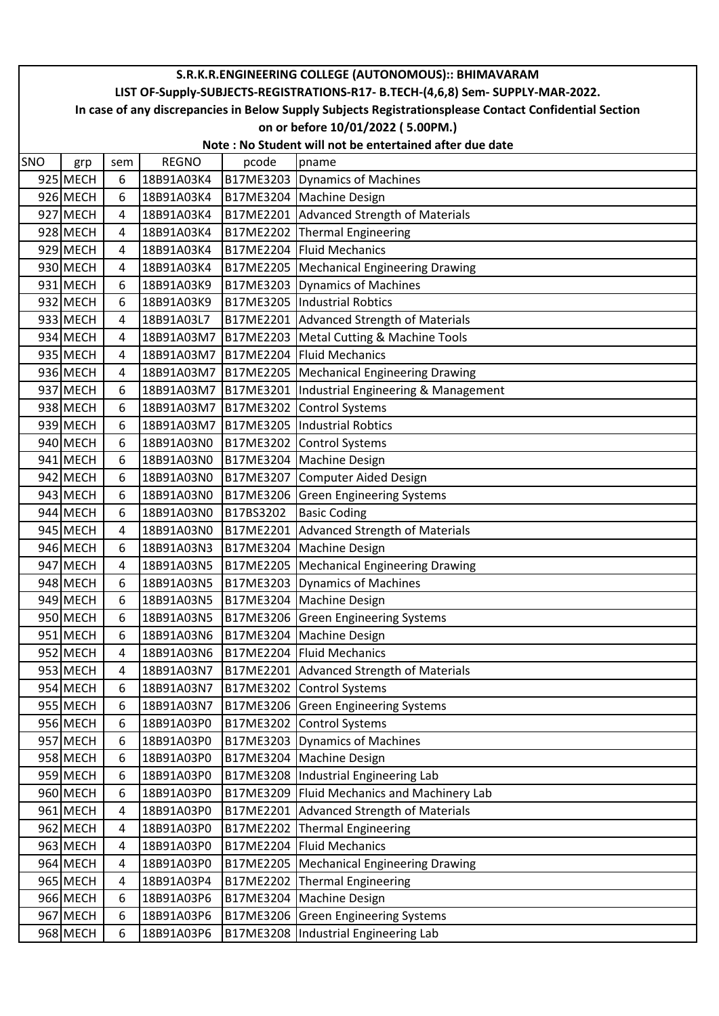|     | S.R.K.R.ENGINEERING COLLEGE (AUTONOMOUS):: BHIMAVARAM                                                  |     |              |           |                                       |  |  |  |  |  |
|-----|--------------------------------------------------------------------------------------------------------|-----|--------------|-----------|---------------------------------------|--|--|--|--|--|
|     | LIST OF-Supply-SUBJECTS-REGISTRATIONS-R17- B.TECH-(4,6,8) Sem- SUPPLY-MAR-2022.                        |     |              |           |                                       |  |  |  |  |  |
|     | In case of any discrepancies in Below Supply Subjects Registrationsplease Contact Confidential Section |     |              |           |                                       |  |  |  |  |  |
|     | on or before 10/01/2022 (5.00PM.)                                                                      |     |              |           |                                       |  |  |  |  |  |
|     | Note: No Student will not be entertained after due date                                                |     |              |           |                                       |  |  |  |  |  |
| SNO | grp                                                                                                    | sem | <b>REGNO</b> | pcode     | pname                                 |  |  |  |  |  |
|     | 925 MECH                                                                                               | 6   | 18B91A03K4   | B17ME3203 | Dynamics of Machines                  |  |  |  |  |  |
|     | 926 MECH                                                                                               | 6   | 18B91A03K4   | B17ME3204 | <b>Machine Design</b>                 |  |  |  |  |  |
|     | 927 MECH                                                                                               | 4   | 18B91A03K4   | B17ME2201 | Advanced Strength of Materials        |  |  |  |  |  |
|     | 928 MECH                                                                                               | 4   | 18B91A03K4   | B17ME2202 | Thermal Engineering                   |  |  |  |  |  |
|     | 929 MECH                                                                                               | 4   | 18B91A03K4   | B17ME2204 | <b>Fluid Mechanics</b>                |  |  |  |  |  |
|     | 930 MECH                                                                                               | 4   | 18B91A03K4   | B17ME2205 | Mechanical Engineering Drawing        |  |  |  |  |  |
|     | 931 MECH                                                                                               | 6   | 18B91A03K9   | B17ME3203 | Dynamics of Machines                  |  |  |  |  |  |
|     | 932 MECH                                                                                               | 6   | 18B91A03K9   | B17ME3205 | Industrial Robtics                    |  |  |  |  |  |
|     | 933 MECH                                                                                               | 4   | 18B91A03L7   | B17ME2201 | Advanced Strength of Materials        |  |  |  |  |  |
|     | 934 MECH                                                                                               | 4   | 18B91A03M7   | B17ME2203 | Metal Cutting & Machine Tools         |  |  |  |  |  |
|     | 935 MECH                                                                                               | 4   | 18B91A03M7   | B17ME2204 | <b>Fluid Mechanics</b>                |  |  |  |  |  |
|     | 936 MECH                                                                                               | 4   | 18B91A03M7   | B17ME2205 | Mechanical Engineering Drawing        |  |  |  |  |  |
|     | 937 MECH                                                                                               | 6   | 18B91A03M7   | B17ME3201 | Industrial Engineering & Management   |  |  |  |  |  |
|     | 938 MECH                                                                                               | 6   | 18B91A03M7   | B17ME3202 | Control Systems                       |  |  |  |  |  |
|     | 939 MECH                                                                                               | 6   | 18B91A03M7   | B17ME3205 | <b>Industrial Robtics</b>             |  |  |  |  |  |
|     | 940 MECH                                                                                               | 6   | 18B91A03N0   | B17ME3202 | <b>Control Systems</b>                |  |  |  |  |  |
|     | 941 MECH                                                                                               | 6   | 18B91A03N0   | B17ME3204 | <b>Machine Design</b>                 |  |  |  |  |  |
|     | 942 MECH                                                                                               | 6   | 18B91A03N0   | B17ME3207 | <b>Computer Aided Design</b>          |  |  |  |  |  |
|     | 943 MECH                                                                                               | 6   | 18B91A03N0   | B17ME3206 | <b>Green Engineering Systems</b>      |  |  |  |  |  |
|     | 944 MECH                                                                                               | 6   | 18B91A03N0   | B17BS3202 | <b>Basic Coding</b>                   |  |  |  |  |  |
|     | 945 MECH                                                                                               | 4   | 18B91A03N0   | B17ME2201 | Advanced Strength of Materials        |  |  |  |  |  |
|     | 946 MECH                                                                                               | 6   | 18B91A03N3   | B17ME3204 | <b>Machine Design</b>                 |  |  |  |  |  |
|     | 947 MECH                                                                                               | 4   | 18B91A03N5   | B17ME2205 | Mechanical Engineering Drawing        |  |  |  |  |  |
|     | 948 MECH                                                                                               | 6   | 18B91A03N5   | B17ME3203 | Dynamics of Machines                  |  |  |  |  |  |
|     | 949 MECH                                                                                               | 6   | 18B91A03N5   |           | B17ME3204   Machine Design            |  |  |  |  |  |
|     | 950 MECH                                                                                               | 6   | 18B91A03N5   | B17ME3206 | <b>Green Engineering Systems</b>      |  |  |  |  |  |
|     | 951 MECH                                                                                               | 6   | 18B91A03N6   | B17ME3204 | Machine Design                        |  |  |  |  |  |
|     | 952 MECH                                                                                               | 4   | 18B91A03N6   |           | B17ME2204 Fluid Mechanics             |  |  |  |  |  |
|     | 953 MECH                                                                                               | 4   | 18B91A03N7   | B17ME2201 | Advanced Strength of Materials        |  |  |  |  |  |
|     | 954 MECH                                                                                               | 6   | 18B91A03N7   | B17ME3202 | <b>Control Systems</b>                |  |  |  |  |  |
|     | 955 MECH                                                                                               | 6   | 18B91A03N7   | B17ME3206 | <b>Green Engineering Systems</b>      |  |  |  |  |  |
|     | 956 MECH                                                                                               | 6   | 18B91A03P0   | B17ME3202 | <b>Control Systems</b>                |  |  |  |  |  |
|     | 957 MECH                                                                                               | 6   | 18B91A03P0   | B17ME3203 | Dynamics of Machines                  |  |  |  |  |  |
|     | 958 MECH                                                                                               | 6   | 18B91A03P0   | B17ME3204 | <b>Machine Design</b>                 |  |  |  |  |  |
|     | 959 MECH                                                                                               | 6   | 18B91A03P0   |           | B17ME3208  Industrial Engineering Lab |  |  |  |  |  |
|     | 960 MECH                                                                                               | 6   | 18B91A03P0   | B17ME3209 | Fluid Mechanics and Machinery Lab     |  |  |  |  |  |
|     | 961 MECH                                                                                               | 4   | 18B91A03P0   | B17ME2201 | Advanced Strength of Materials        |  |  |  |  |  |
|     | 962 MECH                                                                                               | 4   | 18B91A03P0   | B17ME2202 | Thermal Engineering                   |  |  |  |  |  |
|     | 963 MECH                                                                                               | 4   | 18B91A03P0   | B17ME2204 | <b>Fluid Mechanics</b>                |  |  |  |  |  |
|     | 964 MECH                                                                                               | 4   | 18B91A03P0   | B17ME2205 | Mechanical Engineering Drawing        |  |  |  |  |  |
|     | 965 MECH                                                                                               | 4   | 18B91A03P4   | B17ME2202 | Thermal Engineering                   |  |  |  |  |  |
|     | 966 MECH                                                                                               | 6   | 18B91A03P6   | B17ME3204 | Machine Design                        |  |  |  |  |  |
|     | 967 MECH                                                                                               | 6   | 18B91A03P6   |           | B17ME3206 Green Engineering Systems   |  |  |  |  |  |
|     | 968 MECH                                                                                               | 6   | 18B91A03P6   | B17ME3208 | Industrial Engineering Lab            |  |  |  |  |  |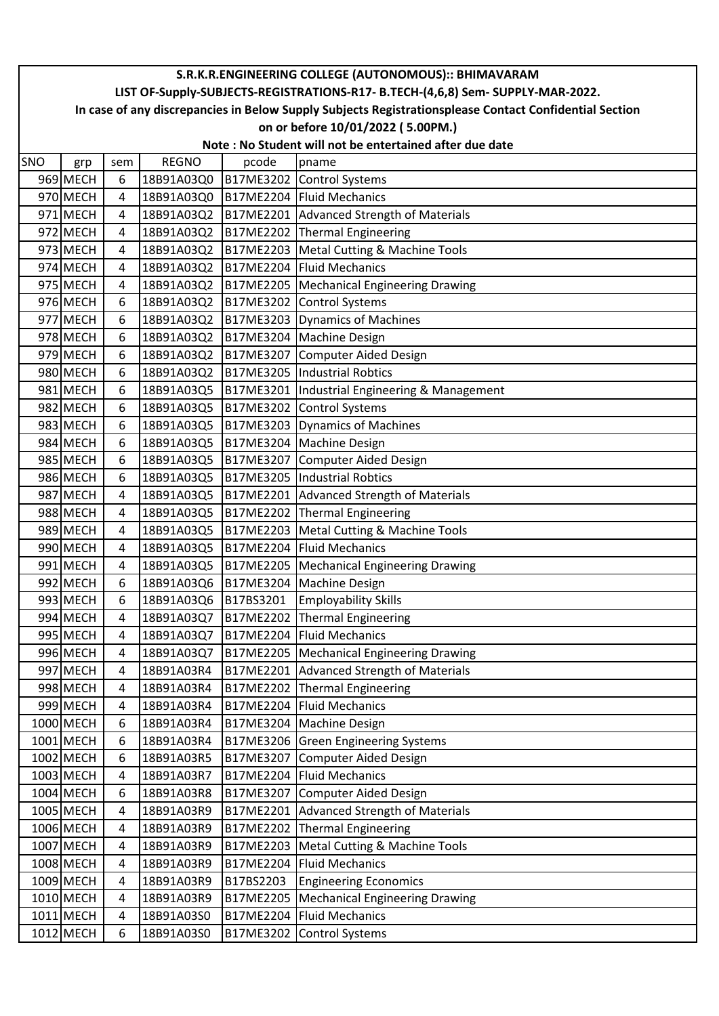|            | S.R.K.R.ENGINEERING COLLEGE (AUTONOMOUS):: BHIMAVARAM                                                  |     |              |                  |                                       |  |  |  |  |  |
|------------|--------------------------------------------------------------------------------------------------------|-----|--------------|------------------|---------------------------------------|--|--|--|--|--|
|            | LIST OF-Supply-SUBJECTS-REGISTRATIONS-R17- B.TECH-(4,6,8) Sem- SUPPLY-MAR-2022.                        |     |              |                  |                                       |  |  |  |  |  |
|            | In case of any discrepancies in Below Supply Subjects Registrationsplease Contact Confidential Section |     |              |                  |                                       |  |  |  |  |  |
|            | on or before 10/01/2022 (5.00PM.)<br>Note: No Student will not be entertained after due date           |     |              |                  |                                       |  |  |  |  |  |
|            |                                                                                                        |     |              |                  |                                       |  |  |  |  |  |
| <b>SNO</b> | grp                                                                                                    | sem | <b>REGNO</b> | pcode            | pname                                 |  |  |  |  |  |
|            | 969 MECH                                                                                               | 6   | 18B91A03Q0   | B17ME3202        | <b>Control Systems</b>                |  |  |  |  |  |
|            | 970 MECH                                                                                               | 4   | 18B91A03Q0   |                  | B17ME2204 Fluid Mechanics             |  |  |  |  |  |
|            | 971 MECH                                                                                               | 4   | 18B91A03Q2   | B17ME2201        | Advanced Strength of Materials        |  |  |  |  |  |
|            | 972 MECH                                                                                               | 4   | 18B91A03Q2   | B17ME2202        | Thermal Engineering                   |  |  |  |  |  |
|            | 973 MECH                                                                                               | 4   | 18B91A03Q2   | B17ME2203        | Metal Cutting & Machine Tools         |  |  |  |  |  |
|            | 974 MECH                                                                                               | 4   | 18B91A03Q2   | B17ME2204        | <b>Fluid Mechanics</b>                |  |  |  |  |  |
|            | 975 MECH                                                                                               | 4   | 18B91A03Q2   | <b>B17ME2205</b> | Mechanical Engineering Drawing        |  |  |  |  |  |
|            | 976 MECH                                                                                               | 6   | 18B91A03Q2   | B17ME3202        | <b>Control Systems</b>                |  |  |  |  |  |
|            | 977 MECH                                                                                               | 6   | 18B91A03Q2   | B17ME3203        | Dynamics of Machines                  |  |  |  |  |  |
|            | 978 MECH                                                                                               | 6   | 18B91A03Q2   | B17ME3204        | <b>Machine Design</b>                 |  |  |  |  |  |
|            | 979 MECH                                                                                               | 6   | 18B91A03Q2   | B17ME3207        | Computer Aided Design                 |  |  |  |  |  |
|            | 980 MECH                                                                                               | 6   | 18B91A03Q2   | B17ME3205        | Industrial Robtics                    |  |  |  |  |  |
|            | 981 MECH                                                                                               | 6   | 18B91A03Q5   | B17ME3201        | Industrial Engineering & Management   |  |  |  |  |  |
|            | 982 MECH                                                                                               | 6   | 18B91A03Q5   | <b>B17ME3202</b> | <b>Control Systems</b>                |  |  |  |  |  |
|            | 983 MECH                                                                                               | 6   | 18B91A03Q5   | B17ME3203        | Dynamics of Machines                  |  |  |  |  |  |
|            | 984 MECH                                                                                               | 6   | 18B91A03Q5   | B17ME3204        | Machine Design                        |  |  |  |  |  |
|            | 985 MECH                                                                                               | 6   | 18B91A03Q5   | B17ME3207        | Computer Aided Design                 |  |  |  |  |  |
|            | 986 MECH                                                                                               | 6   | 18B91A03Q5   | B17ME3205        | Industrial Robtics                    |  |  |  |  |  |
|            | 987 MECH                                                                                               | 4   | 18B91A03Q5   | B17ME2201        | Advanced Strength of Materials        |  |  |  |  |  |
|            | 988 MECH                                                                                               | 4   | 18B91A03Q5   | B17ME2202        | Thermal Engineering                   |  |  |  |  |  |
|            | 989 MECH                                                                                               | 4   | 18B91A03Q5   | B17ME2203        | Metal Cutting & Machine Tools         |  |  |  |  |  |
|            | 990 MECH                                                                                               | 4   | 18B91A03Q5   | B17ME2204        | <b>Fluid Mechanics</b>                |  |  |  |  |  |
|            | 991 MECH                                                                                               | 4   | 18B91A03Q5   | B17ME2205        | Mechanical Engineering Drawing        |  |  |  |  |  |
|            | 992 MECH                                                                                               | 6   | 18B91A03Q6   | B17ME3204        | <b>Machine Design</b>                 |  |  |  |  |  |
|            | 993 MECH                                                                                               | 6   | 18B91A03Q6   | B17BS3201        | <b>Employability Skills</b>           |  |  |  |  |  |
|            | 994 MECH                                                                                               | 4   | 18B91A03Q7   | B17ME2202        | <b>Thermal Engineering</b>            |  |  |  |  |  |
|            | 995 MECH                                                                                               | 4   | 18B91A03Q7   | B17ME2204        | <b>Fluid Mechanics</b>                |  |  |  |  |  |
|            | 996 MECH                                                                                               | 4   | 18B91A03Q7   | B17ME2205        | Mechanical Engineering Drawing        |  |  |  |  |  |
|            | 997 MECH                                                                                               | 4   | 18B91A03R4   | B17ME2201        | Advanced Strength of Materials        |  |  |  |  |  |
|            | 998 MECH                                                                                               | 4   | 18B91A03R4   | B17ME2202        | <b>Thermal Engineering</b>            |  |  |  |  |  |
|            | 999 MECH                                                                                               | 4   | 18B91A03R4   | B17ME2204        | <b>Fluid Mechanics</b>                |  |  |  |  |  |
|            | 1000 MECH                                                                                              | 6   | 18B91A03R4   | B17ME3204        | <b>Machine Design</b>                 |  |  |  |  |  |
|            | 1001 MECH                                                                                              | 6   | 18B91A03R4   | B17ME3206        | <b>Green Engineering Systems</b>      |  |  |  |  |  |
|            | 1002 MECH                                                                                              | 6   | 18B91A03R5   | B17ME3207        | Computer Aided Design                 |  |  |  |  |  |
|            | 1003 MECH                                                                                              | 4   | 18B91A03R7   | B17ME2204        | <b>Fluid Mechanics</b>                |  |  |  |  |  |
|            | 1004 MECH                                                                                              | 6   | 18B91A03R8   | B17ME3207        | Computer Aided Design                 |  |  |  |  |  |
|            | 1005 MECH                                                                                              | 4   | 18B91A03R9   | B17ME2201        | <b>Advanced Strength of Materials</b> |  |  |  |  |  |
|            | 1006 MECH                                                                                              | 4   | 18B91A03R9   | B17ME2202        | Thermal Engineering                   |  |  |  |  |  |
|            | 1007 MECH                                                                                              | 4   | 18B91A03R9   | B17ME2203        | Metal Cutting & Machine Tools         |  |  |  |  |  |
|            | 1008 MECH                                                                                              | 4   | 18B91A03R9   | B17ME2204        | <b>Fluid Mechanics</b>                |  |  |  |  |  |
|            | 1009 MECH                                                                                              | 4   | 18B91A03R9   | B17BS2203        | <b>Engineering Economics</b>          |  |  |  |  |  |
|            | 1010 MECH                                                                                              | 4   | 18B91A03R9   | B17ME2205        | <b>Mechanical Engineering Drawing</b> |  |  |  |  |  |
|            | 1011 MECH                                                                                              | 4   | 18B91A03S0   | B17ME2204        | <b>Fluid Mechanics</b>                |  |  |  |  |  |
|            | 1012 MECH                                                                                              | 6   | 18B91A03S0   | B17ME3202        | <b>Control Systems</b>                |  |  |  |  |  |
|            |                                                                                                        |     |              |                  |                                       |  |  |  |  |  |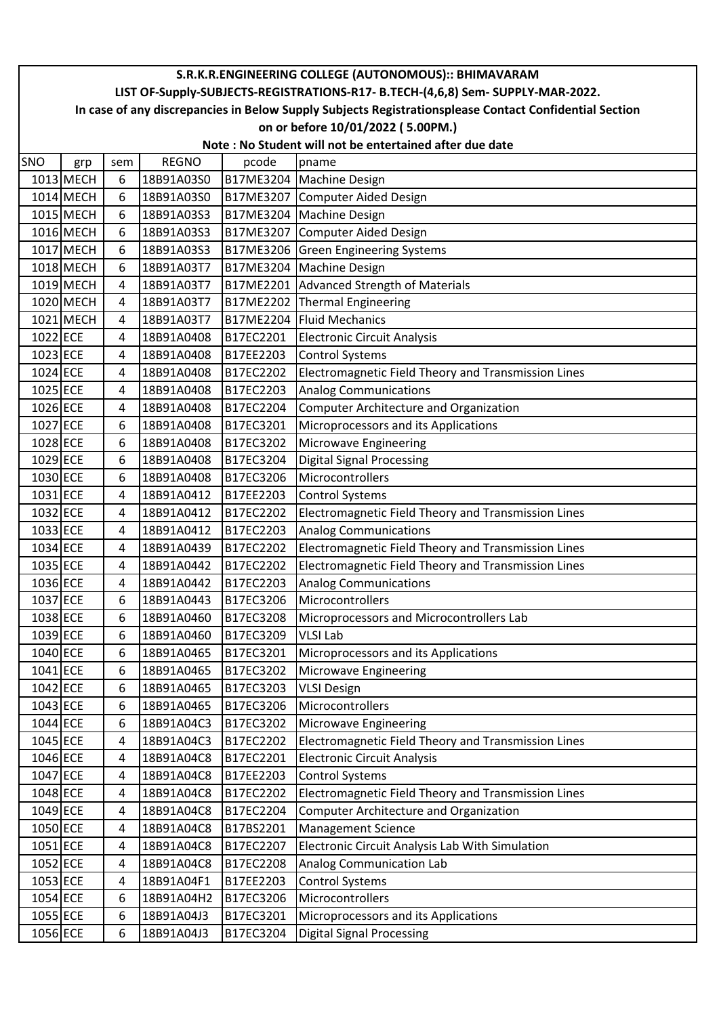|          | S.R.K.R.ENGINEERING COLLEGE (AUTONOMOUS):: BHIMAVARAM                                                  |     |              |           |                                                                                 |  |  |  |  |  |
|----------|--------------------------------------------------------------------------------------------------------|-----|--------------|-----------|---------------------------------------------------------------------------------|--|--|--|--|--|
|          |                                                                                                        |     |              |           | LIST OF-Supply-SUBJECTS-REGISTRATIONS-R17- B.TECH-(4,6,8) Sem- SUPPLY-MAR-2022. |  |  |  |  |  |
|          | In case of any discrepancies in Below Supply Subjects Registrationsplease Contact Confidential Section |     |              |           |                                                                                 |  |  |  |  |  |
|          | on or before 10/01/2022 (5.00PM.)                                                                      |     |              |           |                                                                                 |  |  |  |  |  |
|          | Note: No Student will not be entertained after due date                                                |     |              |           |                                                                                 |  |  |  |  |  |
| SNO      | grp                                                                                                    | sem | <b>REGNO</b> | pcode     | pname                                                                           |  |  |  |  |  |
|          | 1013 MECH                                                                                              | 6   | 18B91A03S0   | B17ME3204 | <b>Machine Design</b>                                                           |  |  |  |  |  |
|          | 1014 MECH                                                                                              | 6   | 18B91A03S0   | B17ME3207 | Computer Aided Design                                                           |  |  |  |  |  |
|          | 1015 MECH                                                                                              | 6   | 18B91A03S3   | B17ME3204 | <b>Machine Design</b>                                                           |  |  |  |  |  |
|          | 1016 MECH                                                                                              | 6   | 18B91A03S3   | B17ME3207 | Computer Aided Design                                                           |  |  |  |  |  |
|          | 1017 MECH                                                                                              | 6   | 18B91A03S3   | B17ME3206 | <b>Green Engineering Systems</b>                                                |  |  |  |  |  |
|          | 1018 MECH                                                                                              | 6   | 18B91A03T7   | B17ME3204 | <b>Machine Design</b>                                                           |  |  |  |  |  |
|          | 1019 MECH                                                                                              | 4   | 18B91A03T7   | B17ME2201 | Advanced Strength of Materials                                                  |  |  |  |  |  |
|          | 1020 MECH                                                                                              | 4   | 18B91A03T7   | B17ME2202 | <b>Thermal Engineering</b>                                                      |  |  |  |  |  |
|          | 1021 MECH                                                                                              | 4   | 18B91A03T7   | B17ME2204 | <b>Fluid Mechanics</b>                                                          |  |  |  |  |  |
| 1022 ECE |                                                                                                        | 4   | 18B91A0408   | B17EC2201 | <b>Electronic Circuit Analysis</b>                                              |  |  |  |  |  |
| 1023 ECE |                                                                                                        | 4   | 18B91A0408   | B17EE2203 | <b>Control Systems</b>                                                          |  |  |  |  |  |
| 1024 ECE |                                                                                                        | 4   | 18B91A0408   | B17EC2202 | Electromagnetic Field Theory and Transmission Lines                             |  |  |  |  |  |
| 1025 ECE |                                                                                                        | 4   | 18B91A0408   | B17EC2203 | <b>Analog Communications</b>                                                    |  |  |  |  |  |
| 1026 ECE |                                                                                                        | 4   | 18B91A0408   | B17EC2204 | <b>Computer Architecture and Organization</b>                                   |  |  |  |  |  |
| 1027 ECE |                                                                                                        | 6   | 18B91A0408   | B17EC3201 | Microprocessors and its Applications                                            |  |  |  |  |  |
| 1028 ECE |                                                                                                        | 6   | 18B91A0408   | B17EC3202 | Microwave Engineering                                                           |  |  |  |  |  |
| 1029 ECE |                                                                                                        | 6   | 18B91A0408   | B17EC3204 | <b>Digital Signal Processing</b>                                                |  |  |  |  |  |
| 1030 ECE |                                                                                                        | 6   | 18B91A0408   | B17EC3206 | Microcontrollers                                                                |  |  |  |  |  |
| 1031 ECE |                                                                                                        | 4   | 18B91A0412   | B17EE2203 | <b>Control Systems</b>                                                          |  |  |  |  |  |
| 1032 ECE |                                                                                                        | 4   | 18B91A0412   | B17EC2202 | Electromagnetic Field Theory and Transmission Lines                             |  |  |  |  |  |
| 1033 ECE |                                                                                                        | 4   | 18B91A0412   | B17EC2203 | <b>Analog Communications</b>                                                    |  |  |  |  |  |
| 1034 ECE |                                                                                                        | 4   | 18B91A0439   | B17EC2202 | Electromagnetic Field Theory and Transmission Lines                             |  |  |  |  |  |
| 1035 ECE |                                                                                                        | 4   | 18B91A0442   | B17EC2202 | Electromagnetic Field Theory and Transmission Lines                             |  |  |  |  |  |
| 1036 ECE |                                                                                                        | 4   | 18B91A0442   | B17EC2203 | <b>Analog Communications</b>                                                    |  |  |  |  |  |
| 1037 ECE |                                                                                                        | 6   | 18B91A0443   | B17EC3206 | Microcontrollers                                                                |  |  |  |  |  |
| 1038 ECE |                                                                                                        | 6   | 18B91A0460   | B17EC3208 | Microprocessors and Microcontrollers Lab                                        |  |  |  |  |  |
| 1039 ECE |                                                                                                        | 6   | 18B91A0460   | B17EC3209 | <b>VLSI Lab</b>                                                                 |  |  |  |  |  |
| 1040 ECE |                                                                                                        | 6   | 18B91A0465   | B17EC3201 | Microprocessors and its Applications                                            |  |  |  |  |  |
| 1041 ECE |                                                                                                        | 6   | 18B91A0465   | B17EC3202 | Microwave Engineering                                                           |  |  |  |  |  |
| 1042 ECE |                                                                                                        | 6   | 18B91A0465   | B17EC3203 | <b>VLSI Design</b>                                                              |  |  |  |  |  |
| 1043 ECE |                                                                                                        | 6   | 18B91A0465   | B17EC3206 | Microcontrollers                                                                |  |  |  |  |  |
| 1044 ECE |                                                                                                        | 6   | 18B91A04C3   | B17EC3202 | Microwave Engineering                                                           |  |  |  |  |  |
| 1045 ECE |                                                                                                        | 4   | 18B91A04C3   | B17EC2202 | Electromagnetic Field Theory and Transmission Lines                             |  |  |  |  |  |
| 1046 ECE |                                                                                                        | 4   | 18B91A04C8   | B17EC2201 | <b>Electronic Circuit Analysis</b>                                              |  |  |  |  |  |
| 1047 ECE |                                                                                                        | 4   | 18B91A04C8   | B17EE2203 | <b>Control Systems</b>                                                          |  |  |  |  |  |
| 1048 ECE |                                                                                                        | 4   | 18B91A04C8   | B17EC2202 | Electromagnetic Field Theory and Transmission Lines                             |  |  |  |  |  |
| 1049 ECE |                                                                                                        | 4   | 18B91A04C8   | B17EC2204 | <b>Computer Architecture and Organization</b>                                   |  |  |  |  |  |
| 1050 ECE |                                                                                                        | 4   | 18B91A04C8   | B17BS2201 | <b>Management Science</b>                                                       |  |  |  |  |  |
| 1051 ECE |                                                                                                        | 4   | 18B91A04C8   | B17EC2207 | Electronic Circuit Analysis Lab With Simulation                                 |  |  |  |  |  |
| 1052 ECE |                                                                                                        | 4   | 18B91A04C8   | B17EC2208 | <b>Analog Communication Lab</b>                                                 |  |  |  |  |  |
| 1053 ECE |                                                                                                        | 4   | 18B91A04F1   | B17EE2203 | <b>Control Systems</b>                                                          |  |  |  |  |  |
| 1054 ECE |                                                                                                        | 6   | 18B91A04H2   | B17EC3206 | Microcontrollers                                                                |  |  |  |  |  |
| 1055 ECE |                                                                                                        | 6   | 18B91A04J3   | B17EC3201 | Microprocessors and its Applications                                            |  |  |  |  |  |
| 1056 ECE |                                                                                                        | 6   | 18B91A04J3   | B17EC3204 | <b>Digital Signal Processing</b>                                                |  |  |  |  |  |
|          |                                                                                                        |     |              |           |                                                                                 |  |  |  |  |  |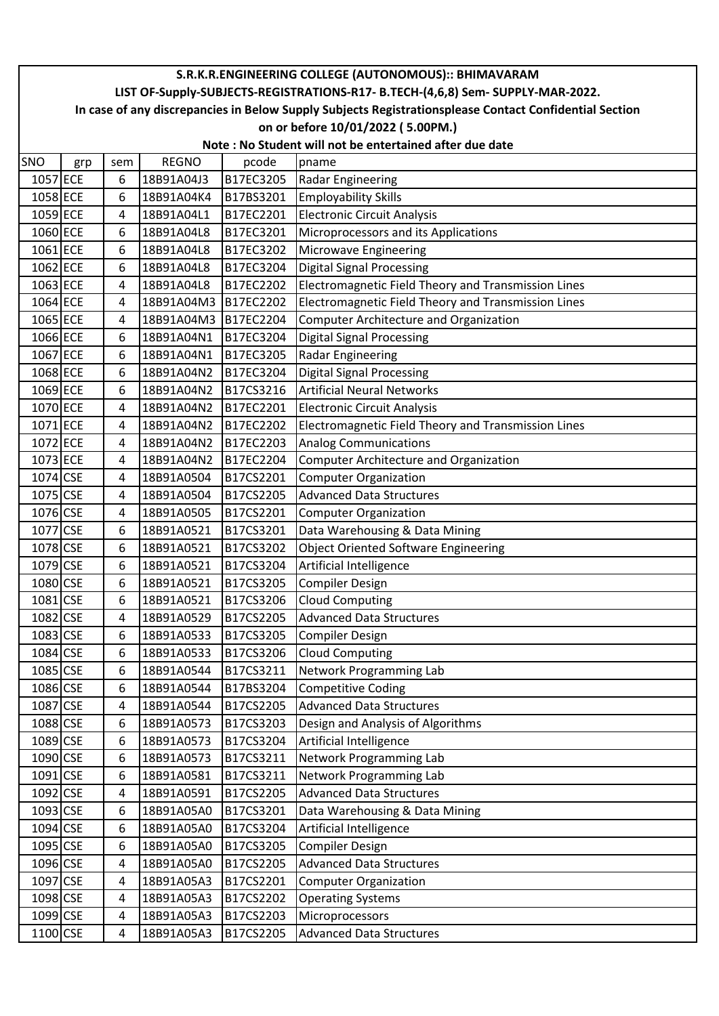| S.R.K.R.ENGINEERING COLLEGE (AUTONOMOUS):: BHIMAVARAM                                                  |  |  |  |  |  |  |  |  |
|--------------------------------------------------------------------------------------------------------|--|--|--|--|--|--|--|--|
|                                                                                                        |  |  |  |  |  |  |  |  |
| LIST OF-Supply-SUBJECTS-REGISTRATIONS-R17- B.TECH-(4,6,8) Sem- SUPPLY-MAR-2022.                        |  |  |  |  |  |  |  |  |
| In case of any discrepancies in Below Supply Subjects Registrationsplease Contact Confidential Section |  |  |  |  |  |  |  |  |
| on or before 10/01/2022 (5.00PM.)                                                                      |  |  |  |  |  |  |  |  |
| Note: No Student will not be entertained after due date                                                |  |  |  |  |  |  |  |  |
| <b>REGNO</b><br>SNO<br>pcode<br>sem<br>pname<br>grp                                                    |  |  |  |  |  |  |  |  |
| 1057 ECE<br>B17EC3205<br>6<br>18B91A04J3<br><b>Radar Engineering</b>                                   |  |  |  |  |  |  |  |  |
| 1058 ECE<br><b>Employability Skills</b><br>6<br>18B91A04K4<br>B17BS3201                                |  |  |  |  |  |  |  |  |
| 1059 ECE<br><b>Electronic Circuit Analysis</b><br>18B91A04L1<br>B17EC2201<br>4                         |  |  |  |  |  |  |  |  |
| 1060 ECE<br>18B91A04L8<br>B17EC3201<br>Microprocessors and its Applications<br>6                       |  |  |  |  |  |  |  |  |
| 1061 ECE<br><b>Microwave Engineering</b><br>6<br>18B91A04L8<br>B17EC3202                               |  |  |  |  |  |  |  |  |
| 1062 ECE<br><b>Digital Signal Processing</b><br>18B91A04L8<br>B17EC3204<br>6                           |  |  |  |  |  |  |  |  |
| 1063 ECE<br>Electromagnetic Field Theory and Transmission Lines<br>18B91A04L8<br>B17EC2202<br>4        |  |  |  |  |  |  |  |  |
| 1064 ECE<br><b>B17EC2202</b><br>Electromagnetic Field Theory and Transmission Lines<br>18B91A04M3<br>4 |  |  |  |  |  |  |  |  |
| 1065 ECE<br><b>B17EC2204</b><br><b>Computer Architecture and Organization</b><br>18B91A04M3<br>4       |  |  |  |  |  |  |  |  |
| 1066 ECE<br><b>Digital Signal Processing</b><br>6<br>18B91A04N1<br>B17EC3204                           |  |  |  |  |  |  |  |  |
| 1067 ECE<br>B17EC3205<br><b>Radar Engineering</b><br>6<br>18B91A04N1                                   |  |  |  |  |  |  |  |  |
| 1068 ECE<br>Digital Signal Processing<br>6<br>18B91A04N2<br>B17EC3204                                  |  |  |  |  |  |  |  |  |
| 1069 ECE<br><b>Artificial Neural Networks</b><br>18B91A04N2<br>B17CS3216<br>6                          |  |  |  |  |  |  |  |  |
| 1070 ECE<br>B17EC2201<br>18B91A04N2<br><b>Electronic Circuit Analysis</b><br>4                         |  |  |  |  |  |  |  |  |
| 1071 ECE<br>18B91A04N2<br>B17EC2202<br>Electromagnetic Field Theory and Transmission Lines<br>4        |  |  |  |  |  |  |  |  |
| 1072 ECE<br>B17EC2203<br><b>Analog Communications</b><br>18B91A04N2<br>4                               |  |  |  |  |  |  |  |  |
| 1073 ECE<br>4<br>18B91A04N2<br>B17EC2204<br><b>Computer Architecture and Organization</b>              |  |  |  |  |  |  |  |  |
| 1074 CSE<br><b>Computer Organization</b><br>18B91A0504<br>B17CS2201<br>4                               |  |  |  |  |  |  |  |  |
| 1075 CSE<br>B17CS2205<br><b>Advanced Data Structures</b><br>18B91A0504<br>4                            |  |  |  |  |  |  |  |  |
| 1076 CSE<br>18B91A0505<br>B17CS2201<br><b>Computer Organization</b><br>4                               |  |  |  |  |  |  |  |  |
| 1077 CSE<br>Data Warehousing & Data Mining<br>6<br>18B91A0521<br>B17CS3201                             |  |  |  |  |  |  |  |  |
| 1078 CSE<br><b>Object Oriented Software Engineering</b><br>6<br>18B91A0521<br>B17CS3202                |  |  |  |  |  |  |  |  |
| 1079 CSE<br>Artificial Intelligence<br>6<br>18B91A0521<br>B17CS3204                                    |  |  |  |  |  |  |  |  |
| 1080 CSE<br><b>Compiler Design</b><br>6<br>18B91A0521<br>B17CS3205                                     |  |  |  |  |  |  |  |  |
| 1081 CSE<br>6<br><b>Cloud Computing</b><br>18B91A0521<br>B17CS3206                                     |  |  |  |  |  |  |  |  |
| 1082 CSE<br>18B91A0529<br>B17CS2205<br><b>Advanced Data Structures</b><br>4                            |  |  |  |  |  |  |  |  |
| 1083 CSE<br>18B91A0533<br>B17CS3205<br><b>Compiler Design</b><br>6                                     |  |  |  |  |  |  |  |  |
| <b>Cloud Computing</b><br>1084 CSE<br>18B91A0533<br>B17CS3206<br>6                                     |  |  |  |  |  |  |  |  |
| 1085 CSE<br>Network Programming Lab<br>18B91A0544<br>B17CS3211<br>6                                    |  |  |  |  |  |  |  |  |
| <b>Competitive Coding</b><br>1086 CSE<br>18B91A0544<br>B17BS3204<br>6                                  |  |  |  |  |  |  |  |  |
| 1087 CSE<br><b>Advanced Data Structures</b><br>18B91A0544<br>B17CS2205<br>4                            |  |  |  |  |  |  |  |  |
| 1088 CSE<br>B17CS3203<br>Design and Analysis of Algorithms<br>18B91A0573<br>6                          |  |  |  |  |  |  |  |  |
| 1089 CSE<br>18B91A0573<br>B17CS3204<br>Artificial Intelligence<br>6                                    |  |  |  |  |  |  |  |  |
| Network Programming Lab<br>1090 CSE<br>18B91A0573<br>B17CS3211<br>6                                    |  |  |  |  |  |  |  |  |
| B17CS3211<br>Network Programming Lab<br>$1091$ <sub>CSE</sub><br>18B91A0581<br>6                       |  |  |  |  |  |  |  |  |
| 1092 CSE<br><b>Advanced Data Structures</b><br>18B91A0591<br>B17CS2205<br>4                            |  |  |  |  |  |  |  |  |
| 1093 CSE<br>18B91A05A0<br>B17CS3201<br>Data Warehousing & Data Mining<br>6                             |  |  |  |  |  |  |  |  |
| 1094 CSE<br>6<br>18B91A05A0<br>B17CS3204<br>Artificial Intelligence                                    |  |  |  |  |  |  |  |  |
| 1095 CSE<br><b>Compiler Design</b><br>18B91A05A0<br>B17CS3205<br>6                                     |  |  |  |  |  |  |  |  |
| 1096 CSE<br><b>Advanced Data Structures</b><br>18B91A05A0<br>B17CS2205<br>4                            |  |  |  |  |  |  |  |  |
| 1097 CSE<br>18B91A05A3<br>B17CS2201<br><b>Computer Organization</b><br>4                               |  |  |  |  |  |  |  |  |
| 1098 CSE<br>B17CS2202<br>18B91A05A3<br><b>Operating Systems</b><br>4                                   |  |  |  |  |  |  |  |  |
| 1099 CSE<br>Microprocessors<br>18B91A05A3<br>B17CS2203<br>4                                            |  |  |  |  |  |  |  |  |
| 1100 CSE<br><b>Advanced Data Structures</b><br>B17CS2205<br>18B91A05A3<br>4                            |  |  |  |  |  |  |  |  |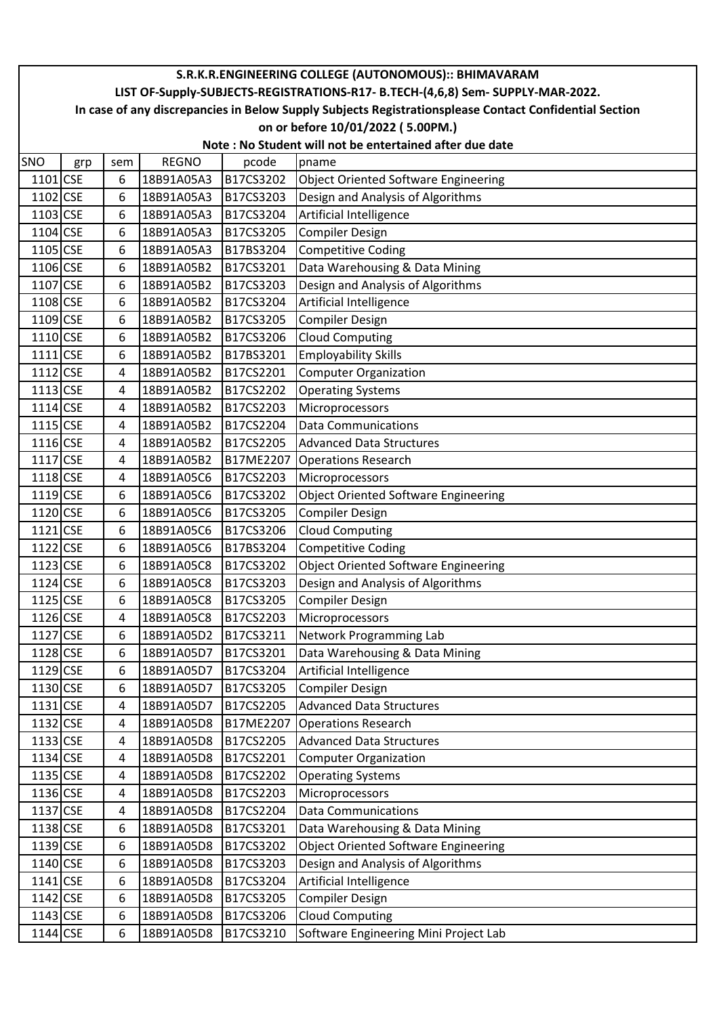|                                                                                                        |                                                                                 |     |              |           | S.R.K.R.ENGINEERING COLLEGE (AUTONOMOUS):: BHIMAVARAM |  |  |  |  |
|--------------------------------------------------------------------------------------------------------|---------------------------------------------------------------------------------|-----|--------------|-----------|-------------------------------------------------------|--|--|--|--|
|                                                                                                        | LIST OF-Supply-SUBJECTS-REGISTRATIONS-R17- B.TECH-(4,6,8) Sem- SUPPLY-MAR-2022. |     |              |           |                                                       |  |  |  |  |
| In case of any discrepancies in Below Supply Subjects Registrationsplease Contact Confidential Section |                                                                                 |     |              |           |                                                       |  |  |  |  |
|                                                                                                        | on or before 10/01/2022 (5.00PM.)                                               |     |              |           |                                                       |  |  |  |  |
|                                                                                                        | Note: No Student will not be entertained after due date                         |     |              |           |                                                       |  |  |  |  |
| <b>SNO</b>                                                                                             | grp                                                                             | sem | <b>REGNO</b> | pcode     | pname                                                 |  |  |  |  |
| 1101 CSE                                                                                               |                                                                                 | 6   | 18B91A05A3   | B17CS3202 | <b>Object Oriented Software Engineering</b>           |  |  |  |  |
| 1102 CSE                                                                                               |                                                                                 | 6   | 18B91A05A3   | B17CS3203 | Design and Analysis of Algorithms                     |  |  |  |  |
| 1103 CSE                                                                                               |                                                                                 | 6   | 18B91A05A3   | B17CS3204 | Artificial Intelligence                               |  |  |  |  |
| 1104 CSE                                                                                               |                                                                                 | 6   | 18B91A05A3   | B17CS3205 | <b>Compiler Design</b>                                |  |  |  |  |
| 1105 CSE                                                                                               |                                                                                 | 6   | 18B91A05A3   | B17BS3204 | <b>Competitive Coding</b>                             |  |  |  |  |
| 1106 CSE                                                                                               |                                                                                 | 6   | 18B91A05B2   | B17CS3201 | Data Warehousing & Data Mining                        |  |  |  |  |
| 1107 CSE                                                                                               |                                                                                 | 6   | 18B91A05B2   | B17CS3203 | Design and Analysis of Algorithms                     |  |  |  |  |
| 1108 CSE                                                                                               |                                                                                 | 6   | 18B91A05B2   | B17CS3204 | Artificial Intelligence                               |  |  |  |  |
| 1109 CSE                                                                                               |                                                                                 | 6   | 18B91A05B2   | B17CS3205 | <b>Compiler Design</b>                                |  |  |  |  |
| 1110 CSE                                                                                               |                                                                                 | 6   | 18B91A05B2   | B17CS3206 | <b>Cloud Computing</b>                                |  |  |  |  |
| 1111 CSE                                                                                               |                                                                                 | 6   | 18B91A05B2   | B17BS3201 | <b>Employability Skills</b>                           |  |  |  |  |
| 1112 CSE                                                                                               |                                                                                 | 4   | 18B91A05B2   | B17CS2201 | <b>Computer Organization</b>                          |  |  |  |  |
| 1113 CSE                                                                                               |                                                                                 | 4   | 18B91A05B2   | B17CS2202 | <b>Operating Systems</b>                              |  |  |  |  |
| 1114 CSE                                                                                               |                                                                                 | 4   | 18B91A05B2   | B17CS2203 | Microprocessors                                       |  |  |  |  |
| 1115 CSE                                                                                               |                                                                                 | 4   | 18B91A05B2   | B17CS2204 | <b>Data Communications</b>                            |  |  |  |  |
| 1116 CSE                                                                                               |                                                                                 | 4   | 18B91A05B2   | B17CS2205 | <b>Advanced Data Structures</b>                       |  |  |  |  |
| 1117 CSE                                                                                               |                                                                                 | 4   | 18B91A05B2   | B17ME2207 | <b>Operations Research</b>                            |  |  |  |  |
| 1118 CSE                                                                                               |                                                                                 | 4   | 18B91A05C6   | B17CS2203 | Microprocessors                                       |  |  |  |  |
| 1119 CSE                                                                                               |                                                                                 | 6   | 18B91A05C6   | B17CS3202 | <b>Object Oriented Software Engineering</b>           |  |  |  |  |
| 1120 CSE                                                                                               |                                                                                 | 6   | 18B91A05C6   | B17CS3205 | <b>Compiler Design</b>                                |  |  |  |  |
| 1121 CSE                                                                                               |                                                                                 | 6   | 18B91A05C6   | B17CS3206 | <b>Cloud Computing</b>                                |  |  |  |  |
| 1122 CSE                                                                                               |                                                                                 | 6   | 18B91A05C6   | B17BS3204 | <b>Competitive Coding</b>                             |  |  |  |  |
| 1123 CSE                                                                                               |                                                                                 | 6   | 18B91A05C8   | B17CS3202 | <b>Object Oriented Software Engineering</b>           |  |  |  |  |
| 1124 CSE                                                                                               |                                                                                 | 6   | 18B91A05C8   | B17CS3203 | Design and Analysis of Algorithms                     |  |  |  |  |
| 1125 CSE                                                                                               |                                                                                 | 6   | 18B91A05C8   | B17CS3205 | <b>Compiler Design</b>                                |  |  |  |  |
| 1126 CSE                                                                                               |                                                                                 | 4   | 18B91A05C8   | B17CS2203 | Microprocessors                                       |  |  |  |  |
| 1127 CSE                                                                                               |                                                                                 | 6   | 18B91A05D2   | B17CS3211 | Network Programming Lab                               |  |  |  |  |
| 1128 CSE                                                                                               |                                                                                 | 6   | 18B91A05D7   | B17CS3201 | Data Warehousing & Data Mining                        |  |  |  |  |
| 1129 CSE                                                                                               |                                                                                 | 6   | 18B91A05D7   | B17CS3204 | Artificial Intelligence                               |  |  |  |  |
| 1130 CSE                                                                                               |                                                                                 | 6   | 18B91A05D7   | B17CS3205 | <b>Compiler Design</b>                                |  |  |  |  |
| 1131 CSE                                                                                               |                                                                                 | 4   | 18B91A05D7   | B17CS2205 | <b>Advanced Data Structures</b>                       |  |  |  |  |
| 1132 CSE                                                                                               |                                                                                 | 4   | 18B91A05D8   | B17ME2207 | <b>Operations Research</b>                            |  |  |  |  |
| 1133 CSE                                                                                               |                                                                                 | 4   | 18B91A05D8   | B17CS2205 | <b>Advanced Data Structures</b>                       |  |  |  |  |
| 1134 CSE                                                                                               |                                                                                 | 4   | 18B91A05D8   | B17CS2201 | <b>Computer Organization</b>                          |  |  |  |  |
| 1135 CSE                                                                                               |                                                                                 | 4   | 18B91A05D8   | B17CS2202 | <b>Operating Systems</b>                              |  |  |  |  |
| 1136 CSE                                                                                               |                                                                                 | 4   | 18B91A05D8   | B17CS2203 | Microprocessors                                       |  |  |  |  |
| 1137 CSE                                                                                               |                                                                                 | 4   | 18B91A05D8   | B17CS2204 | <b>Data Communications</b>                            |  |  |  |  |
| 1138 CSE                                                                                               |                                                                                 | 6   | 18B91A05D8   | B17CS3201 | Data Warehousing & Data Mining                        |  |  |  |  |
| 1139 CSE                                                                                               |                                                                                 | 6   | 18B91A05D8   | B17CS3202 | <b>Object Oriented Software Engineering</b>           |  |  |  |  |
| 1140 CSE                                                                                               |                                                                                 | 6   | 18B91A05D8   | B17CS3203 | Design and Analysis of Algorithms                     |  |  |  |  |
| 1141 CSE                                                                                               |                                                                                 | 6   | 18B91A05D8   | B17CS3204 | Artificial Intelligence                               |  |  |  |  |
| 1142 CSE                                                                                               |                                                                                 | 6   | 18B91A05D8   | B17CS3205 | <b>Compiler Design</b>                                |  |  |  |  |
| 1143 CSE                                                                                               |                                                                                 | 6   | 18B91A05D8   | B17CS3206 | <b>Cloud Computing</b>                                |  |  |  |  |
| 1144 CSE                                                                                               |                                                                                 | 6   | 18B91A05D8   | B17CS3210 | Software Engineering Mini Project Lab                 |  |  |  |  |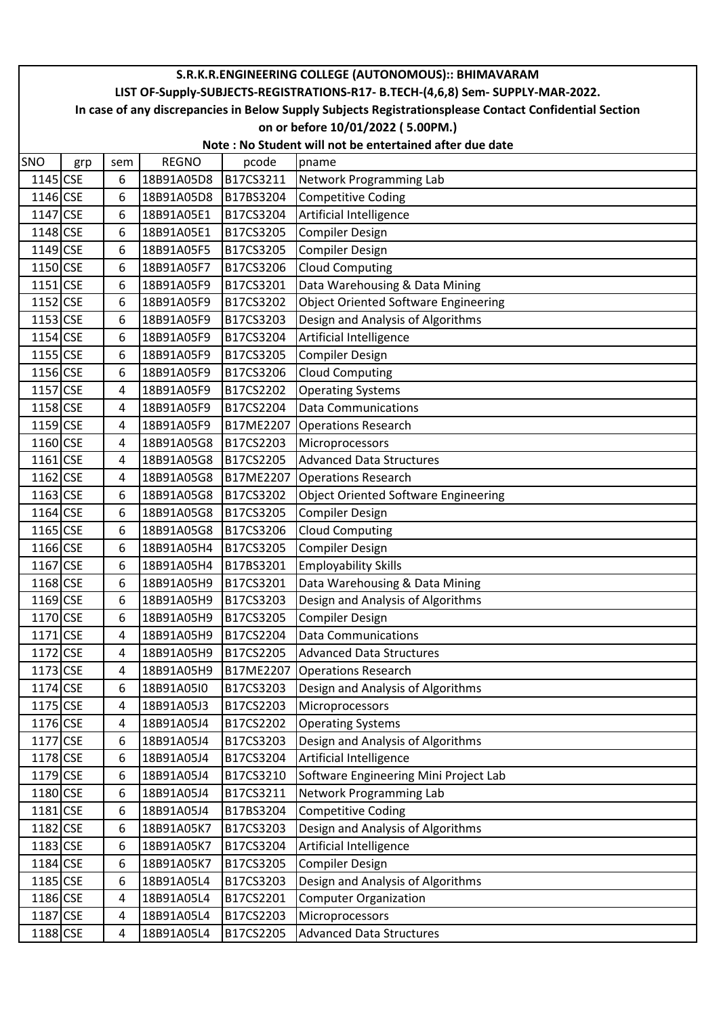|          |                                                                                                        |     |              |           | S.R.K.R.ENGINEERING COLLEGE (AUTONOMOUS):: BHIMAVARAM |  |  |  |  |
|----------|--------------------------------------------------------------------------------------------------------|-----|--------------|-----------|-------------------------------------------------------|--|--|--|--|
|          | LIST OF-Supply-SUBJECTS-REGISTRATIONS-R17- B.TECH-(4,6,8) Sem- SUPPLY-MAR-2022.                        |     |              |           |                                                       |  |  |  |  |
|          | In case of any discrepancies in Below Supply Subjects Registrationsplease Contact Confidential Section |     |              |           |                                                       |  |  |  |  |
|          | on or before 10/01/2022 (5.00PM.)                                                                      |     |              |           |                                                       |  |  |  |  |
|          | Note: No Student will not be entertained after due date                                                |     |              |           |                                                       |  |  |  |  |
| SNO      | grp                                                                                                    | sem | <b>REGNO</b> | pcode     | pname                                                 |  |  |  |  |
| 1145 CSE |                                                                                                        | 6   | 18B91A05D8   | B17CS3211 | Network Programming Lab                               |  |  |  |  |
| 1146 CSE |                                                                                                        | 6   | 18B91A05D8   | B17BS3204 | <b>Competitive Coding</b>                             |  |  |  |  |
| 1147 CSE |                                                                                                        | 6   | 18B91A05E1   | B17CS3204 | Artificial Intelligence                               |  |  |  |  |
| 1148 CSE |                                                                                                        | 6   | 18B91A05E1   | B17CS3205 | Compiler Design                                       |  |  |  |  |
| 1149 CSE |                                                                                                        | 6   | 18B91A05F5   | B17CS3205 | <b>Compiler Design</b>                                |  |  |  |  |
| 1150 CSE |                                                                                                        | 6   | 18B91A05F7   | B17CS3206 | <b>Cloud Computing</b>                                |  |  |  |  |
| 1151 CSE |                                                                                                        | 6   | 18B91A05F9   | B17CS3201 | Data Warehousing & Data Mining                        |  |  |  |  |
| 1152 CSE |                                                                                                        | 6   | 18B91A05F9   | B17CS3202 | <b>Object Oriented Software Engineering</b>           |  |  |  |  |
| 1153 CSE |                                                                                                        | 6   | 18B91A05F9   | B17CS3203 | Design and Analysis of Algorithms                     |  |  |  |  |
| 1154 CSE |                                                                                                        | 6   | 18B91A05F9   | B17CS3204 | Artificial Intelligence                               |  |  |  |  |
| 1155 CSE |                                                                                                        | 6   | 18B91A05F9   | B17CS3205 | <b>Compiler Design</b>                                |  |  |  |  |
| 1156 CSE |                                                                                                        | 6   | 18B91A05F9   | B17CS3206 | <b>Cloud Computing</b>                                |  |  |  |  |
| 1157 CSE |                                                                                                        | 4   | 18B91A05F9   | B17CS2202 | <b>Operating Systems</b>                              |  |  |  |  |
| 1158 CSE |                                                                                                        | 4   | 18B91A05F9   | B17CS2204 | <b>Data Communications</b>                            |  |  |  |  |
| 1159 CSE |                                                                                                        | 4   | 18B91A05F9   | B17ME2207 | <b>Operations Research</b>                            |  |  |  |  |
| 1160 CSE |                                                                                                        | 4   | 18B91A05G8   | B17CS2203 | Microprocessors                                       |  |  |  |  |
| 1161 CSE |                                                                                                        | 4   | 18B91A05G8   | B17CS2205 | <b>Advanced Data Structures</b>                       |  |  |  |  |
| 1162 CSE |                                                                                                        | 4   | 18B91A05G8   | B17ME2207 | <b>Operations Research</b>                            |  |  |  |  |
| 1163 CSE |                                                                                                        | 6   | 18B91A05G8   | B17CS3202 | Object Oriented Software Engineering                  |  |  |  |  |
| 1164 CSE |                                                                                                        | 6   | 18B91A05G8   | B17CS3205 | <b>Compiler Design</b>                                |  |  |  |  |
| 1165 CSE |                                                                                                        | 6   | 18B91A05G8   | B17CS3206 | <b>Cloud Computing</b>                                |  |  |  |  |
| 1166 CSE |                                                                                                        | 6   | 18B91A05H4   | B17CS3205 | Compiler Design                                       |  |  |  |  |
| 1167 CSE |                                                                                                        | 6   | 18B91A05H4   | B17BS3201 | <b>Employability Skills</b>                           |  |  |  |  |
| 1168 CSE |                                                                                                        | 6   | 18B91A05H9   | B17CS3201 | Data Warehousing & Data Mining                        |  |  |  |  |
| 1169 CSE |                                                                                                        | 6   | 18B91A05H9   | B17CS3203 | Design and Analysis of Algorithms                     |  |  |  |  |
| 1170 CSE |                                                                                                        | 6   | 18B91A05H9   | B17CS3205 | <b>Compiler Design</b>                                |  |  |  |  |
| 1171 CSE |                                                                                                        | 4   | 18B91A05H9   | B17CS2204 | <b>Data Communications</b>                            |  |  |  |  |
| 1172 CSE |                                                                                                        | 4   | 18B91A05H9   | B17CS2205 | <b>Advanced Data Structures</b>                       |  |  |  |  |
| 1173 CSE |                                                                                                        | 4   | 18B91A05H9   | B17ME2207 | <b>Operations Research</b>                            |  |  |  |  |
| 1174 CSE |                                                                                                        | 6   | 18B91A05I0   | B17CS3203 | Design and Analysis of Algorithms                     |  |  |  |  |
| 1175 CSE |                                                                                                        | 4   | 18B91A05J3   | B17CS2203 | Microprocessors                                       |  |  |  |  |
| 1176 CSE |                                                                                                        | 4   | 18B91A05J4   | B17CS2202 | <b>Operating Systems</b>                              |  |  |  |  |
| 1177 CSE |                                                                                                        | 6   | 18B91A05J4   | B17CS3203 | Design and Analysis of Algorithms                     |  |  |  |  |
| 1178 CSE |                                                                                                        | 6   | 18B91A05J4   | B17CS3204 | Artificial Intelligence                               |  |  |  |  |
| 1179 CSE |                                                                                                        | 6   | 18B91A05J4   | B17CS3210 | Software Engineering Mini Project Lab                 |  |  |  |  |
| 1180 CSE |                                                                                                        | 6   | 18B91A05J4   | B17CS3211 | Network Programming Lab                               |  |  |  |  |
| 1181 CSE |                                                                                                        | 6   | 18B91A05J4   | B17BS3204 | <b>Competitive Coding</b>                             |  |  |  |  |
| 1182 CSE |                                                                                                        | 6   | 18B91A05K7   | B17CS3203 | Design and Analysis of Algorithms                     |  |  |  |  |
| 1183 CSE |                                                                                                        | 6   | 18B91A05K7   | B17CS3204 | Artificial Intelligence                               |  |  |  |  |
| 1184 CSE |                                                                                                        | 6   | 18B91A05K7   | B17CS3205 | Compiler Design                                       |  |  |  |  |
| 1185 CSE |                                                                                                        | 6   | 18B91A05L4   | B17CS3203 | Design and Analysis of Algorithms                     |  |  |  |  |
| 1186 CSE |                                                                                                        | 4   | 18B91A05L4   | B17CS2201 | <b>Computer Organization</b>                          |  |  |  |  |
| 1187 CSE |                                                                                                        | 4   | 18B91A05L4   | B17CS2203 | Microprocessors                                       |  |  |  |  |
| 1188 CSE |                                                                                                        | 4   | 18B91A05L4   | B17CS2205 | <b>Advanced Data Structures</b>                       |  |  |  |  |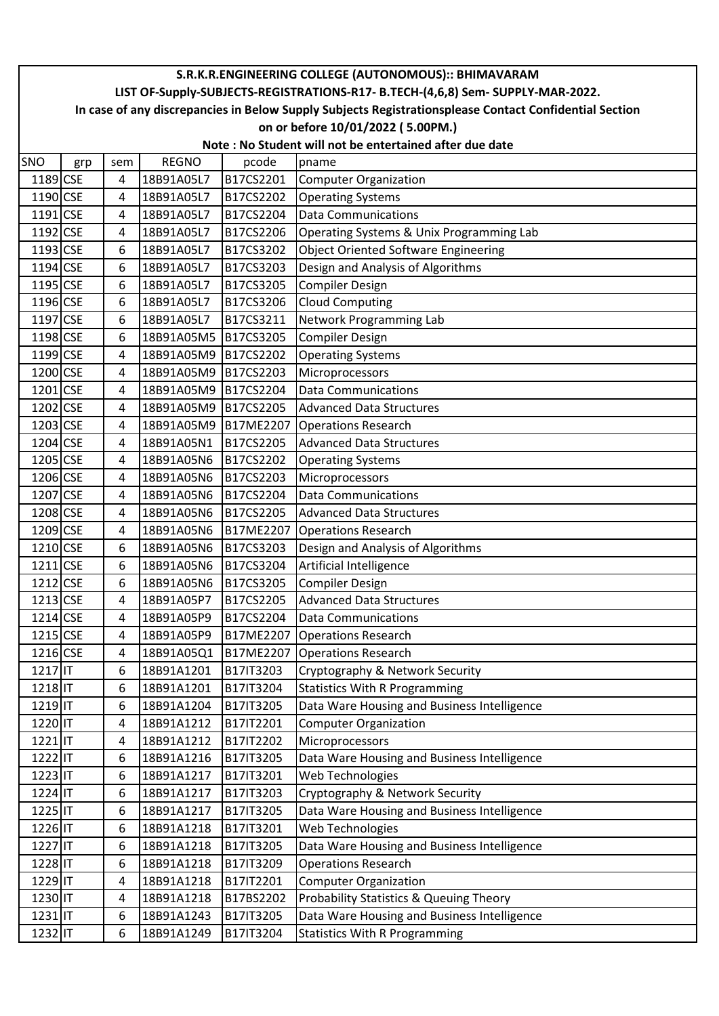|            |                                                                                                        |     |              |           | S.R.K.R.ENGINEERING COLLEGE (AUTONOMOUS):: BHIMAVARAM                           |  |  |  |
|------------|--------------------------------------------------------------------------------------------------------|-----|--------------|-----------|---------------------------------------------------------------------------------|--|--|--|
|            |                                                                                                        |     |              |           | LIST OF-Supply-SUBJECTS-REGISTRATIONS-R17- B.TECH-(4,6,8) Sem- SUPPLY-MAR-2022. |  |  |  |
|            | In case of any discrepancies in Below Supply Subjects Registrationsplease Contact Confidential Section |     |              |           |                                                                                 |  |  |  |
|            | on or before 10/01/2022 (5.00PM.)                                                                      |     |              |           |                                                                                 |  |  |  |
|            |                                                                                                        |     |              |           | Note: No Student will not be entertained after due date                         |  |  |  |
| SNO        | grp                                                                                                    | sem | <b>REGNO</b> | pcode     | pname                                                                           |  |  |  |
| 1189 CSE   |                                                                                                        | 4   | 18B91A05L7   | B17CS2201 | <b>Computer Organization</b>                                                    |  |  |  |
| 1190 CSE   |                                                                                                        | 4   | 18B91A05L7   | B17CS2202 | <b>Operating Systems</b>                                                        |  |  |  |
| 1191 CSE   |                                                                                                        | 4   | 18B91A05L7   | B17CS2204 | <b>Data Communications</b>                                                      |  |  |  |
| 1192 CSE   |                                                                                                        | 4   | 18B91A05L7   | B17CS2206 | Operating Systems & Unix Programming Lab                                        |  |  |  |
| 1193 CSE   |                                                                                                        | 6   | 18B91A05L7   | B17CS3202 | <b>Object Oriented Software Engineering</b>                                     |  |  |  |
| 1194 CSE   |                                                                                                        | 6   | 18B91A05L7   | B17CS3203 | Design and Analysis of Algorithms                                               |  |  |  |
| 1195 CSE   |                                                                                                        | 6   | 18B91A05L7   | B17CS3205 | <b>Compiler Design</b>                                                          |  |  |  |
| 1196 CSE   |                                                                                                        | 6   | 18B91A05L7   | B17CS3206 | <b>Cloud Computing</b>                                                          |  |  |  |
| 1197 CSE   |                                                                                                        | 6   | 18B91A05L7   | B17CS3211 | Network Programming Lab                                                         |  |  |  |
| 1198 CSE   |                                                                                                        | 6   | 18B91A05M5   | B17CS3205 | <b>Compiler Design</b>                                                          |  |  |  |
| 1199 CSE   |                                                                                                        | 4   | 18B91A05M9   | B17CS2202 | <b>Operating Systems</b>                                                        |  |  |  |
| 1200 CSE   |                                                                                                        | 4   | 18B91A05M9   | B17CS2203 | Microprocessors                                                                 |  |  |  |
| 1201 CSE   |                                                                                                        | 4   | 18B91A05M9   | B17CS2204 | <b>Data Communications</b>                                                      |  |  |  |
| 1202 CSE   |                                                                                                        | 4   | 18B91A05M9   | B17CS2205 | <b>Advanced Data Structures</b>                                                 |  |  |  |
| 1203 CSE   |                                                                                                        | 4   | 18B91A05M9   | B17ME2207 | <b>Operations Research</b>                                                      |  |  |  |
| 1204 CSE   |                                                                                                        | 4   | 18B91A05N1   | B17CS2205 | <b>Advanced Data Structures</b>                                                 |  |  |  |
| 1205 CSE   |                                                                                                        | 4   | 18B91A05N6   | B17CS2202 | <b>Operating Systems</b>                                                        |  |  |  |
| 1206 CSE   |                                                                                                        | 4   | 18B91A05N6   | B17CS2203 | Microprocessors                                                                 |  |  |  |
| 1207 CSE   |                                                                                                        | 4   | 18B91A05N6   | B17CS2204 | <b>Data Communications</b>                                                      |  |  |  |
| 1208 CSE   |                                                                                                        | 4   | 18B91A05N6   | B17CS2205 | <b>Advanced Data Structures</b>                                                 |  |  |  |
| 1209 CSE   |                                                                                                        | 4   | 18B91A05N6   | B17ME2207 | <b>Operations Research</b>                                                      |  |  |  |
| 1210 CSE   |                                                                                                        | 6   | 18B91A05N6   | B17CS3203 | Design and Analysis of Algorithms                                               |  |  |  |
| $1211$ CSE |                                                                                                        | 6   | 18B91A05N6   | B17CS3204 | Artificial Intelligence                                                         |  |  |  |
| 1212 CSE   |                                                                                                        | 6   | 18B91A05N6   | B17CS3205 | <b>Compiler Design</b>                                                          |  |  |  |
| 1213 CSE   |                                                                                                        | 4   | 18B91A05P7   | B17CS2205 | <b>Advanced Data Structures</b>                                                 |  |  |  |
| 1214 CSE   |                                                                                                        | 4   | 18B91A05P9   | B17CS2204 | <b>Data Communications</b>                                                      |  |  |  |
| 1215 CSE   |                                                                                                        | 4   | 18B91A05P9   | B17ME2207 | <b>Operations Research</b>                                                      |  |  |  |
| 1216 CSE   |                                                                                                        | 4   | 18B91A05Q1   | B17ME2207 | <b>Operations Research</b>                                                      |  |  |  |
| 1217 IT    |                                                                                                        | 6   | 18B91A1201   | B17IT3203 | Cryptography & Network Security                                                 |  |  |  |
| 1218 IT    |                                                                                                        | 6   | 18B91A1201   | B17IT3204 | <b>Statistics With R Programming</b>                                            |  |  |  |
| 1219 IT    |                                                                                                        | 6   | 18B91A1204   | B17IT3205 | Data Ware Housing and Business Intelligence                                     |  |  |  |
| 1220 IT    |                                                                                                        | 4   | 18B91A1212   | B17IT2201 | <b>Computer Organization</b>                                                    |  |  |  |
| 1221 IT    |                                                                                                        | 4   | 18B91A1212   | B17IT2202 | Microprocessors                                                                 |  |  |  |
| 1222 IT    |                                                                                                        | 6   | 18B91A1216   | B17IT3205 | Data Ware Housing and Business Intelligence                                     |  |  |  |
| 1223 IT    |                                                                                                        | 6   | 18B91A1217   | B17IT3201 | Web Technologies                                                                |  |  |  |
| 1224 IT    |                                                                                                        | 6   | 18B91A1217   | B17IT3203 | Cryptography & Network Security                                                 |  |  |  |
| 1225 IT    |                                                                                                        | 6   | 18B91A1217   | B17IT3205 | Data Ware Housing and Business Intelligence                                     |  |  |  |
| 1226 IT    |                                                                                                        | 6   | 18B91A1218   | B17IT3201 | Web Technologies                                                                |  |  |  |
| 1227 IT    |                                                                                                        | 6   | 18B91A1218   | B17IT3205 | Data Ware Housing and Business Intelligence                                     |  |  |  |
| 1228 IT    |                                                                                                        | 6   | 18B91A1218   | B17IT3209 | <b>Operations Research</b>                                                      |  |  |  |
| 1229 IT    |                                                                                                        | 4   | 18B91A1218   | B17IT2201 | <b>Computer Organization</b>                                                    |  |  |  |
| 1230 IT    |                                                                                                        | 4   | 18B91A1218   | B17BS2202 | Probability Statistics & Queuing Theory                                         |  |  |  |
| 1231 IT    |                                                                                                        | 6   | 18B91A1243   | B17IT3205 | Data Ware Housing and Business Intelligence                                     |  |  |  |
| 1232 IT    |                                                                                                        | 6   | 18B91A1249   | B17IT3204 | <b>Statistics With R Programming</b>                                            |  |  |  |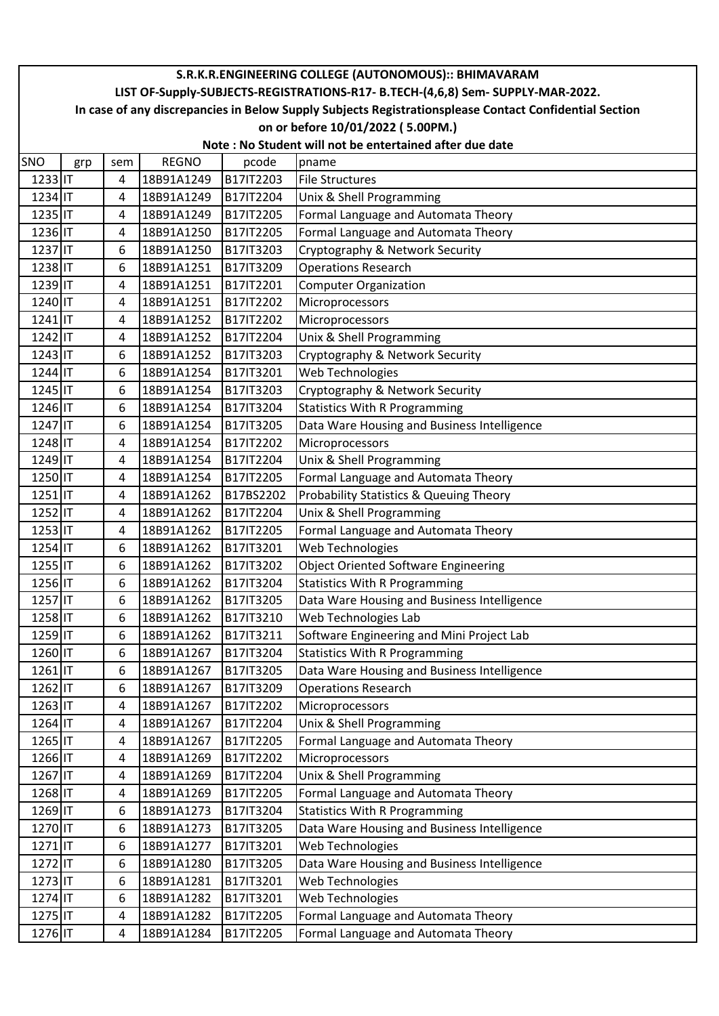|            |                                                                                                        |     |              |                  | S.R.K.R.ENGINEERING COLLEGE (AUTONOMOUS):: BHIMAVARAM |  |  |  |  |
|------------|--------------------------------------------------------------------------------------------------------|-----|--------------|------------------|-------------------------------------------------------|--|--|--|--|
|            | LIST OF-Supply-SUBJECTS-REGISTRATIONS-R17- B.TECH-(4,6,8) Sem- SUPPLY-MAR-2022.                        |     |              |                  |                                                       |  |  |  |  |
|            | In case of any discrepancies in Below Supply Subjects Registrationsplease Contact Confidential Section |     |              |                  |                                                       |  |  |  |  |
|            | on or before 10/01/2022 (5.00PM.)                                                                      |     |              |                  |                                                       |  |  |  |  |
|            | Note: No Student will not be entertained after due date                                                |     |              |                  |                                                       |  |  |  |  |
| <b>SNO</b> | grp                                                                                                    | sem | <b>REGNO</b> | pcode            | pname                                                 |  |  |  |  |
| 1233 IT    |                                                                                                        | 4   | 18B91A1249   | B17IT2203        | <b>File Structures</b>                                |  |  |  |  |
| 1234 IT    |                                                                                                        | 4   | 18B91A1249   | B17IT2204        | Unix & Shell Programming                              |  |  |  |  |
| 1235 IT    |                                                                                                        | 4   | 18B91A1249   | B17IT2205        | Formal Language and Automata Theory                   |  |  |  |  |
| 1236 IT    |                                                                                                        | 4   | 18B91A1250   | B17IT2205        | Formal Language and Automata Theory                   |  |  |  |  |
| 1237 IT    |                                                                                                        | 6   | 18B91A1250   | B17IT3203        | Cryptography & Network Security                       |  |  |  |  |
| 1238 IT    |                                                                                                        | 6   | 18B91A1251   | B17IT3209        | <b>Operations Research</b>                            |  |  |  |  |
| 1239 IT    |                                                                                                        | 4   | 18B91A1251   | B17IT2201        | <b>Computer Organization</b>                          |  |  |  |  |
| 1240 IT    |                                                                                                        | 4   | 18B91A1251   | B17IT2202        | Microprocessors                                       |  |  |  |  |
| 1241 IT    |                                                                                                        | 4   | 18B91A1252   | B17IT2202        | Microprocessors                                       |  |  |  |  |
| 1242 IT    |                                                                                                        | 4   | 18B91A1252   | B17IT2204        | Unix & Shell Programming                              |  |  |  |  |
| 1243 IT    |                                                                                                        | 6   | 18B91A1252   | B17IT3203        | Cryptography & Network Security                       |  |  |  |  |
| 1244 IT    |                                                                                                        | 6   | 18B91A1254   | B17IT3201        | Web Technologies                                      |  |  |  |  |
| 1245 IT    |                                                                                                        | 6   | 18B91A1254   | B17IT3203        | Cryptography & Network Security                       |  |  |  |  |
| 1246 IT    |                                                                                                        | 6   | 18B91A1254   | B17IT3204        | <b>Statistics With R Programming</b>                  |  |  |  |  |
| 1247 IT    |                                                                                                        | 6   | 18B91A1254   | B17IT3205        | Data Ware Housing and Business Intelligence           |  |  |  |  |
| 1248 IT    |                                                                                                        | 4   | 18B91A1254   | B17IT2202        | Microprocessors                                       |  |  |  |  |
| 1249 IT    |                                                                                                        | 4   | 18B91A1254   | B17IT2204        | Unix & Shell Programming                              |  |  |  |  |
| 1250 IT    |                                                                                                        | 4   | 18B91A1254   | B17IT2205        | Formal Language and Automata Theory                   |  |  |  |  |
| 1251 IT    |                                                                                                        | 4   | 18B91A1262   | B17BS2202        | Probability Statistics & Queuing Theory               |  |  |  |  |
| 1252 IT    |                                                                                                        | 4   | 18B91A1262   | B17IT2204        | Unix & Shell Programming                              |  |  |  |  |
| 1253 IT    |                                                                                                        | 4   | 18B91A1262   | B17IT2205        | Formal Language and Automata Theory                   |  |  |  |  |
| 1254 IT    |                                                                                                        | 6   | 18B91A1262   | B17IT3201        | Web Technologies                                      |  |  |  |  |
| 1255 IT    |                                                                                                        | 6   | 18B91A1262   | B17IT3202        | <b>Object Oriented Software Engineering</b>           |  |  |  |  |
| 1256 IT    |                                                                                                        | 6   | 18B91A1262   | B17IT3204        | <b>Statistics With R Programming</b>                  |  |  |  |  |
| 1257 IT    |                                                                                                        | 6   | 18B91A1262   | <b>B17IT3205</b> | Data Ware Housing and Business Intelligence           |  |  |  |  |
| 1258 IT    |                                                                                                        | 6   | 18B91A1262   | B17IT3210        | Web Technologies Lab                                  |  |  |  |  |
| 1259 IT    |                                                                                                        | 6   | 18B91A1262   | B17IT3211        | Software Engineering and Mini Project Lab             |  |  |  |  |
| 1260 IT    |                                                                                                        | 6   | 18B91A1267   | B17IT3204        | <b>Statistics With R Programming</b>                  |  |  |  |  |
| 1261 IT    |                                                                                                        | 6   | 18B91A1267   | B17IT3205        | Data Ware Housing and Business Intelligence           |  |  |  |  |
| 1262 IT    |                                                                                                        | 6   | 18B91A1267   | B17IT3209        | <b>Operations Research</b>                            |  |  |  |  |
| 1263 IT    |                                                                                                        | 4   | 18B91A1267   | B17IT2202        | Microprocessors                                       |  |  |  |  |
| 1264 IT    |                                                                                                        | 4   | 18B91A1267   | B17IT2204        | Unix & Shell Programming                              |  |  |  |  |
| 1265 IT    |                                                                                                        | 4   | 18B91A1267   | B17IT2205        | Formal Language and Automata Theory                   |  |  |  |  |
| 1266 IT    |                                                                                                        | 4   | 18B91A1269   | B17IT2202        | Microprocessors                                       |  |  |  |  |
| 1267 IT    |                                                                                                        | 4   | 18B91A1269   | B17IT2204        | Unix & Shell Programming                              |  |  |  |  |
| 1268 IT    |                                                                                                        | 4   | 18B91A1269   | B17IT2205        | Formal Language and Automata Theory                   |  |  |  |  |
| 1269 IT    |                                                                                                        | 6   | 18B91A1273   | B17IT3204        | <b>Statistics With R Programming</b>                  |  |  |  |  |
| 1270 IT    |                                                                                                        | 6   | 18B91A1273   | B17IT3205        | Data Ware Housing and Business Intelligence           |  |  |  |  |
| 1271 IT    |                                                                                                        | 6   | 18B91A1277   | B17IT3201        | Web Technologies                                      |  |  |  |  |
| 1272 IT    |                                                                                                        | 6   | 18B91A1280   | B17IT3205        | Data Ware Housing and Business Intelligence           |  |  |  |  |
| 1273 IT    |                                                                                                        | 6   | 18B91A1281   | B17IT3201        | Web Technologies                                      |  |  |  |  |
| 1274 IT    |                                                                                                        | 6   | 18B91A1282   | B17IT3201        | Web Technologies                                      |  |  |  |  |
| 1275 IT    |                                                                                                        | 4   | 18B91A1282   | B17IT2205        | Formal Language and Automata Theory                   |  |  |  |  |
| 1276 IT    |                                                                                                        | 4   | 18B91A1284   | B17IT2205        | Formal Language and Automata Theory                   |  |  |  |  |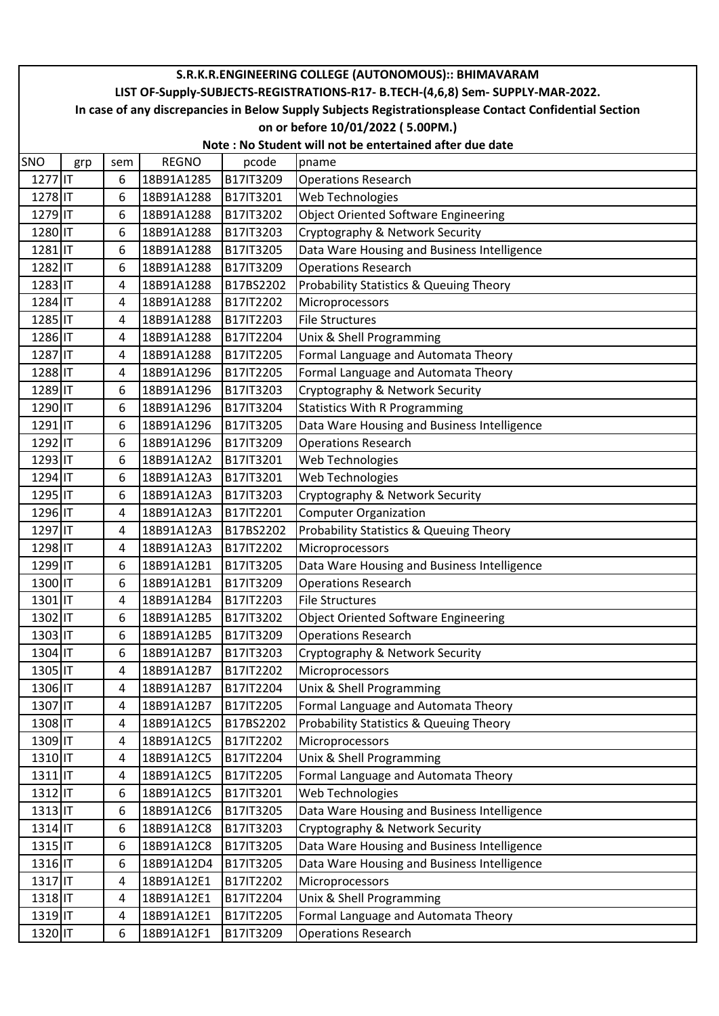|                      |                                                                                                        |     |              |           | S.R.K.R.ENGINEERING COLLEGE (AUTONOMOUS):: BHIMAVARAM |  |  |  |
|----------------------|--------------------------------------------------------------------------------------------------------|-----|--------------|-----------|-------------------------------------------------------|--|--|--|
|                      | LIST OF-Supply-SUBJECTS-REGISTRATIONS-R17- B.TECH-(4,6,8) Sem- SUPPLY-MAR-2022.                        |     |              |           |                                                       |  |  |  |
|                      | In case of any discrepancies in Below Supply Subjects Registrationsplease Contact Confidential Section |     |              |           |                                                       |  |  |  |
|                      | on or before 10/01/2022 (5.00PM.)                                                                      |     |              |           |                                                       |  |  |  |
|                      | Note: No Student will not be entertained after due date                                                |     |              |           |                                                       |  |  |  |
| <b>SNO</b>           | grp                                                                                                    | sem | <b>REGNO</b> | pcode     | pname                                                 |  |  |  |
| 1277 IT              |                                                                                                        | 6   | 18B91A1285   | B17IT3209 | <b>Operations Research</b>                            |  |  |  |
| 1278 IT              |                                                                                                        | 6   | 18B91A1288   | B17IT3201 | Web Technologies                                      |  |  |  |
| 1279 IT              |                                                                                                        | 6   | 18B91A1288   | B17IT3202 | <b>Object Oriented Software Engineering</b>           |  |  |  |
| 1280 IT              |                                                                                                        | 6   | 18B91A1288   | B17IT3203 | Cryptography & Network Security                       |  |  |  |
| 1281 IT              |                                                                                                        | 6   | 18B91A1288   | B17IT3205 | Data Ware Housing and Business Intelligence           |  |  |  |
| 1282 IT              |                                                                                                        | 6   | 18B91A1288   | B17IT3209 | <b>Operations Research</b>                            |  |  |  |
| 1283 IT              |                                                                                                        | 4   | 18B91A1288   | B17BS2202 | Probability Statistics & Queuing Theory               |  |  |  |
| 1284 IT              |                                                                                                        | 4   | 18B91A1288   | B17IT2202 | Microprocessors                                       |  |  |  |
| 1285 IT              |                                                                                                        | 4   | 18B91A1288   | B17IT2203 | <b>File Structures</b>                                |  |  |  |
| 1286 IT              |                                                                                                        | 4   | 18B91A1288   | B17IT2204 | Unix & Shell Programming                              |  |  |  |
| 1287 IT              |                                                                                                        | 4   | 18B91A1288   | B17IT2205 | Formal Language and Automata Theory                   |  |  |  |
| 1288 IT              |                                                                                                        | 4   | 18B91A1296   | B17IT2205 | Formal Language and Automata Theory                   |  |  |  |
| 1289 IT              |                                                                                                        | 6   | 18B91A1296   | B17IT3203 | Cryptography & Network Security                       |  |  |  |
| 1290 IT              |                                                                                                        | 6   | 18B91A1296   | B17IT3204 | <b>Statistics With R Programming</b>                  |  |  |  |
| 1291 IT              |                                                                                                        | 6   | 18B91A1296   | B17IT3205 | Data Ware Housing and Business Intelligence           |  |  |  |
| 1292 IT              |                                                                                                        | 6   | 18B91A1296   | B17IT3209 | <b>Operations Research</b>                            |  |  |  |
| 1293 IT              |                                                                                                        | 6   | 18B91A12A2   | B17IT3201 | Web Technologies                                      |  |  |  |
| 1294 IT              |                                                                                                        | 6   | 18B91A12A3   | B17IT3201 | Web Technologies                                      |  |  |  |
| 1295 IT              |                                                                                                        | 6   | 18B91A12A3   | B17IT3203 | Cryptography & Network Security                       |  |  |  |
| 1296 IT              |                                                                                                        | 4   | 18B91A12A3   | B17IT2201 | <b>Computer Organization</b>                          |  |  |  |
| 1297 IT              |                                                                                                        | 4   | 18B91A12A3   | B17BS2202 | Probability Statistics & Queuing Theory               |  |  |  |
| 1298 IT              |                                                                                                        | 4   | 18B91A12A3   | B17IT2202 | Microprocessors                                       |  |  |  |
| 1299 IT              |                                                                                                        | 6   | 18B91A12B1   | B17IT3205 | Data Ware Housing and Business Intelligence           |  |  |  |
| 1300 IT              |                                                                                                        | 6   | 18B91A12B1   | B17IT3209 | <b>Operations Research</b>                            |  |  |  |
| $1301$ <sub>IT</sub> |                                                                                                        | 4   | 18B91A12B4   | B17IT2203 | <b>File Structures</b>                                |  |  |  |
| 1302 IT              |                                                                                                        | 6   | 18B91A12B5   | B17IT3202 | <b>Object Oriented Software Engineering</b>           |  |  |  |
| 1303 IT              |                                                                                                        | 6   | 18B91A12B5   | B17IT3209 | <b>Operations Research</b>                            |  |  |  |
| 1304 IT              |                                                                                                        | 6   | 18B91A12B7   | B17IT3203 | Cryptography & Network Security                       |  |  |  |
| 1305 IT              |                                                                                                        | 4   | 18B91A12B7   | B17IT2202 | Microprocessors                                       |  |  |  |
| 1306 IT              |                                                                                                        | 4   | 18B91A12B7   | B17IT2204 | Unix & Shell Programming                              |  |  |  |
| 1307 IT              |                                                                                                        | 4   | 18B91A12B7   | B17IT2205 | Formal Language and Automata Theory                   |  |  |  |
| 1308 IT              |                                                                                                        | 4   | 18B91A12C5   | B17BS2202 | Probability Statistics & Queuing Theory               |  |  |  |
| 1309 IT              |                                                                                                        | 4   | 18B91A12C5   | B17IT2202 | Microprocessors                                       |  |  |  |
| 1310 IT              |                                                                                                        | 4   | 18B91A12C5   | B17IT2204 | Unix & Shell Programming                              |  |  |  |
| 1311                 |                                                                                                        | 4   | 18B91A12C5   | B17IT2205 | Formal Language and Automata Theory                   |  |  |  |
| 1312 IT              |                                                                                                        | 6   | 18B91A12C5   | B17IT3201 | Web Technologies                                      |  |  |  |
| 1313 IT              |                                                                                                        | 6   | 18B91A12C6   | B17IT3205 | Data Ware Housing and Business Intelligence           |  |  |  |
| 1314 IT              |                                                                                                        | 6   | 18B91A12C8   | B17IT3203 | Cryptography & Network Security                       |  |  |  |
| 1315 IT              |                                                                                                        | 6   | 18B91A12C8   | B17IT3205 | Data Ware Housing and Business Intelligence           |  |  |  |
| 1316 IT              |                                                                                                        | 6   | 18B91A12D4   | B17IT3205 | Data Ware Housing and Business Intelligence           |  |  |  |
| 1317 IT              |                                                                                                        | 4   | 18B91A12E1   | B17IT2202 | Microprocessors                                       |  |  |  |
| 1318 IT              |                                                                                                        | 4   | 18B91A12E1   | B17IT2204 | Unix & Shell Programming                              |  |  |  |
| 1319 IT              |                                                                                                        | 4   | 18B91A12E1   | B17IT2205 | Formal Language and Automata Theory                   |  |  |  |
| 1320 IT              |                                                                                                        | 6   | 18B91A12F1   | B17IT3209 | <b>Operations Research</b>                            |  |  |  |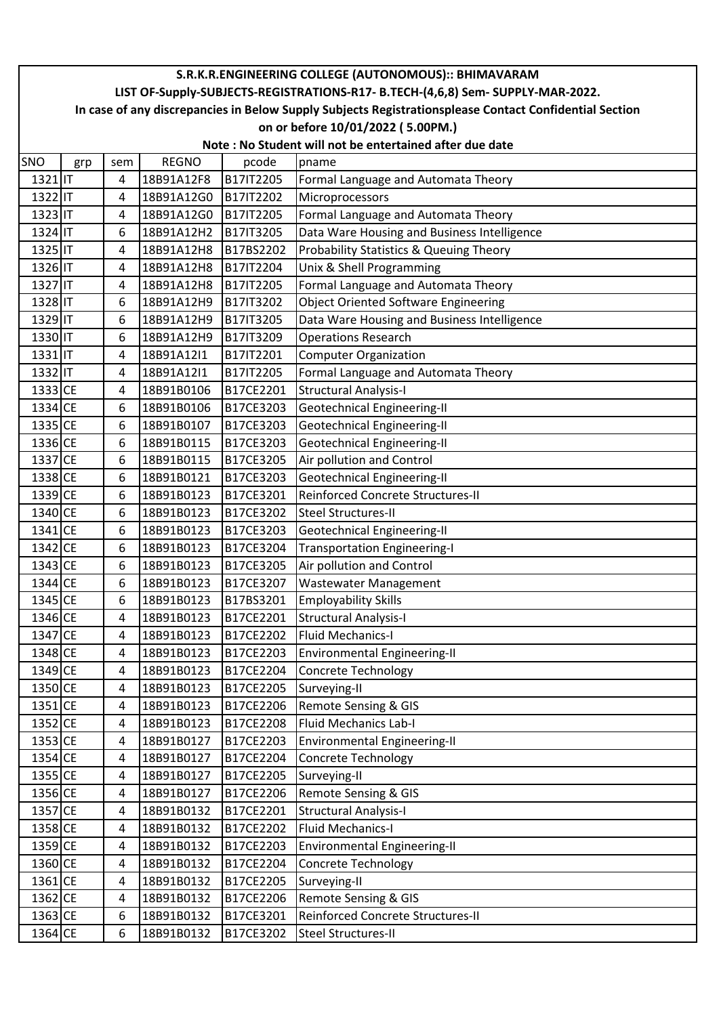|                                                                                                        |                                                         |     |              |           | S.R.K.R.ENGINEERING COLLEGE (AUTONOMOUS):: BHIMAVARAM |  |  |  |  |
|--------------------------------------------------------------------------------------------------------|---------------------------------------------------------|-----|--------------|-----------|-------------------------------------------------------|--|--|--|--|
| LIST OF-Supply-SUBJECTS-REGISTRATIONS-R17- B.TECH-(4,6,8) Sem- SUPPLY-MAR-2022.                        |                                                         |     |              |           |                                                       |  |  |  |  |
| In case of any discrepancies in Below Supply Subjects Registrationsplease Contact Confidential Section |                                                         |     |              |           |                                                       |  |  |  |  |
|                                                                                                        | on or before 10/01/2022 (5.00PM.)                       |     |              |           |                                                       |  |  |  |  |
|                                                                                                        | Note: No Student will not be entertained after due date |     |              |           |                                                       |  |  |  |  |
| SNO                                                                                                    | grp                                                     | sem | <b>REGNO</b> | pcode     | pname                                                 |  |  |  |  |
| 1321 IT                                                                                                |                                                         | 4   | 18B91A12F8   | B17IT2205 | Formal Language and Automata Theory                   |  |  |  |  |
| 1322 IT                                                                                                |                                                         | 4   | 18B91A12G0   | B17IT2202 | Microprocessors                                       |  |  |  |  |
| 1323 IT                                                                                                |                                                         | 4   | 18B91A12G0   | B17IT2205 | Formal Language and Automata Theory                   |  |  |  |  |
| 1324 IT                                                                                                |                                                         | 6   | 18B91A12H2   | B17IT3205 | Data Ware Housing and Business Intelligence           |  |  |  |  |
| 1325 IT                                                                                                |                                                         | 4   | 18B91A12H8   | B17BS2202 | Probability Statistics & Queuing Theory               |  |  |  |  |
| 1326 IT                                                                                                |                                                         | 4   | 18B91A12H8   | B17IT2204 | Unix & Shell Programming                              |  |  |  |  |
| 1327 IT                                                                                                |                                                         | 4   | 18B91A12H8   | B17IT2205 | Formal Language and Automata Theory                   |  |  |  |  |
| 1328 IT                                                                                                |                                                         | 6   | 18B91A12H9   | B17IT3202 | <b>Object Oriented Software Engineering</b>           |  |  |  |  |
| 1329 IT                                                                                                |                                                         | 6   | 18B91A12H9   | B17IT3205 | Data Ware Housing and Business Intelligence           |  |  |  |  |
| 1330 IT                                                                                                |                                                         | 6   | 18B91A12H9   | B17IT3209 | <b>Operations Research</b>                            |  |  |  |  |
| 1331 IT                                                                                                |                                                         | 4   | 18B91A12I1   | B17IT2201 | <b>Computer Organization</b>                          |  |  |  |  |
| 1332 IT                                                                                                |                                                         | 4   | 18B91A12I1   | B17IT2205 | Formal Language and Automata Theory                   |  |  |  |  |
| 1333 CE                                                                                                |                                                         | 4   | 18B91B0106   | B17CE2201 | <b>Structural Analysis-I</b>                          |  |  |  |  |
| 1334 CE                                                                                                |                                                         | 6   | 18B91B0106   | B17CE3203 | <b>Geotechnical Engineering-II</b>                    |  |  |  |  |
| 1335 CE                                                                                                |                                                         | 6   | 18B91B0107   | B17CE3203 | <b>Geotechnical Engineering-II</b>                    |  |  |  |  |
| 1336 CE                                                                                                |                                                         | 6   | 18B91B0115   | B17CE3203 | Geotechnical Engineering-II                           |  |  |  |  |
| 1337 CE                                                                                                |                                                         | 6   | 18B91B0115   | B17CE3205 | Air pollution and Control                             |  |  |  |  |
| 1338 CE                                                                                                |                                                         | 6   | 18B91B0121   | B17CE3203 | Geotechnical Engineering-II                           |  |  |  |  |
| 1339 CE                                                                                                |                                                         | 6   | 18B91B0123   | B17CE3201 | Reinforced Concrete Structures-II                     |  |  |  |  |
| 1340 CE                                                                                                |                                                         | 6   | 18B91B0123   | B17CE3202 | <b>Steel Structures-II</b>                            |  |  |  |  |
| 1341 CE                                                                                                |                                                         | 6   | 18B91B0123   | B17CE3203 | Geotechnical Engineering-II                           |  |  |  |  |
| 1342 CE                                                                                                |                                                         | 6   | 18B91B0123   | B17CE3204 | <b>Transportation Engineering-I</b>                   |  |  |  |  |
| 1343 CE                                                                                                |                                                         | 6   | 18B91B0123   | B17CE3205 | Air pollution and Control                             |  |  |  |  |
| 1344 CE                                                                                                |                                                         | 6   | 18B91B0123   | B17CE3207 | <b>Wastewater Management</b>                          |  |  |  |  |
| 1345 CE                                                                                                |                                                         | 6   | 18B91B0123   | B17BS3201 | <b>Employability Skills</b>                           |  |  |  |  |
| 1346 CE                                                                                                |                                                         | 4   | 18B91B0123   | B17CE2201 | <b>Structural Analysis-I</b>                          |  |  |  |  |
| 1347 CE                                                                                                |                                                         | 4   | 18B91B0123   | B17CE2202 | <b>Fluid Mechanics-I</b>                              |  |  |  |  |
| 1348 CE                                                                                                |                                                         | 4   | 18B91B0123   | B17CE2203 | <b>Environmental Engineering-II</b>                   |  |  |  |  |
| 1349 CE                                                                                                |                                                         | 4   | 18B91B0123   | B17CE2204 | Concrete Technology                                   |  |  |  |  |
| 1350 CE                                                                                                |                                                         | 4   | 18B91B0123   | B17CE2205 | Surveying-II                                          |  |  |  |  |
| 1351 CE                                                                                                |                                                         | 4   | 18B91B0123   | B17CE2206 | Remote Sensing & GIS                                  |  |  |  |  |
| 1352 CE                                                                                                |                                                         | 4   | 18B91B0123   | B17CE2208 | <b>Fluid Mechanics Lab-I</b>                          |  |  |  |  |
| 1353 CE                                                                                                |                                                         | 4   | 18B91B0127   | B17CE2203 | <b>Environmental Engineering-II</b>                   |  |  |  |  |
| 1354 CE                                                                                                |                                                         | 4   | 18B91B0127   | B17CE2204 | Concrete Technology                                   |  |  |  |  |
| 1355 CE                                                                                                |                                                         | 4   | 18B91B0127   | B17CE2205 | Surveying-II                                          |  |  |  |  |
| 1356 CE                                                                                                |                                                         | 4   | 18B91B0127   | B17CE2206 | Remote Sensing & GIS                                  |  |  |  |  |
| 1357 CE                                                                                                |                                                         | 4   | 18B91B0132   | B17CE2201 | <b>Structural Analysis-I</b>                          |  |  |  |  |
| 1358 CE                                                                                                |                                                         | 4   | 18B91B0132   | B17CE2202 | <b>Fluid Mechanics-I</b>                              |  |  |  |  |
| 1359 CE                                                                                                |                                                         | 4   | 18B91B0132   | B17CE2203 | Environmental Engineering-II                          |  |  |  |  |
| 1360 CE                                                                                                |                                                         | 4   | 18B91B0132   | B17CE2204 | Concrete Technology                                   |  |  |  |  |
| 1361 CE                                                                                                |                                                         | 4   | 18B91B0132   | B17CE2205 | Surveying-II                                          |  |  |  |  |
| 1362 CE                                                                                                |                                                         | 4   | 18B91B0132   | B17CE2206 | <b>Remote Sensing &amp; GIS</b>                       |  |  |  |  |
| 1363 CE                                                                                                |                                                         | 6   | 18B91B0132   | B17CE3201 | Reinforced Concrete Structures-II                     |  |  |  |  |
| 1364 CE                                                                                                |                                                         | 6   | 18B91B0132   | B17CE3202 | <b>Steel Structures-II</b>                            |  |  |  |  |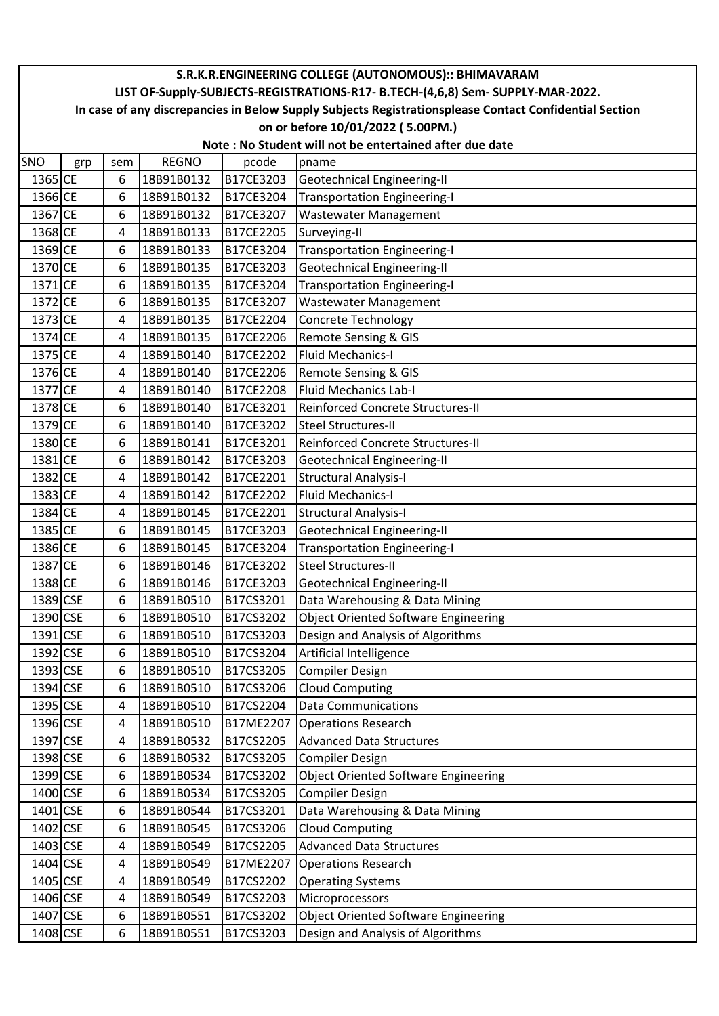|            |                                                                                                        |     |              |           | S.R.K.R.ENGINEERING COLLEGE (AUTONOMOUS):: BHIMAVARAM |  |  |  |  |
|------------|--------------------------------------------------------------------------------------------------------|-----|--------------|-----------|-------------------------------------------------------|--|--|--|--|
|            | LIST OF-Supply-SUBJECTS-REGISTRATIONS-R17- B.TECH-(4,6,8) Sem- SUPPLY-MAR-2022.                        |     |              |           |                                                       |  |  |  |  |
|            | In case of any discrepancies in Below Supply Subjects Registrationsplease Contact Confidential Section |     |              |           |                                                       |  |  |  |  |
|            | on or before 10/01/2022 (5.00PM.)                                                                      |     |              |           |                                                       |  |  |  |  |
|            | Note: No Student will not be entertained after due date                                                |     |              |           |                                                       |  |  |  |  |
| <b>SNO</b> | grp                                                                                                    | sem | <b>REGNO</b> | pcode     | pname                                                 |  |  |  |  |
| 1365 CE    |                                                                                                        | 6   | 18B91B0132   | B17CE3203 | Geotechnical Engineering-II                           |  |  |  |  |
| 1366 CE    |                                                                                                        | 6   | 18B91B0132   | B17CE3204 | <b>Transportation Engineering-I</b>                   |  |  |  |  |
| 1367 CE    |                                                                                                        | 6   | 18B91B0132   | B17CE3207 | <b>Wastewater Management</b>                          |  |  |  |  |
| 1368 CE    |                                                                                                        | 4   | 18B91B0133   | B17CE2205 | Surveying-II                                          |  |  |  |  |
| 1369 CE    |                                                                                                        | 6   | 18B91B0133   | B17CE3204 | <b>Transportation Engineering-I</b>                   |  |  |  |  |
| 1370 CE    |                                                                                                        | 6   | 18B91B0135   | B17CE3203 | Geotechnical Engineering-II                           |  |  |  |  |
| 1371 CE    |                                                                                                        | 6   | 18B91B0135   | B17CE3204 | <b>Transportation Engineering-I</b>                   |  |  |  |  |
| 1372 CE    |                                                                                                        | 6   | 18B91B0135   | B17CE3207 | Wastewater Management                                 |  |  |  |  |
| 1373 CE    |                                                                                                        | 4   | 18B91B0135   | B17CE2204 | Concrete Technology                                   |  |  |  |  |
| 1374 CE    |                                                                                                        | 4   | 18B91B0135   | B17CE2206 | Remote Sensing & GIS                                  |  |  |  |  |
| 1375 CE    |                                                                                                        | 4   | 18B91B0140   | B17CE2202 | <b>Fluid Mechanics-I</b>                              |  |  |  |  |
| 1376 CE    |                                                                                                        | 4   | 18B91B0140   | B17CE2206 | Remote Sensing & GIS                                  |  |  |  |  |
| 1377 CE    |                                                                                                        | 4   | 18B91B0140   | B17CE2208 | <b>Fluid Mechanics Lab-I</b>                          |  |  |  |  |
| 1378 CE    |                                                                                                        | 6   | 18B91B0140   | B17CE3201 | Reinforced Concrete Structures-II                     |  |  |  |  |
| 1379 CE    |                                                                                                        | 6   | 18B91B0140   | B17CE3202 | <b>Steel Structures-II</b>                            |  |  |  |  |
| 1380 CE    |                                                                                                        | 6   | 18B91B0141   | B17CE3201 | Reinforced Concrete Structures-II                     |  |  |  |  |
| 1381 CE    |                                                                                                        | 6   | 18B91B0142   | B17CE3203 | Geotechnical Engineering-II                           |  |  |  |  |
| 1382 CE    |                                                                                                        | 4   | 18B91B0142   | B17CE2201 | <b>Structural Analysis-I</b>                          |  |  |  |  |
| 1383 CE    |                                                                                                        | 4   | 18B91B0142   | B17CE2202 | <b>Fluid Mechanics-I</b>                              |  |  |  |  |
| 1384 CE    |                                                                                                        | 4   | 18B91B0145   | B17CE2201 | <b>Structural Analysis-I</b>                          |  |  |  |  |
| 1385 CE    |                                                                                                        | 6   | 18B91B0145   | B17CE3203 | <b>Geotechnical Engineering-II</b>                    |  |  |  |  |
| 1386 CE    |                                                                                                        | 6   | 18B91B0145   | B17CE3204 | <b>Transportation Engineering-I</b>                   |  |  |  |  |
| 1387 CE    |                                                                                                        | 6   | 18B91B0146   | B17CE3202 | <b>Steel Structures-II</b>                            |  |  |  |  |
| 1388 CE    |                                                                                                        | 6   | 18B91B0146   | B17CE3203 | Geotechnical Engineering-II                           |  |  |  |  |
| 1389 CSE   |                                                                                                        | 6   | 18B91B0510   | B17CS3201 | Data Warehousing & Data Mining                        |  |  |  |  |
| 1390 CSE   |                                                                                                        | 6   | 18B91B0510   | B17CS3202 | <b>Object Oriented Software Engineering</b>           |  |  |  |  |
| 1391 CSE   |                                                                                                        | 6   | 18B91B0510   | B17CS3203 | Design and Analysis of Algorithms                     |  |  |  |  |
| 1392 CSE   |                                                                                                        | 6   | 18B91B0510   | B17CS3204 | Artificial Intelligence                               |  |  |  |  |
| 1393 CSE   |                                                                                                        | 6   | 18B91B0510   | B17CS3205 | <b>Compiler Design</b>                                |  |  |  |  |
| 1394 CSE   |                                                                                                        | 6   | 18B91B0510   | B17CS3206 | <b>Cloud Computing</b>                                |  |  |  |  |
| 1395 CSE   |                                                                                                        | 4   | 18B91B0510   | B17CS2204 | <b>Data Communications</b>                            |  |  |  |  |
| 1396 CSE   |                                                                                                        | 4   | 18B91B0510   | B17ME2207 | <b>Operations Research</b>                            |  |  |  |  |
| 1397 CSE   |                                                                                                        | 4   | 18B91B0532   | B17CS2205 | <b>Advanced Data Structures</b>                       |  |  |  |  |
| 1398 CSE   |                                                                                                        | 6   | 18B91B0532   | B17CS3205 | <b>Compiler Design</b>                                |  |  |  |  |
| 1399 CSE   |                                                                                                        | 6   | 18B91B0534   | B17CS3202 | <b>Object Oriented Software Engineering</b>           |  |  |  |  |
| 1400 CSE   |                                                                                                        | 6   | 18B91B0534   | B17CS3205 | <b>Compiler Design</b>                                |  |  |  |  |
| 1401 CSE   |                                                                                                        | 6   | 18B91B0544   | B17CS3201 | Data Warehousing & Data Mining                        |  |  |  |  |
| 1402 CSE   |                                                                                                        | 6   | 18B91B0545   | B17CS3206 | <b>Cloud Computing</b>                                |  |  |  |  |
| 1403 CSE   |                                                                                                        | 4   | 18B91B0549   | B17CS2205 | <b>Advanced Data Structures</b>                       |  |  |  |  |
| 1404 CSE   |                                                                                                        | 4   | 18B91B0549   | B17ME2207 | <b>Operations Research</b>                            |  |  |  |  |
| 1405 CSE   |                                                                                                        | 4   | 18B91B0549   | B17CS2202 | <b>Operating Systems</b>                              |  |  |  |  |
| 1406 CSE   |                                                                                                        | 4   | 18B91B0549   | B17CS2203 | Microprocessors                                       |  |  |  |  |
| 1407 CSE   |                                                                                                        | 6   | 18B91B0551   | B17CS3202 | <b>Object Oriented Software Engineering</b>           |  |  |  |  |
| 1408 CSE   |                                                                                                        | 6   | 18B91B0551   | B17CS3203 | Design and Analysis of Algorithms                     |  |  |  |  |
|            |                                                                                                        |     |              |           |                                                       |  |  |  |  |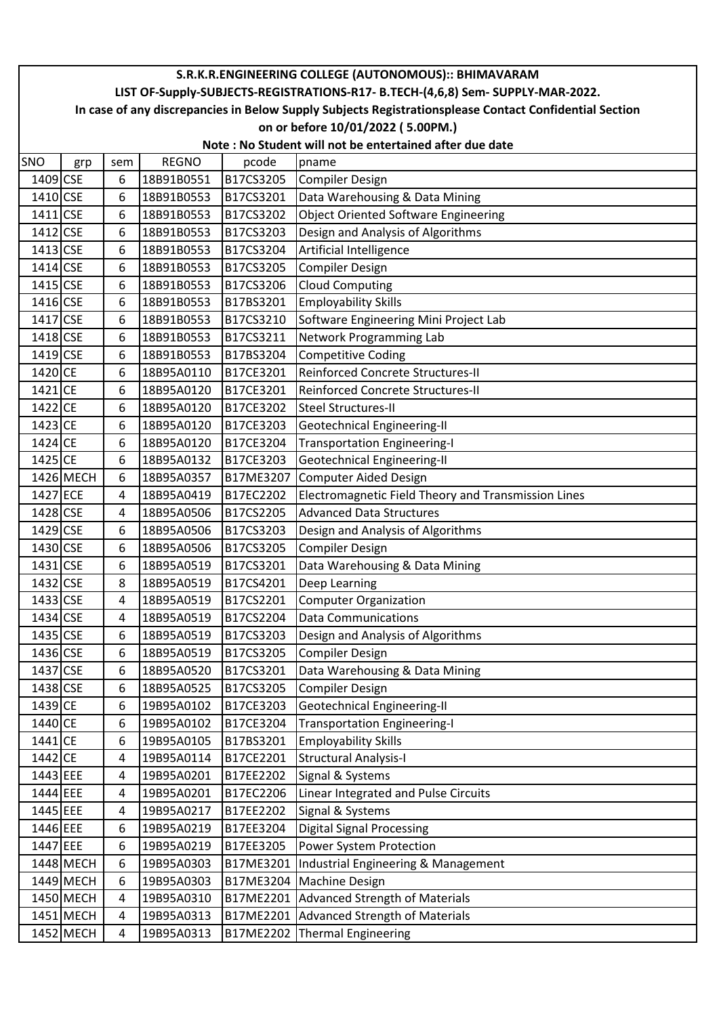|          |                                                                                                        |     |              |           | S.R.K.R.ENGINEERING COLLEGE (AUTONOMOUS):: BHIMAVARAM |  |  |  |
|----------|--------------------------------------------------------------------------------------------------------|-----|--------------|-----------|-------------------------------------------------------|--|--|--|
|          | LIST OF-Supply-SUBJECTS-REGISTRATIONS-R17- B.TECH-(4,6,8) Sem- SUPPLY-MAR-2022.                        |     |              |           |                                                       |  |  |  |
|          | In case of any discrepancies in Below Supply Subjects Registrationsplease Contact Confidential Section |     |              |           |                                                       |  |  |  |
|          | on or before 10/01/2022 (5.00PM.)                                                                      |     |              |           |                                                       |  |  |  |
|          | Note: No Student will not be entertained after due date                                                |     |              |           |                                                       |  |  |  |
| SNO      | grp                                                                                                    | sem | <b>REGNO</b> | pcode     | pname                                                 |  |  |  |
| 1409 CSE |                                                                                                        | 6   | 18B91B0551   | B17CS3205 | <b>Compiler Design</b>                                |  |  |  |
| 1410 CSE |                                                                                                        | 6   | 18B91B0553   | B17CS3201 | Data Warehousing & Data Mining                        |  |  |  |
| 1411 CSE |                                                                                                        | 6   | 18B91B0553   | B17CS3202 | Object Oriented Software Engineering                  |  |  |  |
| 1412 CSE |                                                                                                        | 6   | 18B91B0553   | B17CS3203 | Design and Analysis of Algorithms                     |  |  |  |
| 1413 CSE |                                                                                                        | 6   | 18B91B0553   | B17CS3204 | Artificial Intelligence                               |  |  |  |
| 1414 CSE |                                                                                                        | 6   | 18B91B0553   | B17CS3205 | <b>Compiler Design</b>                                |  |  |  |
| 1415 CSE |                                                                                                        | 6   | 18B91B0553   | B17CS3206 | <b>Cloud Computing</b>                                |  |  |  |
| 1416 CSE |                                                                                                        | 6   | 18B91B0553   | B17BS3201 | <b>Employability Skills</b>                           |  |  |  |
| 1417 CSE |                                                                                                        | 6   | 18B91B0553   | B17CS3210 | Software Engineering Mini Project Lab                 |  |  |  |
| 1418 CSE |                                                                                                        | 6   | 18B91B0553   | B17CS3211 | Network Programming Lab                               |  |  |  |
| 1419 CSE |                                                                                                        | 6   | 18B91B0553   | B17BS3204 | <b>Competitive Coding</b>                             |  |  |  |
| 1420 CE  |                                                                                                        | 6   | 18B95A0110   | B17CE3201 | <b>Reinforced Concrete Structures-II</b>              |  |  |  |
| 1421 CE  |                                                                                                        | 6   | 18B95A0120   | B17CE3201 | <b>Reinforced Concrete Structures-II</b>              |  |  |  |
| 1422 CE  |                                                                                                        | 6   | 18B95A0120   | B17CE3202 | <b>Steel Structures-II</b>                            |  |  |  |
| 1423 CE  |                                                                                                        | 6   | 18B95A0120   | B17CE3203 | Geotechnical Engineering-II                           |  |  |  |
| 1424 CE  |                                                                                                        | 6   | 18B95A0120   | B17CE3204 | Transportation Engineering-I                          |  |  |  |
| 1425 CE  |                                                                                                        | 6   | 18B95A0132   | B17CE3203 | Geotechnical Engineering-II                           |  |  |  |
|          | 1426 MECH                                                                                              | 6   | 18B95A0357   | B17ME3207 | Computer Aided Design                                 |  |  |  |
| 1427 ECE |                                                                                                        | 4   | 18B95A0419   | B17EC2202 | Electromagnetic Field Theory and Transmission Lines   |  |  |  |
| 1428 CSE |                                                                                                        | 4   | 18B95A0506   | B17CS2205 | <b>Advanced Data Structures</b>                       |  |  |  |
| 1429 CSE |                                                                                                        | 6   | 18B95A0506   | B17CS3203 | Design and Analysis of Algorithms                     |  |  |  |
| 1430 CSE |                                                                                                        | 6   | 18B95A0506   | B17CS3205 | <b>Compiler Design</b>                                |  |  |  |
| 1431 CSE |                                                                                                        | 6   | 18B95A0519   | B17CS3201 | Data Warehousing & Data Mining                        |  |  |  |
| 1432 CSE |                                                                                                        | 8   | 18B95A0519   | B17CS4201 | Deep Learning                                         |  |  |  |
| 1433 CSE |                                                                                                        | 4   | 18B95A0519   | B17CS2201 | <b>Computer Organization</b>                          |  |  |  |
| 1434 CSE |                                                                                                        | 4   | 18B95A0519   | B17CS2204 | Data Communications                                   |  |  |  |
| 1435 CSE |                                                                                                        | 6   | 18B95A0519   | B17CS3203 | Design and Analysis of Algorithms                     |  |  |  |
| 1436 CSE |                                                                                                        | 6   | 18B95A0519   | B17CS3205 | <b>Compiler Design</b>                                |  |  |  |
| 1437 CSE |                                                                                                        | 6   | 18B95A0520   | B17CS3201 | Data Warehousing & Data Mining                        |  |  |  |
| 1438 CSE |                                                                                                        | 6   | 18B95A0525   | B17CS3205 | <b>Compiler Design</b>                                |  |  |  |
| 1439 CE  |                                                                                                        | 6   | 19B95A0102   | B17CE3203 | Geotechnical Engineering-II                           |  |  |  |
| 1440 CE  |                                                                                                        | 6   | 19B95A0102   | B17CE3204 | <b>Transportation Engineering-I</b>                   |  |  |  |
| 1441 CE  |                                                                                                        | 6   | 19B95A0105   | B17BS3201 | <b>Employability Skills</b>                           |  |  |  |
| 1442 CE  |                                                                                                        | 4   | 19B95A0114   | B17CE2201 | <b>Structural Analysis-I</b>                          |  |  |  |
| 1443 EEE |                                                                                                        | 4   | 19B95A0201   | B17EE2202 | Signal & Systems                                      |  |  |  |
| 1444 EEE |                                                                                                        | 4   | 19B95A0201   | B17EC2206 | Linear Integrated and Pulse Circuits                  |  |  |  |
| 1445 EEE |                                                                                                        | 4   | 19B95A0217   | B17EE2202 | Signal & Systems                                      |  |  |  |
| 1446 EEE |                                                                                                        | 6   | 19B95A0219   | B17EE3204 | Digital Signal Processing                             |  |  |  |
| 1447 EEE |                                                                                                        | 6   | 19B95A0219   | B17EE3205 | Power System Protection                               |  |  |  |
|          | 1448 MECH                                                                                              | 6   | 19B95A0303   | B17ME3201 | Industrial Engineering & Management                   |  |  |  |
|          | 1449 MECH                                                                                              | 6   | 19B95A0303   | B17ME3204 | Machine Design                                        |  |  |  |
|          | 1450 MECH                                                                                              | 4   | 19B95A0310   | B17ME2201 | Advanced Strength of Materials                        |  |  |  |
|          | 1451 MECH                                                                                              | 4   | 19B95A0313   |           | B17ME2201 Advanced Strength of Materials              |  |  |  |
|          | 1452 MECH                                                                                              | 4   | 19B95A0313   |           | B17ME2202 Thermal Engineering                         |  |  |  |